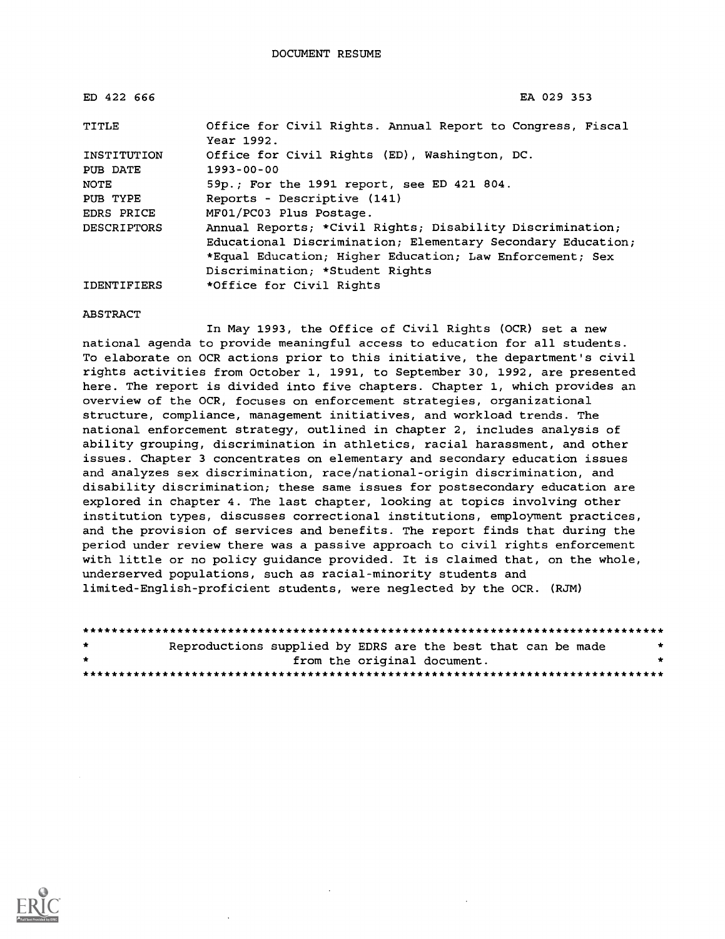| ED 422 666         | EA 029 353                                                               |
|--------------------|--------------------------------------------------------------------------|
| TITLE              | Office for Civil Rights. Annual Report to Congress, Fiscal<br>Year 1992. |
| INSTITUTION        | Office for Civil Rights (ED), Washington, DC.                            |
| PUB DATE           | $1993 - 00 - 00$                                                         |
| NOTE               | 59p.; For the 1991 report, see ED 421 804.                               |
| PUB TYPE           | Reports - Descriptive (141)                                              |
| EDRS PRICE         | MF01/PC03 Plus Postage.                                                  |
| DESCRIPTORS        | Annual Reports; *Civil Rights; Disability Discrimination;                |
|                    | Educational Discrimination; Elementary Secondary Education;              |
|                    | *Equal Education; Higher Education; Law Enforcement; Sex                 |
|                    | Discrimination; *Student Rights                                          |
| <b>IDENTIFIERS</b> | *Office for Civil Rights                                                 |

ABSTRACT

In May 1993, the Office of Civil Rights (OCR) set a new national agenda to provide meaningful access to education for all students. To elaborate on OCR actions prior to this initiative, the department's civil rights activities from October 1, 1991, to September 30, 1992, are presented here. The report is divided into five chapters. Chapter 1, which provides an overview of the OCR, focuses on enforcement strategies, organizational structure, compliance, management initiatives, and workload trends. The national enforcement strategy, outlined in chapter 2, includes analysis of ability grouping, discrimination in athletics, racial harassment, and other issues. Chapter 3 concentrates on elementary and secondary education issues and analyzes sex discrimination, race/national-origin discrimination, and disability discrimination; these same issues for postsecondary education are explored in chapter 4. The last chapter, looking at topics involving other institution types, discusses correctional institutions, employment practices, and the provision of services and benefits. The report finds that during the period under review there was a passive approach to civil rights enforcement with little or no policy guidance provided. It is claimed that, on the whole, underserved populations, such as racial-minority students and limited-English-proficient students, were neglected by the OCR. (RJM)

| $\star$ | Reproductions supplied by EDRS are the best that can be made |  |                             |  | * |
|---------|--------------------------------------------------------------|--|-----------------------------|--|---|
| $\star$ |                                                              |  | from the original document. |  |   |
|         |                                                              |  |                             |  |   |

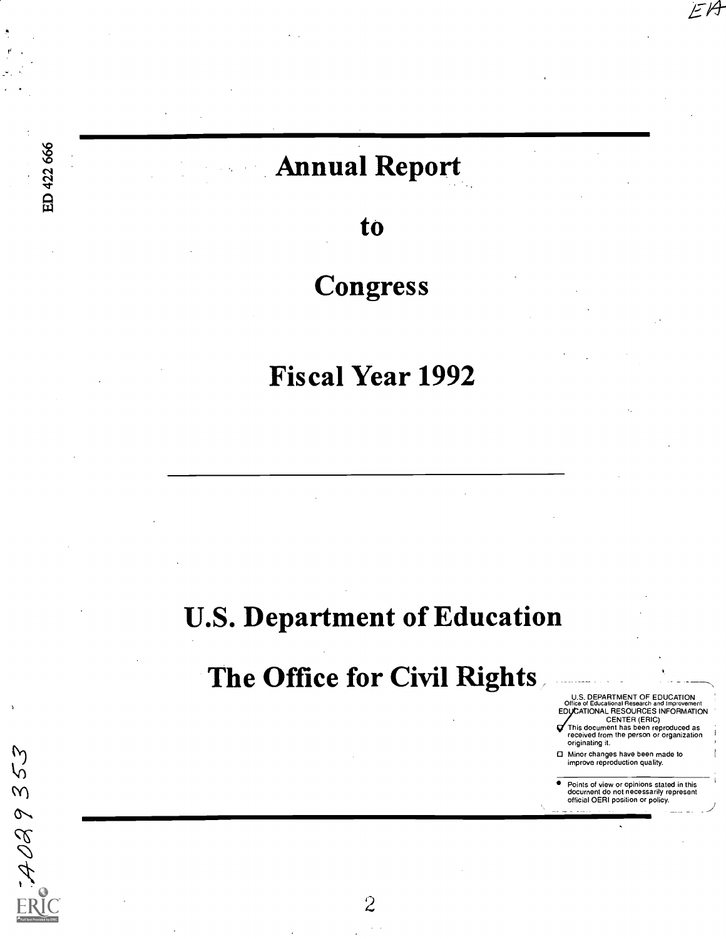# Annual Report

ED 422 666

 $7.4089353$ 

to

# Congress

Fiscal Year 1992

# U.S. Department of Education

# The Office for Civil Rights

U.S. DEPARTMENT OF EDUCATION<br>Office of Educational Research and Improvement

EA

EDVCATIONAL RESOURCES INFORMATION<br>
CENTER (ERIC)<br>
This document has been reproduced as<br>
received from the person or organization<br>
originating it.

O Minor changes have been made to improve reproduction quality.

Points of view or opinions stated in this<br>document do not necessarily represent<br>official OERI position or policy.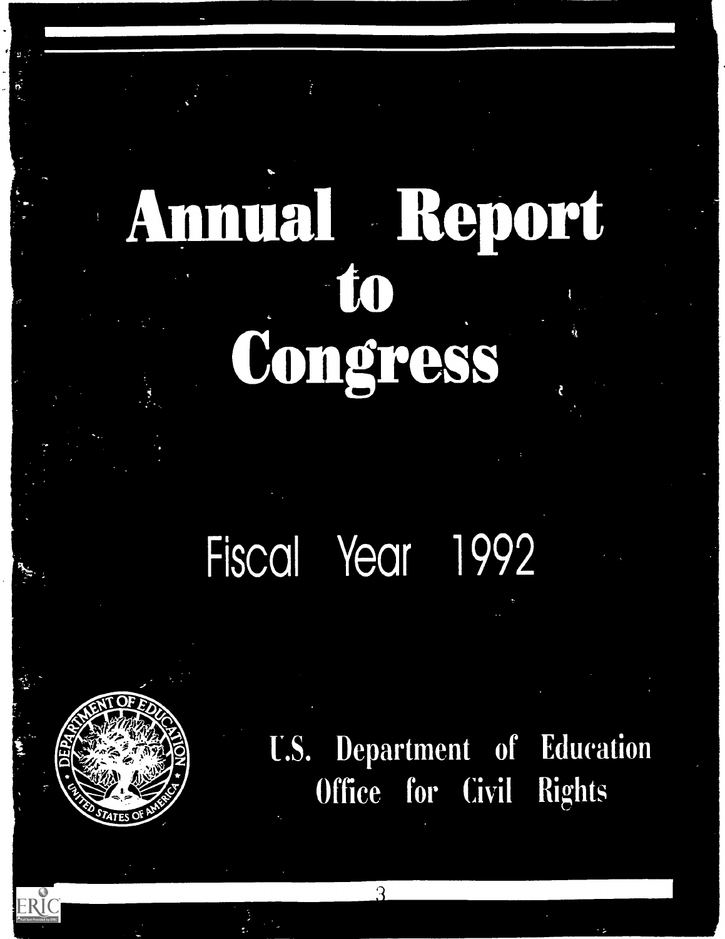# Amual Report to Congress

# Fiscal Year 1992



ERIC

U.S. Department of Education Office for Civil Rights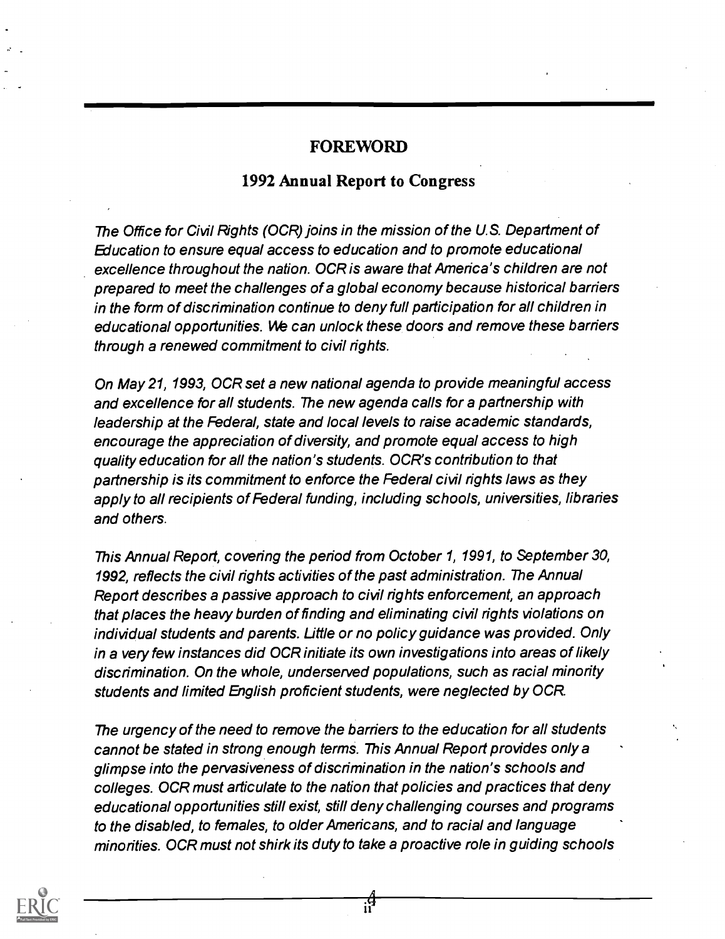#### FOREWORD

### 1992 Annual Report to Congress

The Office for Civil Rights (OCR) joins in the mission of the U.S. Department of Education to ensure equal access to education and to promote educational excellence throughout the nation. OCR is aware that America's children are not prepared to meet the challenges of a global economy because historical barriers in the form of discrimination continue to deny full participation for all children in educational opportunities. We can unlock these doors and remove these barriers through a renewed commitment to civil rights.

On May 21, 1993, OCR set a new national agenda to provide meaningful access and excellence for all students. The new agenda calls for a partnership with leadership at the Federal, state and local levels to raise academic standards, encourage the appreciation of diversity, and promote equal access to high quality education for all the nation's students. OCR's contribution to that partnership is its commitment to enforce the Federal civil rights laws as they apply to all recipients of Federal funding, including schools, universities, libraries and others.

This Annual Report, covering the period from October 1, 1991, to September 30, 1992, reflects the civil rights activities of the past administration. The Annual Report describes a passive approach to civil rights enforcement, an approach that places the heavy burden of finding and eliminating civil rights violations on individual students and parents. Little or no policy guidance was provided. Only in a very few instances did OCR initiate its own investigations into areas of likely discrimination. On the whole, underserved populations, such as racial minority students and limited English proficient students, were neglected by OCR.

The urgency of the need to remove the barriers to the education for all students cannot be stated in strong enough terms. This Annual Report provides only a glimpse into the pervasiveness of discrimination in the nation's schools and colleges. OCR must articulate to the nation that policies and practices that deny educational opportunities still exist, still deny challenging courses and programs to the disabled, to females, to older Americans, and to racial and language minorities. OCR must not shirk its duty to take a proactive role in guiding schools

न्से<br>11

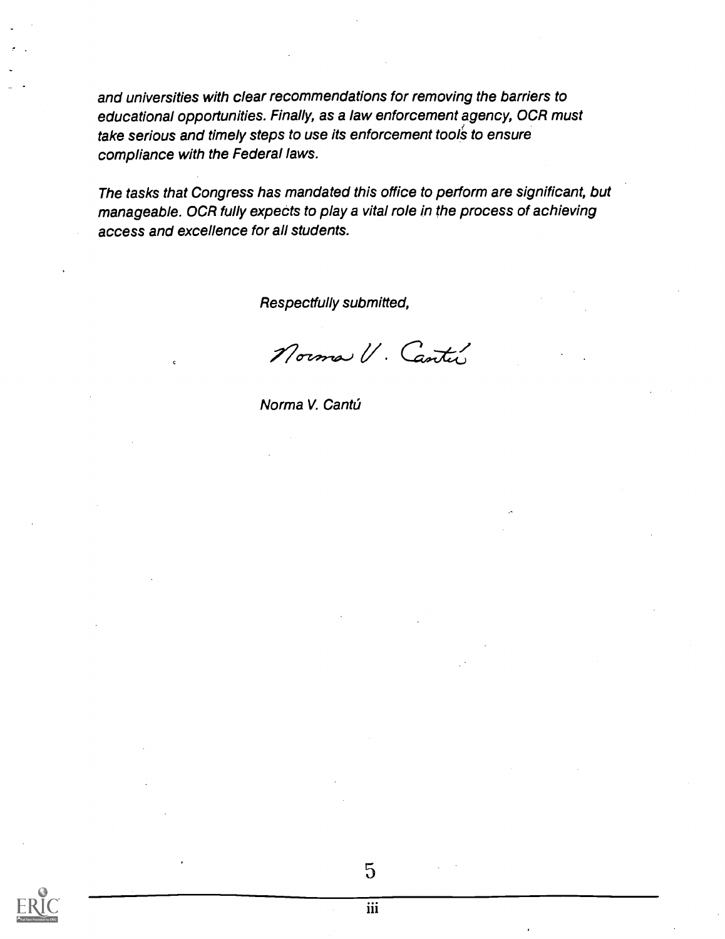and universities with clear recommendations for removing the barriers to educational opportunities. Finally, as a law enforcement agency, OCR must take serious and timely steps to use its enforcement tools to ensure compliance with the Federal laws.

The tasks that Congress has mandated this office to perform are significant, but manageable. OCR fully expects to play a vital role in the process of achieving access and excellence for all students.

Respectfully submitted,

Norma V. Cantu

Norma V. Cantú

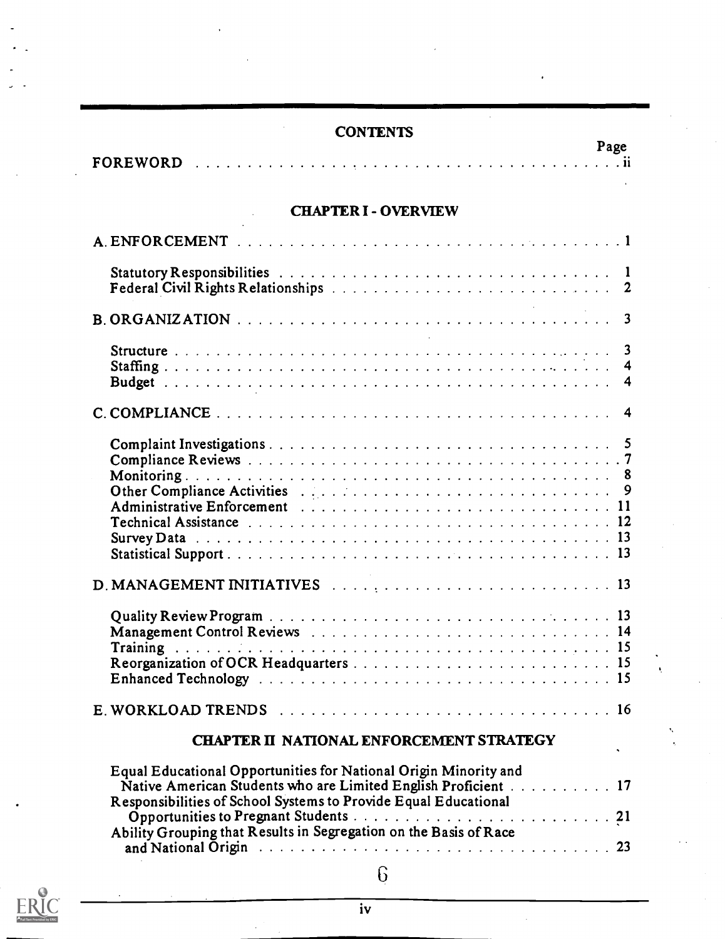# **CONTENTS**

|                 | ----------                                                                                                           |      |
|-----------------|----------------------------------------------------------------------------------------------------------------------|------|
|                 |                                                                                                                      | Page |
| <b>FOREWORD</b> | . The contract of the contract of the contract of the contract of the contract of the contract of $\mathbf{R}_\perp$ |      |

## CHAPTER I - OVERVIEW

| 3                                                                                                                                                                                                                                                                                |    |
|----------------------------------------------------------------------------------------------------------------------------------------------------------------------------------------------------------------------------------------------------------------------------------|----|
| Survey Data received a received a received a received a received a received a received a received a received a                                                                                                                                                                   |    |
|                                                                                                                                                                                                                                                                                  |    |
|                                                                                                                                                                                                                                                                                  |    |
|                                                                                                                                                                                                                                                                                  |    |
| <b>CHAPTER II NATIONAL ENFORCEMENT STRATEGY</b>                                                                                                                                                                                                                                  | ۰, |
| Equal Educational Opportunities for National Origin Minority and<br>Native American Students who are Limited English Proficient 17<br>Responsibilities of School Systems to Provide Equal Educational<br>Ability Grouping that Results in Segregation on the Basis of Race<br>23 |    |
| 6                                                                                                                                                                                                                                                                                |    |

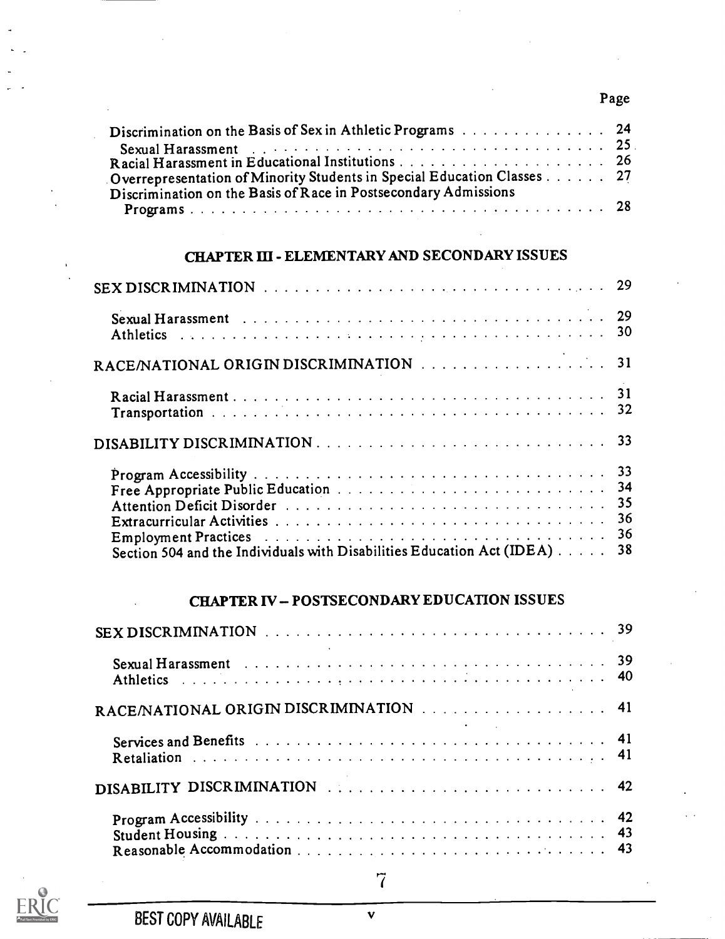## Page

| Discrimination on the Basis of Sex in Athletic Programs 24                                                     |  |
|----------------------------------------------------------------------------------------------------------------|--|
| Sexual Harassment et al. Albert Albert Albert Albert Albert Albert Albert Albert Albert Albert Albert Albert A |  |
|                                                                                                                |  |
| Overrepresentation of Minority Students in Special Education Classes 27                                        |  |
| Discrimination on the Basis of Race in Postsecondary Admissions                                                |  |
|                                                                                                                |  |

### CHAPTER III - ELEMENTARY AND SECONDARY ISSUES

| Section 504 and the Individuals with Disabilities Education Act (IDEA) | 38 |
|------------------------------------------------------------------------|----|

# CHAPTER IV - POSTSECONDARY EDUCATION ISSUES

| RACE/NATIONAL ORIGIN DISCRIMINATION 41 |  |
|----------------------------------------|--|
|                                        |  |
|                                        |  |
|                                        |  |



 $\overline{7}$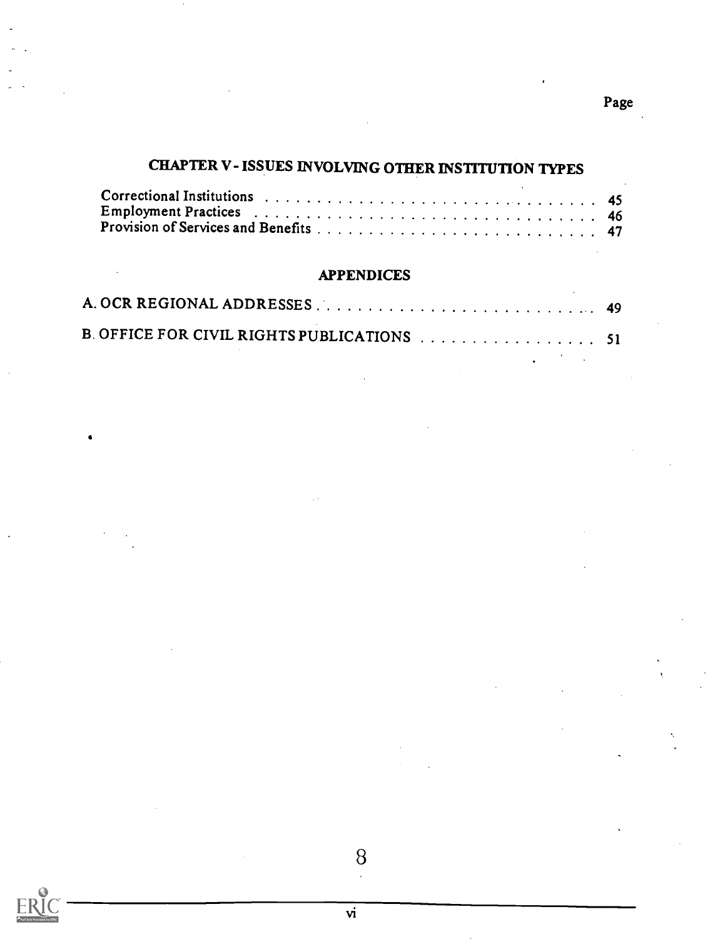# CHAPTER V-ISSUES INVOLVING OTHER INSTITUTION TYPES

## APPENDICES

| B. OFFICE FOR CIVIL RIGHTS PUBLICATIONS 51 |  |
|--------------------------------------------|--|

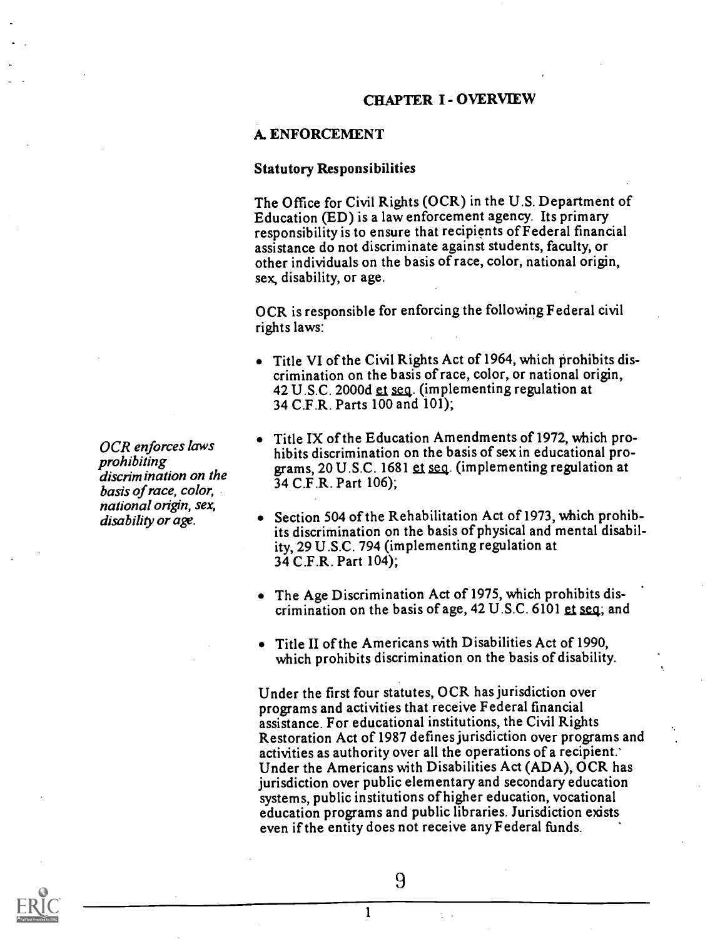#### CHAPTER I - OVERVIEW

#### A. ENFORCEMENT

#### Statutory Responsibilities

The Office for Civil Rights (OCR) in the U.S. Department of Education (ED) is a law enforcement agency. Its primary responsibility is to ensure that recipients ofFederal financial assistance do not discriminate against students, faculty, or other individuals on the basis of race, color, national origin, sex, disability, or age.

OCR is responsible for enforcing the following Federal civil rights laws:

- Title VI of the Civil Rights Act of 1964, which prohibits discrimination on the basis of race, color, or national origin, 42 U.S.C. 2000d et seq. (implementing regulation at 34 C.F.R. Parts 100 and 101);
- Title IX of the Education Amendments of 1972, which prohibits discrimination on the basis of sex in educational programs, 20 U.S.C. 1681 et seq. (implementing regulation at 34 C.F.R. Part 106);
- Section 504 of the Rehabilitation Act of 1973, which prohibits discrimination on the basis of physical and mental disability, 29 U.S.C. 794 (implementing regulation at 34 C.F.R. Part 104);
- The Age Discrimination Act of 1975, which prohibits discrimination on the basis of age,  $42 \text{ U.S.C. } 6101 \text{ et seq.}$  and
- Title II of the Americans with Disabilities Act of 1990, which prohibits discrimination on the basis of disability.

Under the first four statutes, OCR has jurisdiction over programs and activities that receive Federal financial assistance. For educational institutions, the Civil Rights Restoration Act of 1987 defines jurisdiction over programs and activities as authority over all the operations of a recipient.' Under the Americans with Disabilities Act (ADA), OCR has jurisdiction over public elementary and secondary education systems, public institutions of higher education, vocational education programs and public libraries. Jurisdiction exists even if the entity does not receive any Federal funds.

OCR enforces laws prohibiting discrimination on the basis of race, color, national origin, sex, disability or age.



9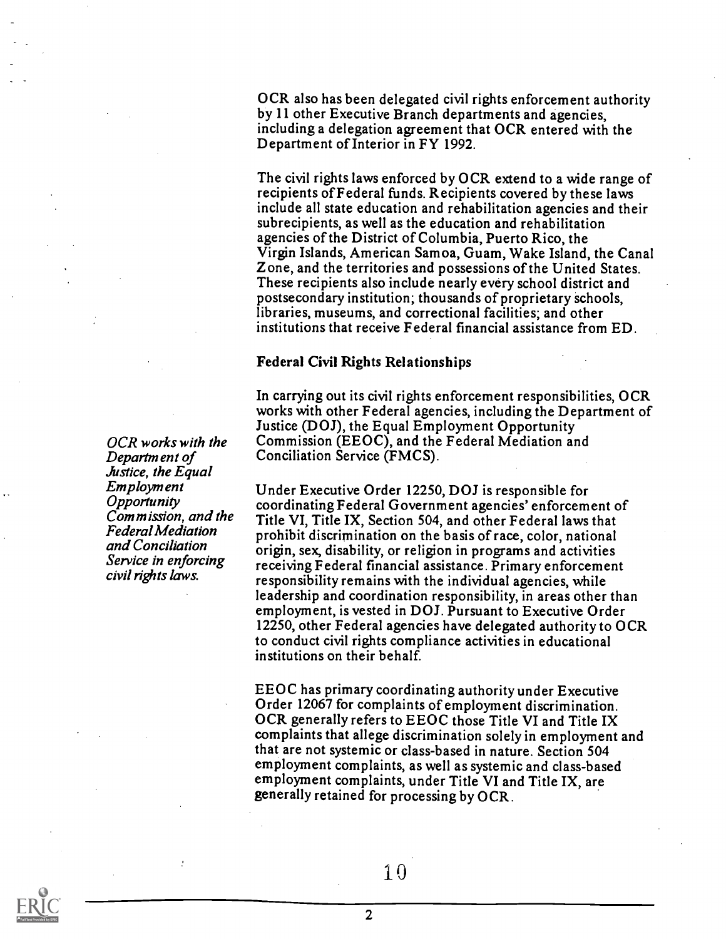OCR also has been delegated civil rights enforcement authority by 11 other Executive Branch departments and agencies, including a delegation agreement that OCR entered with the Department of Interior in FY 1992.

The civil rights laws enforced by OCR extend to a wide range of recipients ofFederal funds. Recipients covered by these laws include all state education and rehabilitation agencies and their subrecipients, as well as the education and rehabilitation agencies of the District of Columbia, Puerto Rico, the Virgin Islands, American Samoa, Guam, Wake Island, the Canal Zone, and the territories and possessions of the United States. These recipients also include nearly every school district and postsecondary institution; thousands of proprietary schools, libraries, museums, and correctional facilities; and other institutions that receive Federal financial assistance from ED.

#### Federal Civil Rights Relationships

In carrying out its civil rights enforcement responsibilities, OCR works with other Federal agencies, including the Department of Justice (DOJ), the Equal Employment Opportunity Commission (EEOC), and the Federal Mediation and Conciliation Service (FMCS).

Under Executive Order 12250, DOJ is responsible for coordinating Federal Government agencies' enforcement of Title VI, Title IX, Section 504, and other Federal laws that prohibit discrimination on the basis of race, color, national origin, sex, disability, or religion in programs and activities receiving Federal financial assistance. Primary enforcement responsibility remains with the individual agencies, while leadership and coordination responsibility, in areas other than employment, is vested in DOJ. Pursuant to Executive Order 12250, other Federal agencies have delegated authority to OCR to conduct civil rights compliance activities in educational institutions on their behalf.

EEOC has primary coordinating authority under Executive Order 12067 for complaints of employment discrimination. OCR generally refers to EEOC those Title VI and Title IX complaints that allege discrimination solely in employment and that are not systemic or class-based in nature. Section 504 employment complaints, as well as systemic and class-based employment complaints, under Title VI and Title IX, are generally retained for processing by OCR.



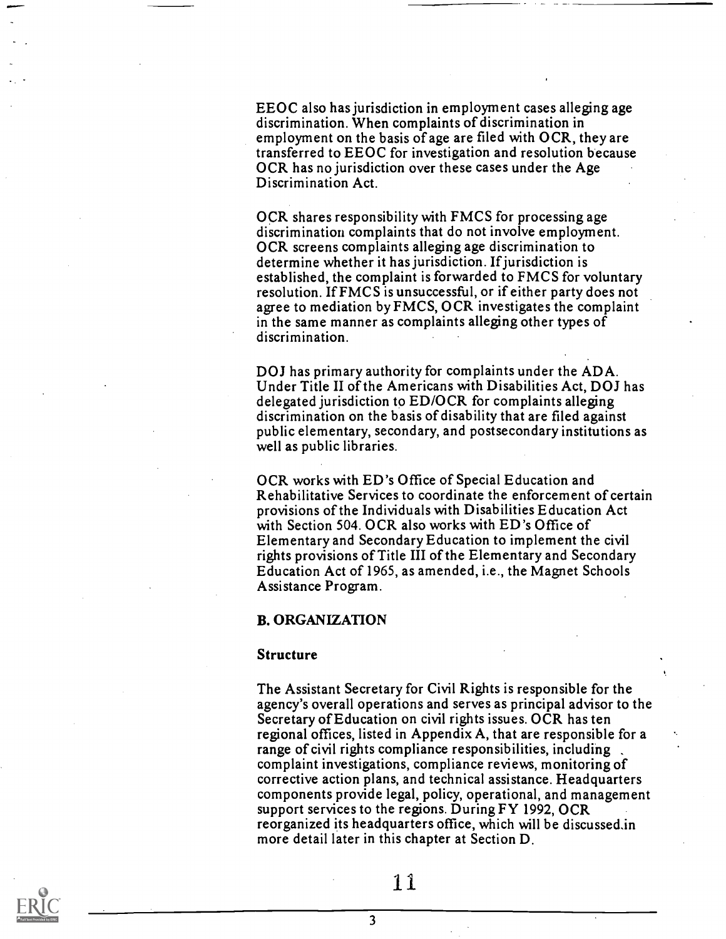EEOC also has jurisdiction in employment cases alleging age discrimination. When complaints of discrimination in employment on the basis of age are filed with OCR, they are transferred to EEOC for investigation and resolution because OCR has no jurisdiction over these cases under the Age Discrimination Act.

OCR shares responsibility with FMCS for processing age discrimination complaints that do not involve employment. OCR screens complaints alleging age discrimination to determine whether it has jurisdiction. If jurisdiction is established, the complaint is forwarded to FMCS for voluntary resolution. If FMCS is unsuccessful, or if either party does not agree to mediation by FMCS, OCR investigates the complaint in the same manner as complaints alleging other types of discrimination.

DOJ has primary authority for complaints under the ADA. Under Title II of the Americans with Disabilities Act, DOJ has delegated jurisdiction to ED/OCR for complaints alleging discrimination on the basis of disability that are filed against public elementary, secondary, and postsecondary institutions as well as public libraries.

OCR works with ED's Office of Special Education and Rehabilitative Services to coordinate the enforcement of certain provisions of the Individuals with Disabilities Education Act with Section 504. OCR also works with ED 's Office of Elementary and Secondary Education to implement the civil rights provisions of Title III of the Elementary and Secondary Education Act of 1965, as amended, i.e., the Magnet Schools Assistance Program.

#### B. ORGANIZATION

#### Structure

The Assistant Secretary for Civil Rights is responsible for the agency's overall operations and serves as principal advisor to the Secretary of Education on civil rights issues. OCR has ten regional offices, listed in Appendix A, that are responsible for a range of civil rights compliance responsibilities, including complaint investigations, compliance reviews, monitoring of corrective action plans, and technical assistance. Headquarters components provide legal, policy, operational, and management support services to the regions. During FY 1992, OCR reorganized its headquarters office, which will be discussedin more detail later in this chapter at Section D.

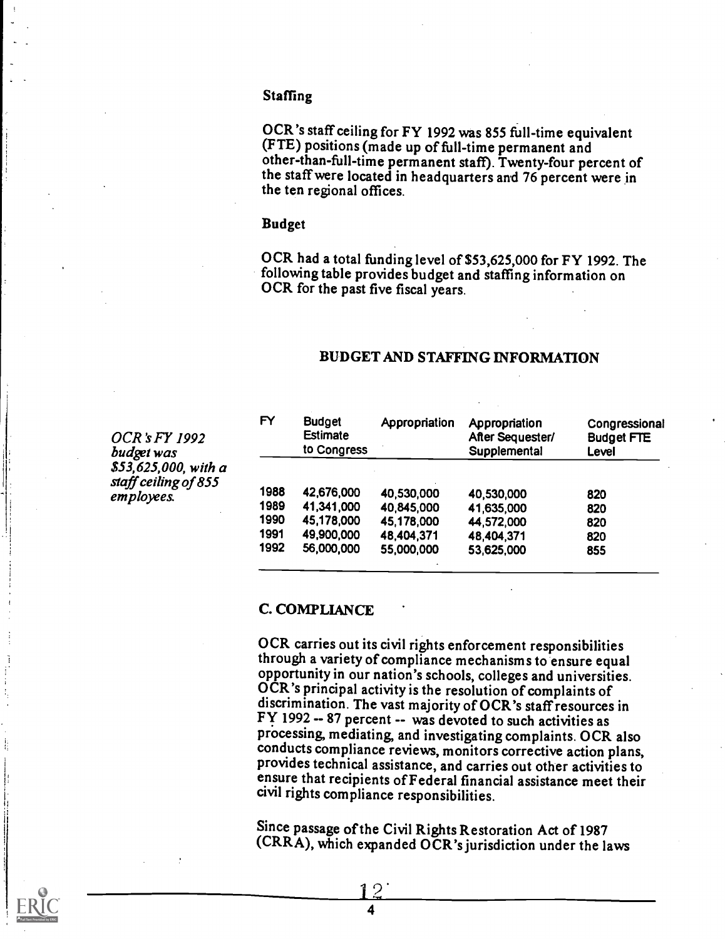#### Staffing

OCR's staff ceiling for FY 1992 was 855 full-time equivalent (FTE) positions (made up of full-time permanent and other-than-full-time permanent staff). Twenty-four percent of the stafTwere located in headquarters and 76 percent were in the ten regional offices.

#### Budget

OCR had a total funding level of \$53,625,000 for FY 1992. The following table provides budget and staffing information on OCR for the past five fiscal years.

#### BUDGET AND STAFFING INFORMATION

| OCR's FY 1992        |      |
|----------------------|------|
| budget was           |      |
| \$53,625,000, with a |      |
| staff ceiling of 855 |      |
| employees.           | 1988 |
|                      | 4000 |

| FY   | <b>Budget</b><br><b>Estimate</b><br>to Congress | Appropriation | Appropriation<br>After Sequester/<br>Supplemental | Congressional<br><b>Budget FTE</b><br>Level |
|------|-------------------------------------------------|---------------|---------------------------------------------------|---------------------------------------------|
| 1988 | 42,676,000                                      | 40,530,000    | 40,530,000                                        | 820                                         |
| 1989 | 41,341,000                                      | 40,845,000    | 41,635,000                                        | 820                                         |
| 1990 | 45,178,000                                      | 45,178,000    | 44,572,000                                        | 820                                         |
| 1991 | 49,900,000                                      | 48,404,371    | 48,404,371                                        | 820                                         |
| 1992 | 56,000,000                                      | 55,000,000    | 53,625,000                                        | 855                                         |

#### C. COMPLIANCE

OCR carries out its civil rights enforcement responsibilities<br>through a variety of compliance mechanisms to ensure equal opportunity in our nation's schools, colleges and universities. OCR's principal activity is the resolution of complaints of discrimination. The vast majority of OCR's staffresources in Fy 1992 -- 87 percent -- was devoted to such activities as processing, mediating, and investigating complaints. OCR also conducts compliance reviews, monitors corrective action plans, provides technical assistance, and carries out other activities to ensure that recipients of Federal financial assistance meet their civil rights compliance responsibilities.

Since passage of the Civil Rights Restoration Act of 1987 (CRRA), which expanded OCR's jurisdiction under the laws

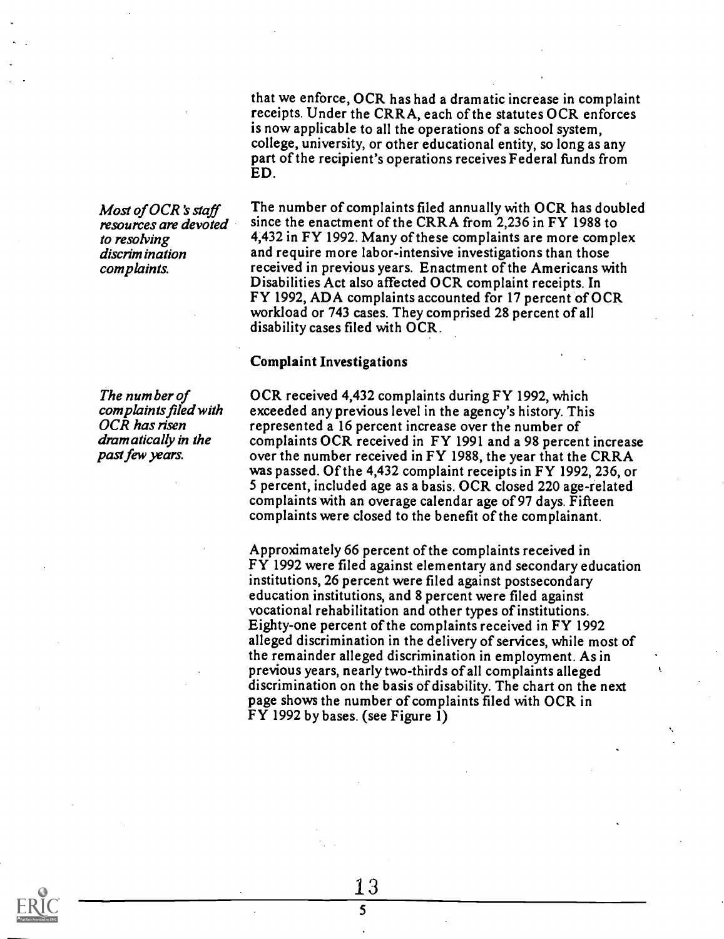that we enforce, OCR has had a dramatic increase in complaint receipts. Under the CRRA, each of the statutes OCR enforces is now applicable to all the operations of a school system, college, university, or other educational entity, so long as any part of the recipient's operations receives Federal funds from ED.

Most of OCR's staff resources are devoted to resolving discrimination complaints.

The number of complaints filed with OCR has risen dram atically in the past few years.

The number of complaints filed annually with OCR has doubled since the enactment of the CRRA from 2,236 in FY 1988 to 4,432 in FY 1992. Many of these complaints are more complex and require more labor-intensive investigations than those received in previous years. Enactment of the Americans with Disabilities Act also affected OCR complaint receipts. In FY 1992, ADA complaints accounted for 17 percent of OCR workload or 743 cases. They comprised 28 percent of all disability cases filed with OCR.

#### Complaint Investigations

OCR received 4,432 complaints during FY 1992, which exceeded any previous level in the agency's history. This represented a 16 percent increase over the number of complaints OCR received in FY 1991 and a 98 percent increase over the number received in FY 1988, the year that the CRRA was passed. Of the 4,432 complaint receipts in FY 1992, 236, or 5 percent, included age as a basis. OCR closed 220 age-related complaints with an overage calendar age of 97 days. Fifteen complaints were closed to the benefit of the complainant.

Approximately 66 percent of the complaints received in FY 1992 were filed against elementary and secondary education institutions, 26 percent were filed against postsecondary education institutions, and 8 percent were filed against vocational rehabilitation and other types of institutions. Eighty-one percent of the complaints received in FY 1992 alleged discrimination in the delivery of services, while most of the remainder alleged discrimination in employment. As in previous years, nearly two-thirds of all complaints alleged discrimination on the basis of disability. The chart on the next page shows the number of complaints filed with OCR in FY 1992 by bases. (see Figure 1)

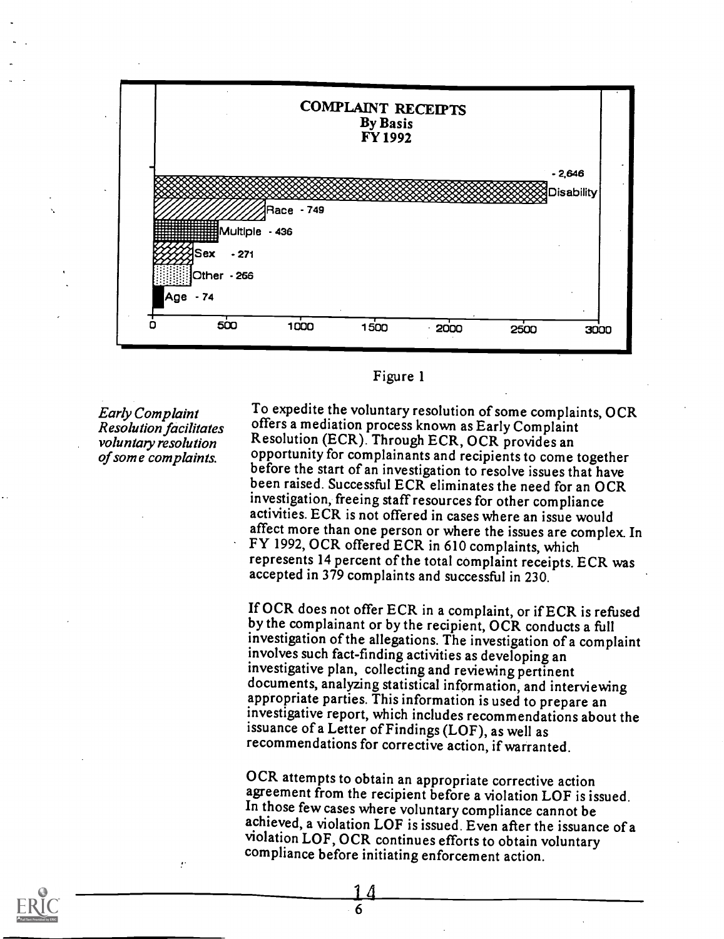

#### Figure 1

**Early Complaint** Resolution facilitates of some complaints.

voluntary resolution Resolution (ECR). Through ECR, OCR provides an<br>of some complaints. Opportunity for complainants and recipients to come together To expedite the voluntary resolution of some complaints, OCR offers a mediation process known as Early Complaint Resolution (ECR). Through ECR, OCR provides an before the start of an investigation to resolve issues that have been raised. Successful ECR eliminates the need for an OCR investigation, freeing staffresources for other compliance activities. ECR is not offered in cases where an issue would affect more than one person or where the issues are complex. In FY 1992, OCR offered ECR in 610 complaints, which represents 14 percent of the total complaint receipts. ECR was accepted in 379 complaints and successful in 230.

> If OCR does not offer ECR in a complaint, or if ECR is refused by the complainant or by the recipient, OCR conducts a full investigation of the allegations. The investigation of a complaint involves such fact-finding activities as developing an investigative plan, collecting and reviewing pertinent documents, analyzing statistical information, and interviewing appropriate parties. This information is used to prepare an investigative report, which includes recommendations about the issuance of a Letter of Findings (LOF), as well as recommendations for corrective action, if warranted.

OCR attempts to obtain an appropriate corrective action<br>agreement from the recipient before a violation LOF is issued. In those few cases where voluntary compliance cannot be achieved, a violation LOF is issued. Even after the issuance of <sup>a</sup> violation LOF, OCR continues efforts to obtain voluntary compliance before initiating enforcement action.

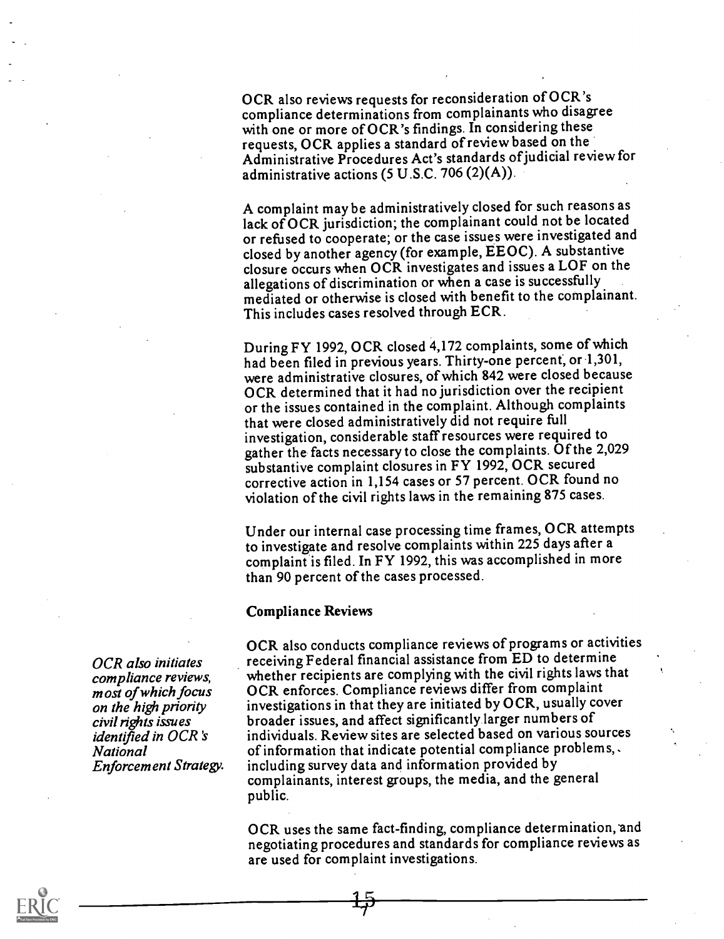OCR also reviews requests for reconsideration of OCR's compliance determinations from complainants who disagree with one or more of OCR's findings. In considering these requests, OCR applies a standard of review based on the Administrative Procedures Act's standards ofjudicial review for administrative actions (5 U.S.C. 706 (2)(A)).

A complaint may be administratively closed for such reasons as lack of OCR jurisdiction; the complainant could not be located or refused to cooperate; or the case issues were investigated and closed by another agency (for example, EEOC). A substantive closure occurs when OCR investigates and issues a LOF on the allegations of discrimination or when a case is successfully mediated or otherwise is closed with benefit to the complainant. This includes cases resolved through ECR.

During FY 1992, OCR closed 4,172 complaints, some of which had been filed in previous years. Thirty-one percent, or 1,301, were administrative closures, of which 842 were closed because OCR determined that it had no jurisdiction over the recipient or the issues contained in the complaint. Although complaints that were closed administratively did not require full investigation, considerable staff resources were required to gather the facts necessary to close the complaints. Of the 2,029 substantive complaint closures in FY 1992, OCR secured corrective action in 1,154 cases or 57 percent. OCR found no violation of the civil rights laws in the remaining 875 cases.

Under our internal case processing time frames, OCR attempts to investigate and resolve complaints within 225 days after a complaint is filed. In FY 1992, this was accomplished in more than 90 percent of the cases processed.

#### Compliance Reviews

OCR also conducts compliance reviews of programs or activities receiving Federal financial assistance from ED to determine whether recipients are complying with the civil rights laws that OCR enforces. Compliance reviews differ from complaint investigations in that they are initiated by OCR, usually cover broader issues, and affect significantly larger numbers of individuals. Review sites are selected based on various sources of information that indicate potential compliance problems, . including survey data and information provided by complainants, interest groups, the media, and the general public.

OCR uses the same fact-finding, compliance determination, and negotiating procedures and standards for compliance reviews as are used for complaint investigations.

OCR also initiates compliance reviews, m ost of which focus on the high priority civil rights issues identified in OCR's National Enforcement Strategy.

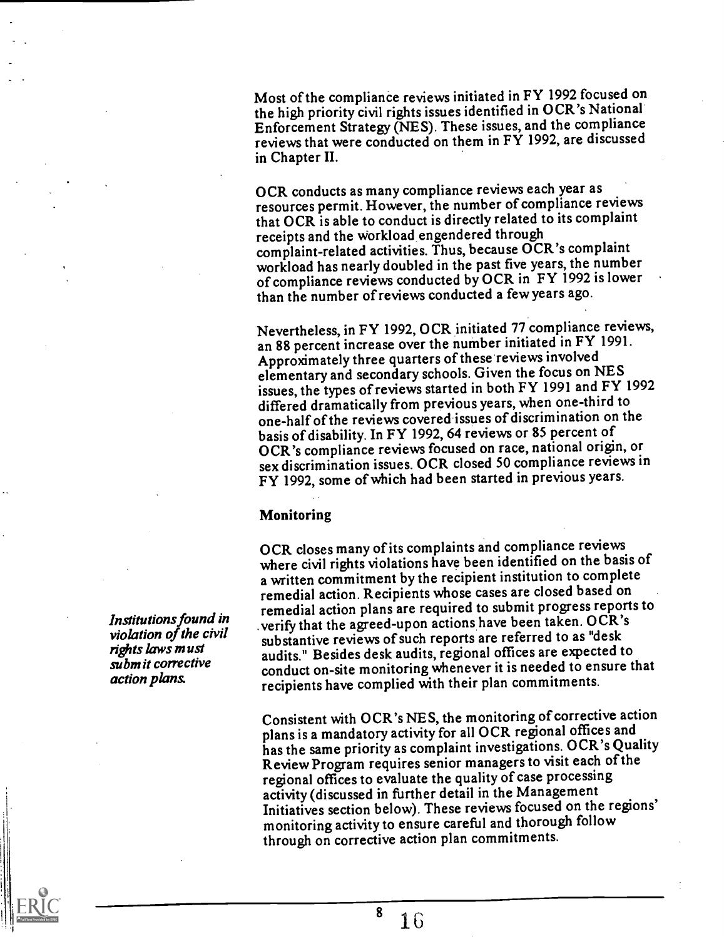Most of the compliance reviews initiated in FY 1992 focused on the high priority civil rights issues identified in OCR's National Enforcement Strategy (NES). These issues, and the compliance reviews that were conducted on them in FY 1992, are discussed in Chapter II.

OCR conducts as many compliance reviews each year as resources permit. However, the number of compliance reviews that OCR is able to conduct is directly related to its complaint receipts and the Workload engendered through complaint-related activities. Thus, because OCR's complaint workload has nearly doubled in the past five years, the number of compliance reviews conducted by OCR in FY 1992 is lower than the number of reviews conducted a few years ago.

Nevertheless, in FY 1992, OCR initiated 77 compliance reviews, an 88 percent increase over the number initiated in FY 1991. Approximately three quarters of these reviewsinvolved elementary and secondary schools. Given the focus on NES issues, the types of reviews started in both FY 1991 and FY 1992 differed dramatically from previous years, when one-third to one-half of the reviews covered issues of discrimination on the basis of disability. In FY 1992, 64 reviews or 85 percent of OCR's compliance reviews focused on race, national origin, or sex discrimination issues. OCR closed 50 compliance reviews in FY 1992, some of which had been started in previous years.

#### Monitoring

OCR closes many of its complaints and compliance reviews where civil rights violations have been identified on the basis of a written commitment by the recipient institution to complete remedial action. Recipients whose cases are closed based on remedial action plans are required to submit progress reports to verify that the agreed-upon actions have been taken. OCR's substantive reviews of such reports are referred to as "desk audits." Besides desk audits, regional offices are expected to conduct on-site monitoring whenever it is needed to ensure that recipients have complied with their plan commitments.

Consistent with OCR's NES, the monitoring of corrective action plans is a mandatory activity for all OCR regional offices and has the same priority as complaint investigations. OCR's Quality Review Program requires senior managers to visit each of the regional offices to evaluate the quality of case processing activity (discussed in further detail in the Management Initiatives section below). These reviews focused on the regions' monitoring activity to ensure careful and thorough follow through on corrective action plan commitments.

Institutions found in violation of the civil rights laws must submit corrective action plans.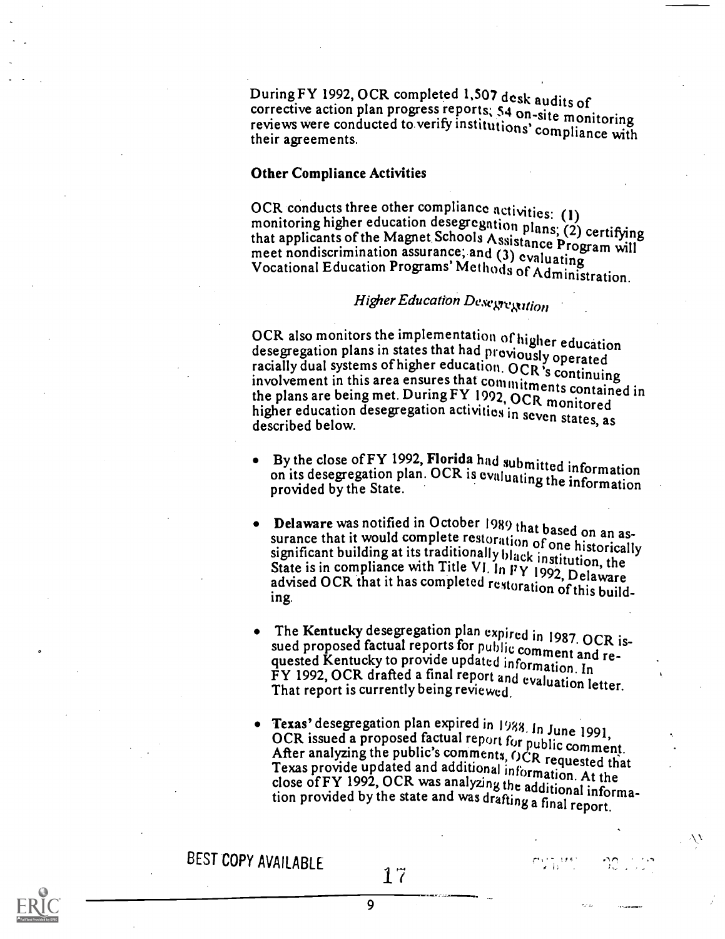During FY 1992, OCR completed 1,507 desk audits of corrective action plan progress reports; 54 on-site monitoring corrective action plan progress. reports; 5.4 on-site monitoring reviews were conducted to verify institutions' compliance with their agreements.

#### Other Compliance Activities

OCR conducts three other compliance activities: (1)<br>monitoring higher education desegregation plans; (2) certifying<br>that applicants of the Magnet Schools Assistance Program will<br>meet nondiscrimination assurance; and (3) ev

# Higher Education Desegregation

OCR also monitors the implementation of higher education desegregation plans in states that had proviously operated racially dual systems of higher education. OCR's continuing involvement in this area ensures that commitme the plans are being met. During FY 1992, OCR monitored higher education desegregation activities in seven states, as described below.

- By the close of FY 1992, Florida had submitted information on its desegregation plan. OCR is evaluating the information provided by the State.
- **Delaware** was notified in October 1989 that based on an assurance that it would complete restoration of one historically significant building at its traditionally black institution, the State is in compliance with Title
- The Kentucky desegregation plan expired in 1987. OCR issued proposed factual reports for public comment and re-<br>quested Kentucky to provide updated information. In quested Kentucky to provide updated information. In FY 1992, OCR drafted a final report and evaluation letter.<br>That report is currently being reviewed
- Texas' desegregation plan expired in 1988. In June 1991,<br>OCR issued a proposed factual report for public comment.<br>After analyzing the public's comments, OCR requested that<br>Texas provide updated and additional information.

 $\gamma$  is the set

BEST COPY AVAILABLE

9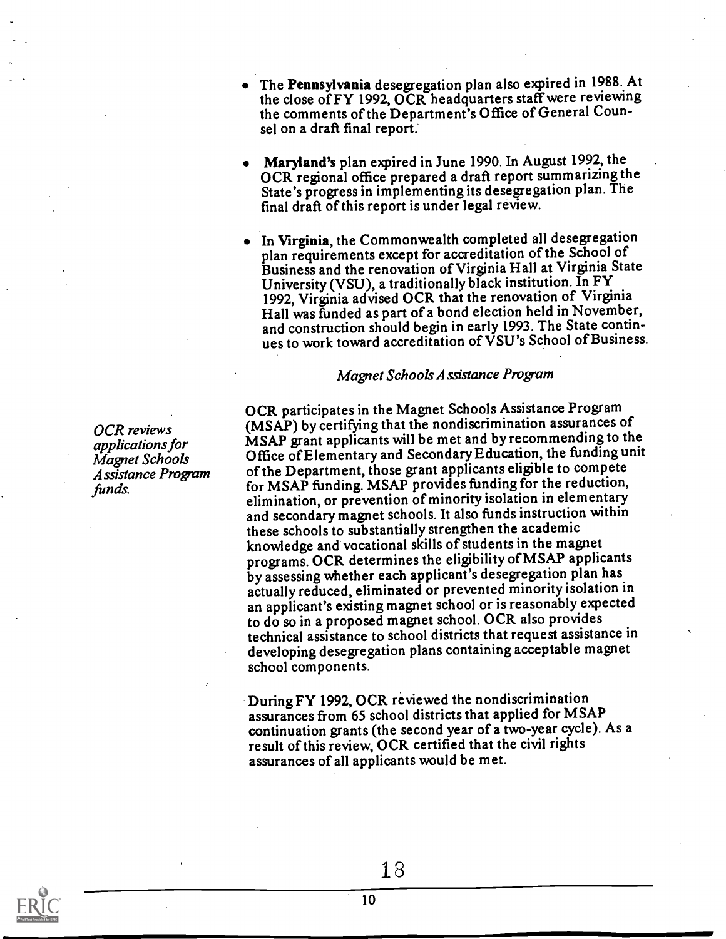The Pennsylvania desegregation plan also expired in 1988..At the close of FY 1992, OCR headquarters staff were reviewing the comments of the Department's Office of General Counsel on a draft final report.

- Maryland's plan expired in June 1990. In August 1992, the OCR regional office prepared a draft report summarizing the State's progress in implementing its desegregation plan. The final draft of this report is under legal review.
- In Virginia, the Commonwealth completed all desegregation plan requirements except for accreditation of the School of Business and the renovation of Virginia Hall at Virginia State University (VSU), a traditionally black institution. In FY 1992, Virginia advised OCR that the renovation of Virginia Hall was funded as part of a bond election held in November, and construction should begin in early 1993. The State continues to work toward accreditation of VSU's School of Business.

#### Magnet Schools Assistance Program

OCR participates in the Magnet Schools Assistance Program (MSAP) by certifying that the nondiscrimination assurances of MSAP grant applicants will be met and by recommending to the Office ofElementary and Secondary Education, the funding unit of the Department, those grant applicants eligible to compete for MSAP funding. MSAP provides funding for the reduction, elimination, or prevention of minority isolation in elementary and secondary magnet schools. It also funds instruction within these schools to substantially strengthen the academic knowledge and vocational skills of students in the magnet programs. OCR determines the eligibility ofMSAP applicants by assessing whether each applicant's desegegation plan has actually reduced, eliminated or prevented minority isolation in an applicant's existing magnet school or is reasonably expected to do so in a proposed magnet school. OCR also provides technical assistance to school districts that request assistance in developing desegregation plans containing acceptable magnet school components.

During FY 1992, OCR reviewed the nondiscrimination assurances from 65 school districts that applied for MSAP continuation grants (the second year of a two-year cycle). As a result of this review, OCR certified that the civil rights assurances of all applicants would be met.

OCR reviews applications for Magnet Schools Assistance Program funds.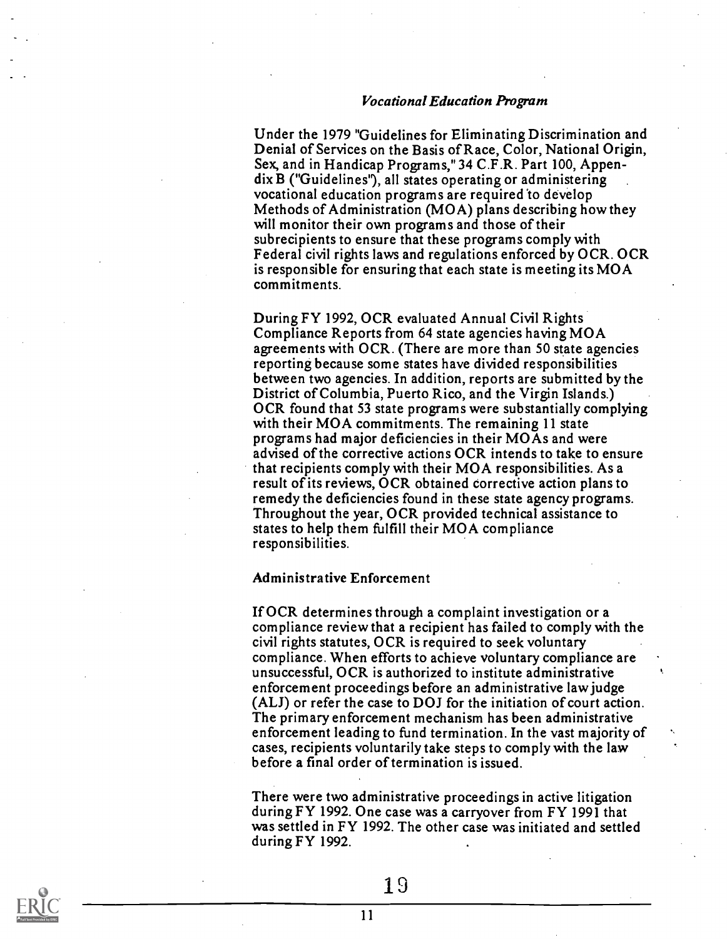#### Vocational Education Program

Under the 1979 "Guidelines for Eliminating Discrimination and Denial of Services on the Basis of Race, Color, National Origin, Sex, and in Handicap Programs," 34 C.F.R. Part 100, Appendix B ("Guidelines"), all states operating or administering vocational education programs are required to develop Methods of Administration (MOA) plans describing how they will monitor their own programs and those of their subrecipients to ensure that these programs comply with Federal civil rights laws and regulations enforced by OCR. OCR is responsible for ensuring that each state is meeting its MOA commitments.

During FY 1992, OCR evaluated Annual Civil Rights Compliance Reports from 64 state agencies having MOA agreements with OCR. (There are more than 50 state agencies reporting because some states have divided responsibilities between two agencies. In addition, reports are submitted by the District of Columbia, Puerto Rico, and the Virgin Islands.) OCR found that 53 state programs were substantially complying with their MOA commitments. The remaining 11 state programs had major deficiencies in their MOAs and were advised of the corrective actions OCR intends to take to ensure that recipients comply with their MOA responsibilities. As a result of its reviews, OCR obtained corrective action plans to remedy the deficiencies found in these state agency programs. Throughout the year, OCR provided technical assistance to states to help them fulfill their MOA compliance responsibilities.

#### Administrative Enforcement

If OCR determines through a complaint investigation or a compliance review that a recipient has failed to comply with the civil rights statutes, OCR is required to seek voluntary compliance. When efforts to achieve voluntary compliance are unsuccessful, OCR is authorized to institute administrative enforcement proceedings before an administrative law judge (ALJ) or refer the case to DOJ for the initiation of court action. The primary enforcement mechanism has been administrative enforcement leading to fund termination. In the vast majority of cases, recipients voluntarily take steps to comply with the law before a final order of termination is issued.

There were two administrative proceedings in active litigation during FY 1992. One case was a carryover from FY 1991 that was settled in FY 1992. The other case was initiated and settled during FY 1992.

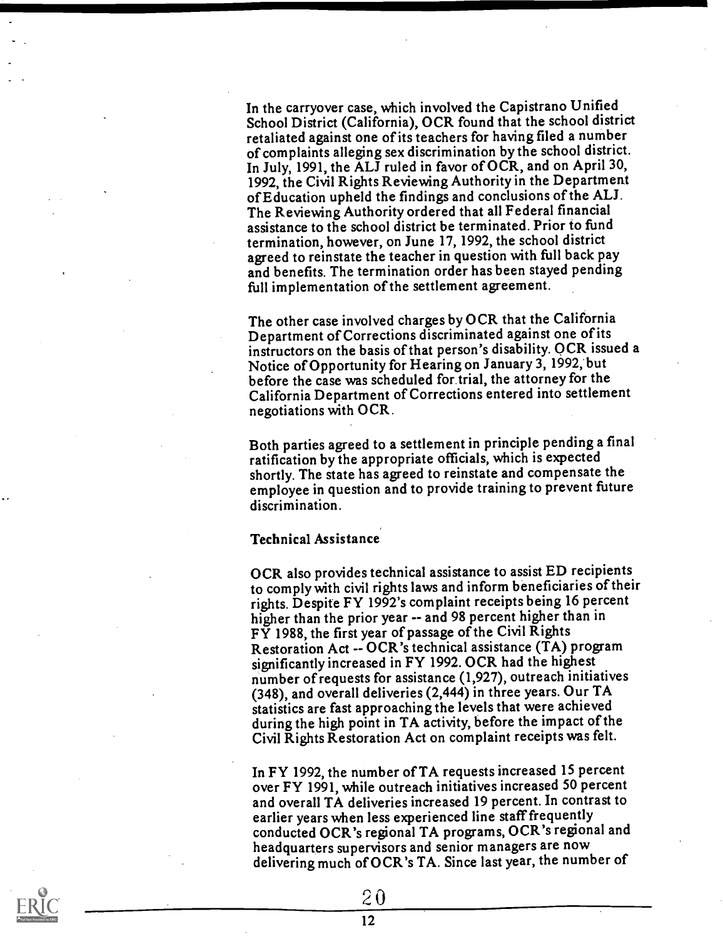In the carryover case, which involved the Capistrano Unified School District (California), OCR found that the school district retaliated against one of its teachers for having filed a number of complaints alleging sex discrimination by the school district. In July, 1991, the ALJ ruled in favor of OCR, and on April 30, 1992, the Civil Rights Reviewing Authority in the Department of Education upheld the findings and conclusions of the ALJ. The Reviewing Authority ordered that all Federal financial assistance to the school district be terminated. Prior to fund termination, however, on June 17, 1992, the school district agreed to reinstate the teacher in question with full back pay and benefits. The termination order has been stayed pending full implementation of the settlement agreement.

The other case involved charges by OCR that the California Department of Corrections discriminated against one of its instructors on the basis of that person's disability. OCR issued a Notice of Opportunity for Hearing on January 3, 1992;but before the case was scheduled for trial, the attorney for the California Department of Corrections entered into settlement negotiations with OCR.

Both parties agreed to a settlement in principle pending a final ratification by the appropriate officials, which is expected shortly. The state has agreed to reinstate and compensate the employee in question and to provide training to prevent future discrimination.

#### Technical Assistance

OCR also provides technical assistance to assist ED recipients to comply with civil rights laws and inform beneficiaries of their rights. Despite FY 1992's complaint receipts being 16 percent higher than the prior year -- and 98 percent higher than in FY 1988, the first year of passage of the Civil Rights Restoration Act -- OCR's technical assistance (TA) program significantly increased in FY 1992. OCR had the highest number of requests for assistance (1,927), outreach initiatives (348), and overall deliveries (2,444) in three years. Our TA statistics are fast approaching the levels that were achieved during the high point in TA activity, before the impact of the Civil Rights Restoration Act on complaint receipts was felt.

In FY 1992, the number of TA requests increased 15 percent over FY 1991, while outreach initiatives increased 50 percent and overall TA deliveries increased 19 percent. In contrast to earlier years when less experienced line staff frequently conducted OCR's regional TA programs, OCR's regional and headquarters supervisors and senior managers are now delivering much of OCR's TA. Since last year, the number of

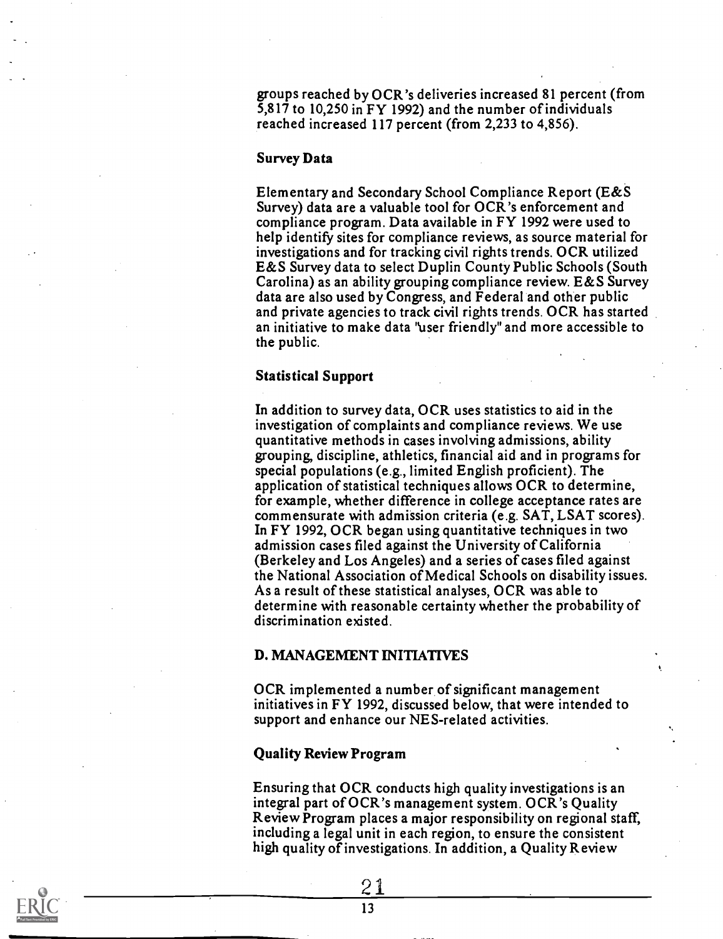groups reached by OCR's deliveries increased 81 percent (from 5,817 to 10,250 in FY 1992) and the number of individuals reached increased 117 percent (from 2,233 to 4,856).

#### Survey Data

Elementary and Secondary School Compliance Report (E&S Survey) data are a valuable tool for OCR's enforcement and compliance program. Data available in FY 1992 were used to help identify sites for compliance reviews, as source material for investigations and for tracking civil rights trends. OCR utilized E&S Survey data to select Duplin County Public Schools (South Carolina) as an ability grouping compliance review. E&S Survey data are also used by Congress, and Federal and other public and private agencies to track civil rights trends. OCR has started an initiative to make data "user friendly" and more accessible to the public.

#### Statistical Support

In addition to survey data, OCR uses statistics to aid in the investigation of complaints and compliance reviews. We use quantitative methods in cases involving admissions, ability grouping, discipline, athletics, financial aid and in programs for special populations (e.g., limited English proficient). The application of statistical techniques allows OCR to determine, for example, whether difference in college acceptance rates are commensurate with admission criteria (e.g. SAT, LSAT scores). In FY 1992, OCR began using quantitative techniques in two admission cases filed against the University of California (Berkeley and Los Angeles) and a series of cases filed against the National Association of Medical Schools on disability issues. As a result of these statistical analyses, OCR was able to determine with reasonable certainty whether the probability of discrimination existed.

#### D. MANAGEMENT INITIATIVES

OCR implemented a number of significant management initiatives in FY 1992, discussed below, that were intended to support and enhance our NES-related activities.

#### Quality Review Program

Ensuring that OCR conducts high quality investigations is an integral part of OCR's management system. OCR's Quality Review Program places a major responsibility on regional staff, including a legal unit in each region, to ensure the consistent high quality of investigations. In addition, a Quality Review

21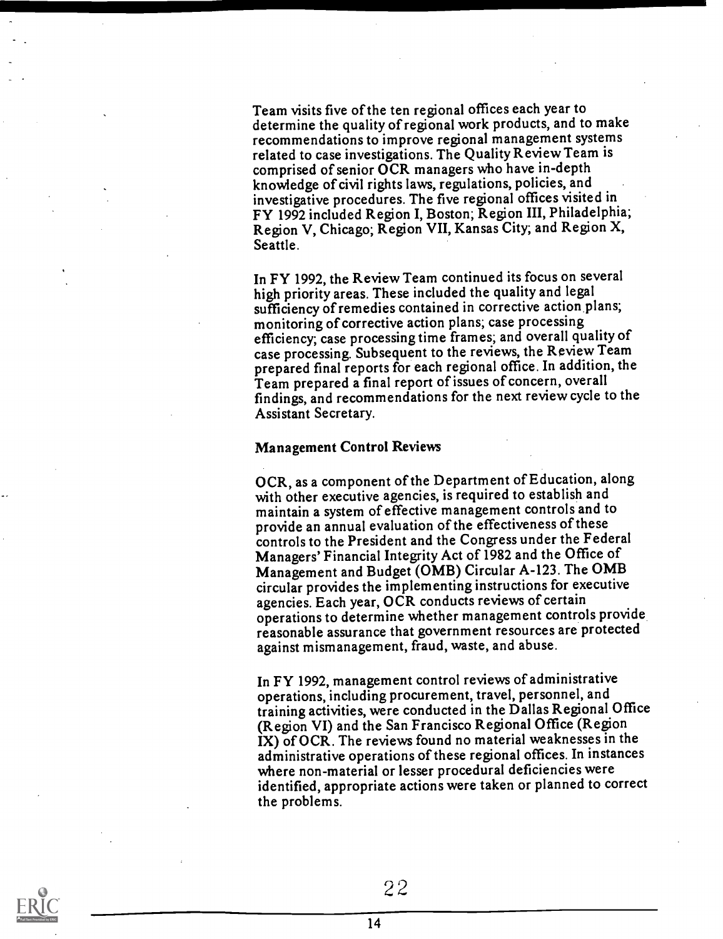Team visits five of the ten regional offices each year to determine the quality of regional work products, and to make recommendations to improve regional management systems related to case investigations. The Quality Review Team is comprised of senior OCR managers who have in-depth knowledge of civil rights laws, regulations, policies, and investigative procedures. The five regional offices visited in FY 1992 included Region I, Boston; Region III, Philadelphia; Region V, Chicago; Region VII, Kansas City; and Region X, Seattle.

In FY 1992, the Review Team continued its focus on several high priority areas. These included the quality and legal sufficiency of remedies contained in corrective action plans; monitoring of corrective action plans; case processing efficiency; case processing time frames; and overall quality of case processing. Subsequent to the reviews, the Review Team prepared final reports for each regional office. In addition, the Team prepared a final report of issues of concern, overall findings, and recommendations for the next review cycle to the Assistant Secretary.

#### Management Control Reviews

OCR, as a component of the Department of Education, along with other executive agencies, is required to establish and maintain a system of effective management controls and to provide an annual evaluation of the effectiveness of these controls to the President and the Congress under the Federal Managers' Financial Integrity Act of 1982 and the Office of Management and Budget (OMB) Circular A-123. The OMB circular provides the implementing instructions for executive agencies. Each year, OCR conducts reviews of certain operations to determine whether management controls provide reasonable assurance that government resources are protected against mismanagement, fraud, waste, and abuse.

In FY 1992, management control reviews of administrative operations, including procurement, travel, personnel, and training activities, were conducted in the Dallas Regional Office (Region VI) and the San Francisco Regional Office (Region IX) of OCR. The reviews found no material weaknesses in the administrative operations of these regional offices. In instances where non-material or lesser procedural deficiencies were identified, appropriate actions were taken or planned to correct the problems.

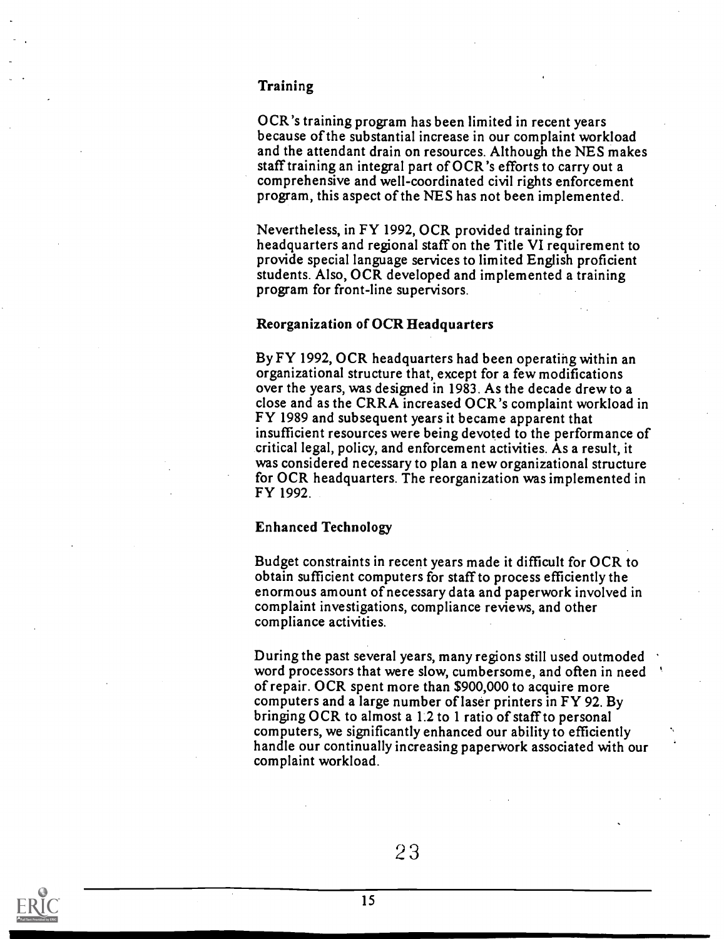#### Training

OCR's training program has been limited in recent years because of the substantial increase in our complaint workload and the attendant drain on resources. Although the NES makes staff training an integral part of OCR's efforts to carry out a comprehensive and well-coordinated civil rights enforcement progam, this aspect of the NES has not been implemented.

Nevertheless, in FY 1992, OCR provided training for headquarters and regional staff on the Title VI requirement to provide special language services to limited English proficient students. Also, OCR developed and implemented a training program for front-line supervisors.

#### Reorganization of OCR Headquarters

By FY 1992, OCR headquarters had been operating within an organizational structure that, except for a few modifications over the years, was designed in 1983. As the decade drew to a close and as the CRRA increased OCR's complaint workload in FY 1989 and subsequent years it became apparent that insufficient resources were being devoted to the performance of critical legal, policy, and enforcement activities. As a result, it was considered necessary to plan a new organizational structure for OCR headquarters. The reorganization was implemented in FY 1992.

#### Enhanced Technology

Budget constraints in recent years made it difficult for OCR to obtain sufficient computers for staff to process efficiently the enormous amount of necessary data and paperwork involved in complaint investigations, compliance reviews, and other compliance activities.

During the past several years, many regions still used outmoded word processors that were slow, cumbersome, and often in need of repair. OCR spent more than \$900,000 to acquire more computers and a large number of laser printers in FY 92. By bringing OCR to almost a 1.2 to 1 ratio of staff to personal computers, we significantly enhanced our ability to efficiently handle our continually increasing paperwork associated with our complaint workload.

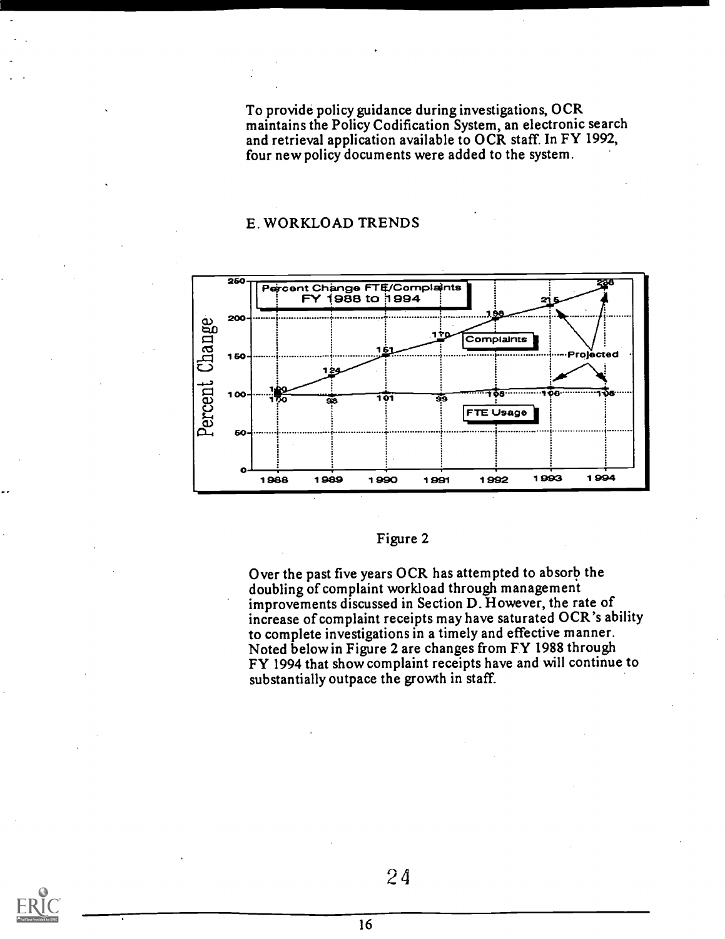To provide policy guidance during investigations, OCR maintains the Policy Codification System, an electronic search and retrieval application available to OCR staff. In FY 1992, four new policy documents were added to the system.

#### E. WORKLOAD TRENDS



#### Figure 2

Over the past five years OCR has attempted to absorb the doubling of complaint workload through management improvements discussed in Section D. However, the rate of increase of complaint receipts may have saturated OCR's ability to complete investigations in a timely and effective manner. Noted below in Figure 2 are changes from FY 1988 through FY 1994 that show complaint receipts have and will continue to substantially outpace the growth in staff.

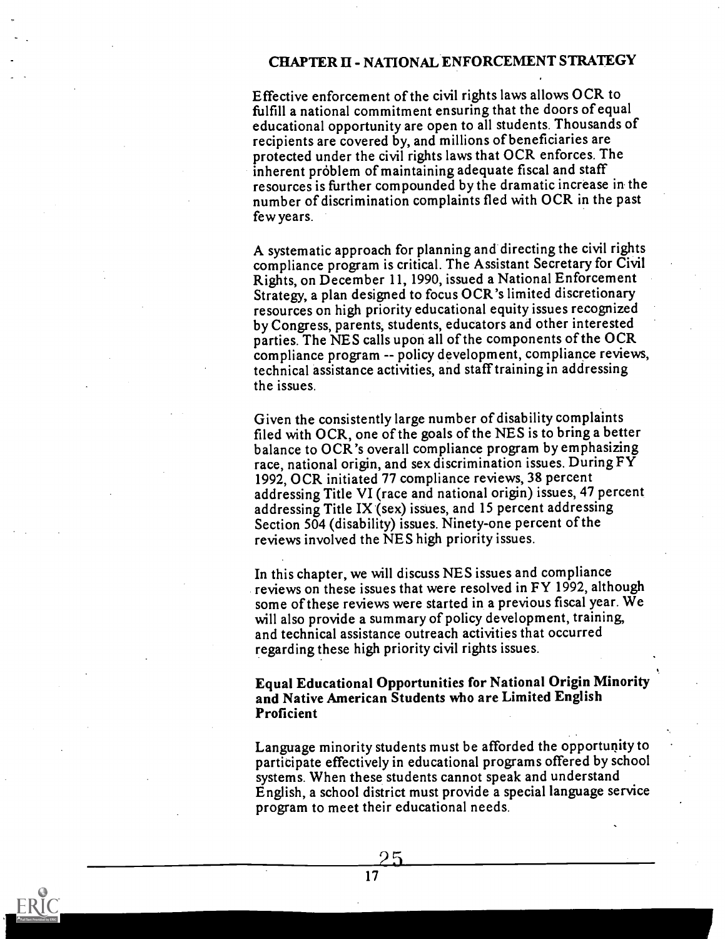#### CHAPTER II - NATIONAL ENFORCEMENT STRATEGY

Effective enforcement of the civil rights laws allows OCR to fulfill a national commitment ensuring that the doors of equal educational opportunity are open to all students. Thousands of recipients are covered by, and millions of beneficiaries are protected under the civil rights laws that OCR enforces. The inherent problem of maintaining adequate fiscal and staff resources is further compounded by the dramatic increase in the number of discrimination complaints fled with OCR in the past few years.

A systematic approach for planning and directing the civil rights compliance program is critical. The Assistant Secretary for Civil Rights, on December 11, 1990, issued a National Enforcement Strategy, a plan designed to focus OCR's limited discretionary resources on high priority educational equity issues recognized by Congess, parents, students, educators and other interested parties. The NES calls upon all of the components of the OCR compliance program -- policy development, compliance reviews, technical assistance activities, and staff training in addressing the issues.

Given the consistently large number of disability complaints filed with OCR, one of the goals of the NES is to bring a better balance to OCR's overall compliance program by emphasizing race, national origin, and sex discrimination issues. During FY 1992, OCR initiated 77 compliance reviews, 38 percent addressing Title VI (race and national origin) issues, 47 percent addressing Title IX (sex) issues, and 15 percent addressing Section 504 (disability) issues. Ninety-one percent of the reviews involved the NES high priority issues.

In this chapter, we will discuss NES issues and compliance reviews on these issues that were resolved in FY 1992, although some of these reviews were started in a previous fiscal year. We will also provide a summary of policy development, training, and technical assistance outreach activities that occurred regarding these high priority civil rights issues.

Equal Educational Opportunities for National Origin Minority and Native American Students who are Limited English Proficient

Language minority students must be afforded the opportunity to participate effectively in educational programs offered by school systems. When these students cannot speak and understand English, a school district must provide a special language service program to meet their educational needs.

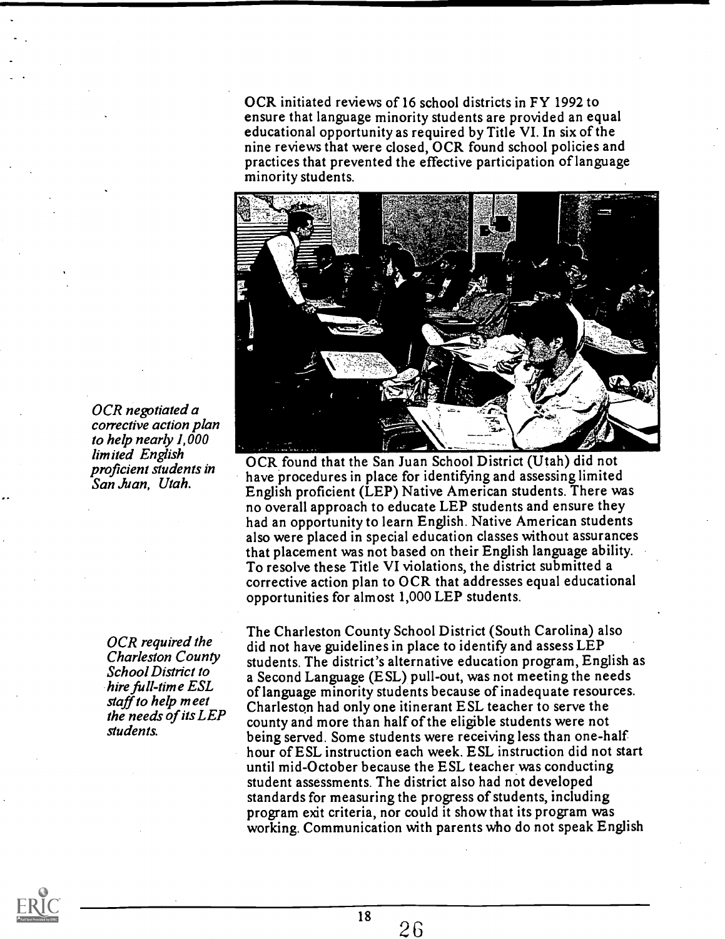OCR initiated reviews of 16 school districts in FY 1992 to ensure that language minority students are provided an equal educational opportunity as required by Title VI. In six of the nine reviews that were closed, OCR found school policies and practices that prevented the effective participation of language minority students.



OCR found that the San Juan School District (Utah) did not have procedures in place for identifying and assessing limited English proficient (LEP) Native American students. There was no overall approach to educate LEP students and ensure they had an opportunity to learn English. Native American students also were placed in special education classes without assurances that placement was not based on their English language ability. To resolve these Title VI violations, the district submitted a corrective action plan to OCR that addresses equal educational opportunities for almost 1,000 LEP students.

The Charleston County School District (South Carolina) also did not have guidelines in place to identify and assess LEP students. The district's alternative education program, English as a Second Language (ESL) pull-out, was not meeting the needs of language minority students because of inadequate resources. Charleston had only one itinerant ESL teacher to serve the county and more than half of the eligible students were not being served. Some students were receiving less than one-half hour of ESL instruction each week. ESL instruction did not start until mid-October because the ESL teacher was conducting student assessments. The district also had not developed standards for measuring the progress of students, including program exit criteria, nor could it show that its program was working. Communication with parents who do not speak English

OCR negotiated a corrective action plan to help nearly 1,000 limited English proficient students in San Juan, Utah.

> OCR required the Charleston County School District to hire full-time ESL staff to help meet the needs of its LEP students.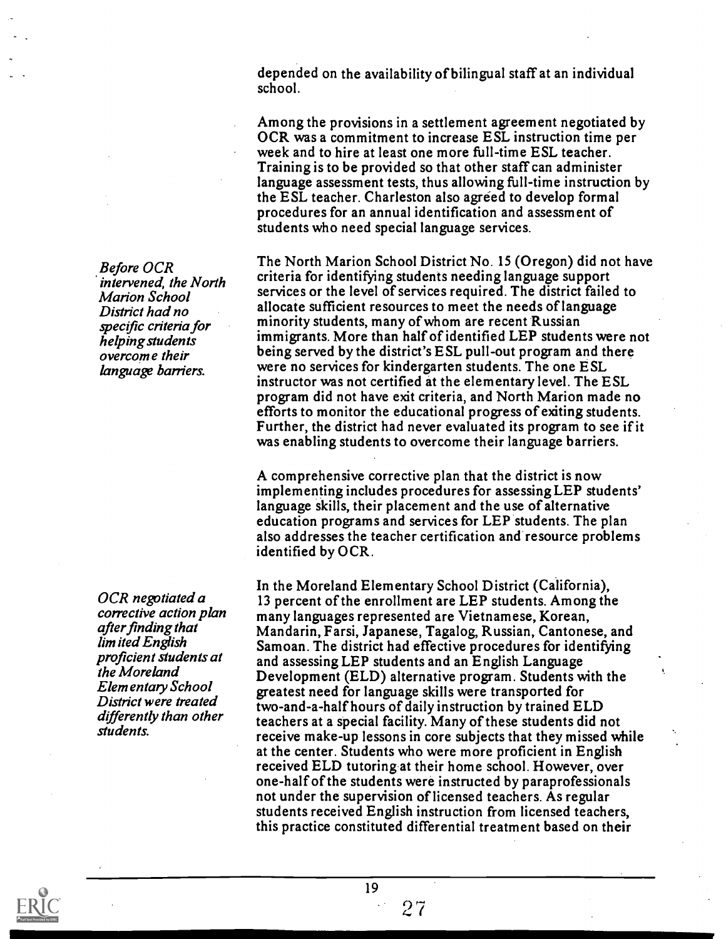depended on the availability of bilingual staff at an individual school.

Among the provisions in a settlement agreement negotiated by OCR was a commitment to increase ESL instruction time per week and to hire at least one more full-time ESL teacher. Training is to be provided so that other staff can administer language assessment tests, thus allowing full-time instruction by the ESL teacher. Charleston also agreed to develop formal procedures for an annual identification and assessment of students who need special language services.

The North Marion School District No. 15 (Oregon) did not have criteria for identifying students needing language support services or the level of services required. The district failed to allocate sufficient resources to meet the needs oflanguage minority students, many of whom are recent Russian immigrants. More than half of identified LEP students were not being served by the district's ESL pull-out program and there were no services for kindergarten students. The one ESL instructor was not certified at the elementary level. The ESL program did not have exit criteria, and North Marion made no efforts to monitor the educational progress of exiting students. Further, the district had never evaluated its program to see if it was enabling students to overcome their language barriers.

A comprehensive corrective plan that the district is now implementing includes procedures for assessing LEP students' language skills, their placement and the use of alternative education programs and services for LEP students. The plan also addresses the teacher certification and resource problems identified by OCR.

In the Moreland Elementary School District (California), 13 percent of the enrollment are LEP students. Among the many languages represented are Vietnamese, Korean, Mandarin, Farsi, Japanese, Tagalog, Russian, Cantonese, and Samoan. The district had effective procedures for identifying and assessing LEP students and an English Language Development (ELD) alternative program. Students with the greatest need for language skills were transported for two-and-a-half hours of daily instruction by trained ELD teachers at a special facility. Many of these students did not receive make-up lessons in core subjects that they missed while at the center. Students who were more proficient in English received ELD tutoring at their home school. However, over one-half of the students were instructed by paraprofessionals not under the supervision of licensed teachers. As regular students received English instruction from licensed teachers, this practice constituted differential treatment based on their

Before OCR intervened, the North Marion School District had no specific criteria for helping students overcome their language barriers.

OCR negotiated a corrective action plan after finding that limited English proficient students at the Moreland Elementary School District were treated differently than other students.



27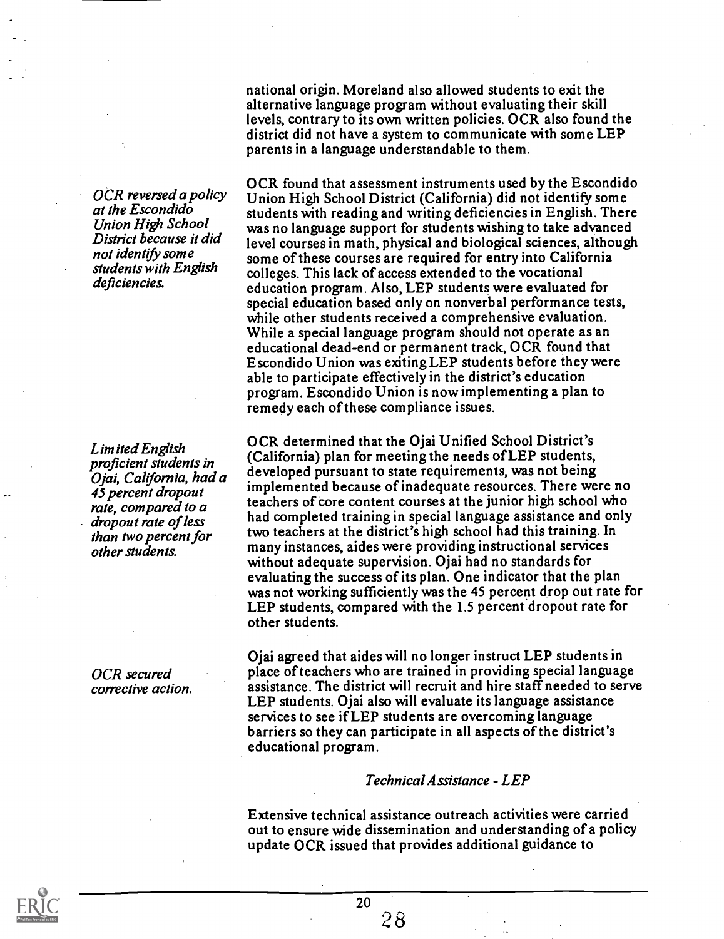OCR reversed a policy at the Escondido Union High School District because it did not identify some students with English deficiencies.

Limited English proficient students in Ojai, California, had a 45 percent dropout rate, compared to a dropout rate of less than two percent for other students.

OCR secured corrective action. national origin. Moreland also allowed students to exit the alternative language program without evaluating their skill levels, contrary to its own written policies. OCR also found the district did not have a system to communicate with some LEP parents in a language understandable to them.

OCR found that assessment instruments used by the Escondido Union High School District (California) did not identify some students with reading and writing deficiencies in English. There was no language support for students wishing to take advanced level courses in math, physical and biological sciences, although some of these courses are required for entry into California colleges. This lack of access extended to the vocational education program. Also, LEP students were evaluated for special education based only on nonverbal performance tests, while other students received a comprehensive evaluation. While a special language program should not operate as an educational dead-end or permanent track, OCR found that Escondido Union was exiting LEP students before they were able to participate effectively in the district's education program. Escondido Union is now implementing a plan to remedy each of these compliance issues.

OCR determined that the Ojai Unified School District's (California) plan for meeting the needs of LEP students, developed pursuant to state requirements, was not being implemented because of inadequate resources. There were no teachers of core content courses at the junior high school who had completed training in special language assistance and only two teachers at the district's high school had this training. In many instances, aides were providing instructional services without adequate supervision. Ojai had no standards for evaluating the success of its plan. One indicator that the plan was not working sufficiently was the 45 percent drop out rate for LEP students, compared with the 1.5 percent dropout rate for other students.

Ojai agreed that aides will no longer instruct LEP students in place of teachers who are trained in providing special language assistance. The district will recruit and hire staff needed to serve LEP students. Ojai also will evaluate its language assistance services to see if LEP students are overcoming language barriers so they can participate in all aspects of the district's educational program.

#### Technical Assistance - LEP

Extensive technical assistance outreach activities were carried out to ensure wide dissemination and understanding of a policy update OCR issued that provides additional guidance to

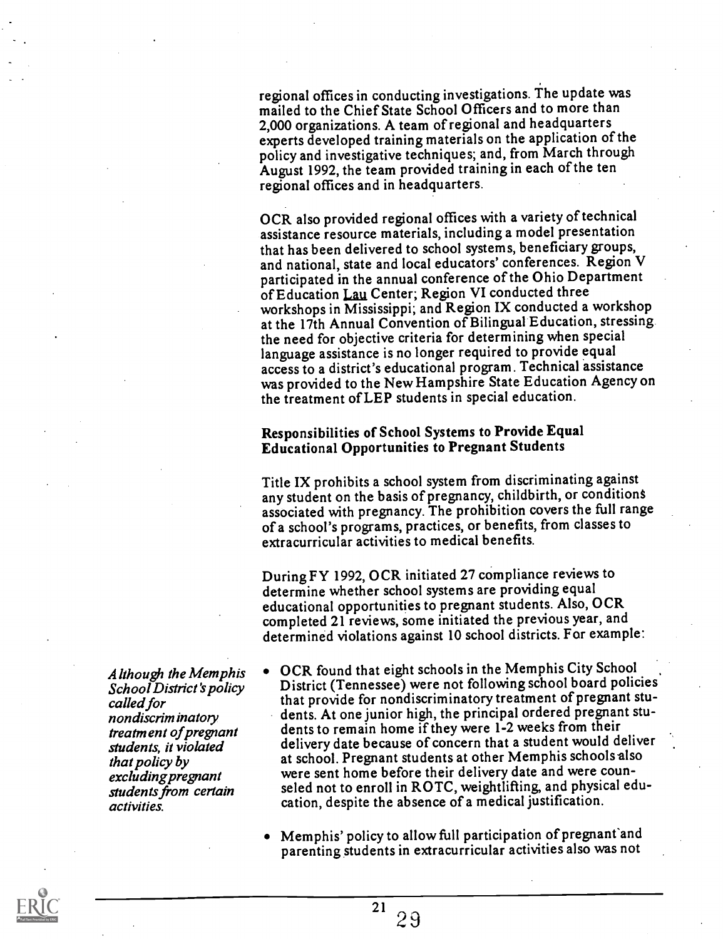regional offices in conducting investigations. The update was mailed to the Chief State School Officers and to more than 2,000 organizations. A team of regional and headquarters experts developed training materials on the application of the policy and investigative techniques; and, from March through August 1992, the team provided training in each of the ten regional offices and in headquarters.

OCR also provided regional offices with a variety of technical assistance resource materials, including a model presentation that has been delivered to school systems, beneficiary groups, and national, state and local educators' conferences. Region V participated in the annual conference of the Ohio Department of Education Lau Center; Region VI conducted three workshops in Mississippi; and Region IX conducted a workshop at the 17th Annual Convention of Bilingual Education, stressing the need for objective criteria for determining when special language assistance is no longer required to provide equal access to a district's educational program. Technical assistance was provided to the New Hampshire State Education Agency on the treatment ofLEP students in special education.

#### Responsibilities of School Systems to Provide Equal Educational Opportunities to Pregnant Students

Title IX prohibits a school system from discriminating against any student on the basis of pregnancy, childbirth, or conditions associated with pregnancy. The prohibition covers the full range of a school's programs, practices, or benefits, from classes to extracurricular activities to medical benefits.

During FY 1992, OCR initiated 27 compliance reviews to determine whether school systems are providing equal educational opportunities to pregnant students. Also, OCR completed 21 reviews, some initiated the previous year, and determined violations against 10 school districts. For example:

Although the Memphis School District's policy called for<br>nondiscrim inatory treatment of pregnant students, it violated that policy by excluding pregnant students from certain activities.

- OCR found that eight schools in the Memphis City School District (Tennessee) were not following school board policies that provide for nondiscriminatory treatment of pregnant students. At one junior high, the principal ordered pregnant students to remain home if they were 1-2 weeks from their delivery date because of concern that a student would deliver at school. Pregnant students at other Memphis schools also were sent home before their delivery date and were counseled not to enroll in ROTC, weightlifting, and physical education, despite the absence of a medical justification.
- Memphis' policy to allow full participation of pregnant and parenting students in extracurricular activities also was not

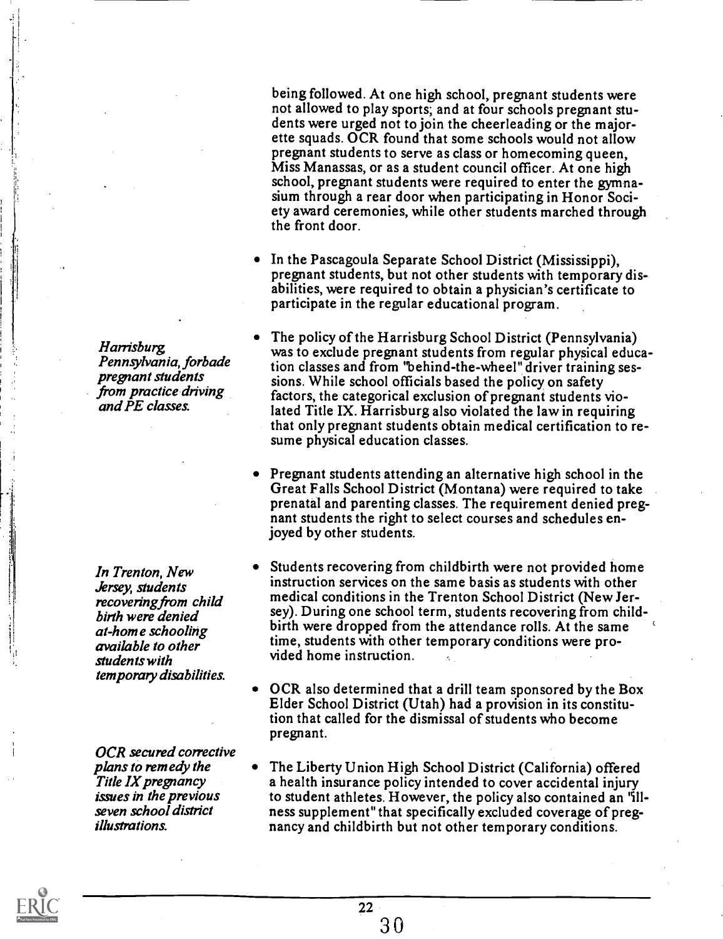being followed. At one high school, pregnant students were not allowed to play sports; and at four schools pregnant students were urged not to join the cheerleading or the majorette squads. OCR found that some schools would not allow pregnant students to serve as class or homecoming queen, Miss Manassas, or as a student council officer. At one high school, pregnant students were required to enter the gymnasium through a rear door when participating in Honor Society award ceremonies, while other students marched through the front door.

- In the Pascagoula Separate School District (Mississippi), pregnant students, but not other students with temporary disabilities, were required to obtain a physician's certificate to participate in the regular educational program.
- The policy of the Harrisburg School District (Pennsylvania) was to exclude pregnant students from regular physical education classes and from "behind-the-wheel" driver training sessions. While school officials based the policy on safety factors, the categorical exclusion of pregnant students violated Title IX. Harrisburg also violated the law in requiring that only pregnant students obtain medical certification to resume physical education classes.
- Pregnant students attending an alternative high school in the Great Falls School District (Montana) were required to take prenatal and parenting classes. The requirement denied pregnant students the right to select courses and schedules enjoyed by other students.
- Students recovering from childbirth were not provided home instruction services on the same basis as students with other medical conditions in the Trenton School District (New Jersey). During one school term, students recovering from childbirth were dropped from the attendance rolls. At the same time, students with other temporary conditions were provided home instruction.
- OCR also determined that a drill team sponsored by the Box Elder School District (Utah) had a provision in its constitution that called for the dismissal of students who become pregnant.
- The Liberty Union High School District (California) offered a health insurance policy intended to cover accidental injury to student athletes. However, the policy also contained an 'illness supplement" that specifically excluded coverage of pregnancy and childbirth but not other temporary conditions.

Harrisburg. Pennsylvania, forbade pregnant students from practice driving and PE classes.

In Trenton, New Jersey, students recovering from child birth were denied at-home schooling available to other students with temporary disabilities.

OCR secured corrective plans to remedy the Title IX pregnancy issues in the previous seven school district illustrations.

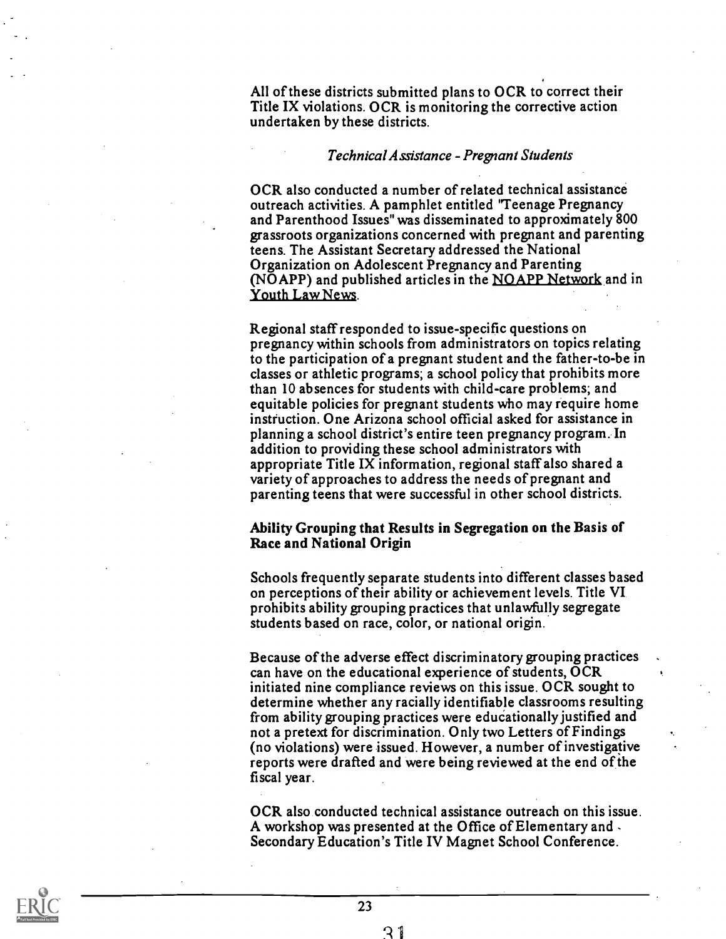All of these districts submitted plans to OCR to correct their Title IX violations. OCR is monitoring the corrective action undertaken by these districts.

#### Technical Assistance - Pregnant Students

OCR also conducted a number of related technical assistance outreach activities. A pamphlet entitled 'Teenage Pregnancy and Parenthood Issues" was disseminated to approximately 800 grassroots organizations concerned with pregnant and parenting teens. The Assistant Secretary addressed the National Organization on Adolescent Pregnancy and Parenting (NOAPP) and published articles in the NOAPP Network and in Youth Law News.

Regional staff responded to issue-specific questions on pregnancy within schools from administrators on topics relating to the participation of a pregnant student and the father-to-be in classes or athletic programs; a school policy that prohibits more than 10 absences for students with child-care problems; and equitable policies for pregnant students who may require home instruction. One Arizona school official asked for assistance in planning a school district's entire teen pregnancy program. In addition to providing these school administrators with appropriate Title IX information, regional staff also shared a variety of approaches to address the needs of pregnant and parenting teens that were successful in other school districts.

#### Ability Grouping that Results in Segregation on the Basis of Race and National Origin

Schools frequently separate students into different classes based on perceptions of their ability or achievement levels. Title VI prohibits ability grouping practices that unlawfully segregate students based on race, color, or national origin.

Because of the adverse effect discriminatory grouping practices can have on the educational experience of students, OCR initiated nine compliance reviews on this issue. OCR sought to determine whether any racially identifiable classrooms resulting from ability grouping practices were educationally justified and not a pretext for discrimination. Only two Letters of Findings (no violations) were issued. However, a number of investigative reports were drafted and were being reviewed at the end of the fiscal year.

OCR also conducted technical assistance outreach on this issue. A workshop was presented at the Office of Elementary and , Secondary Education's Title IV Magnet School Conference.



23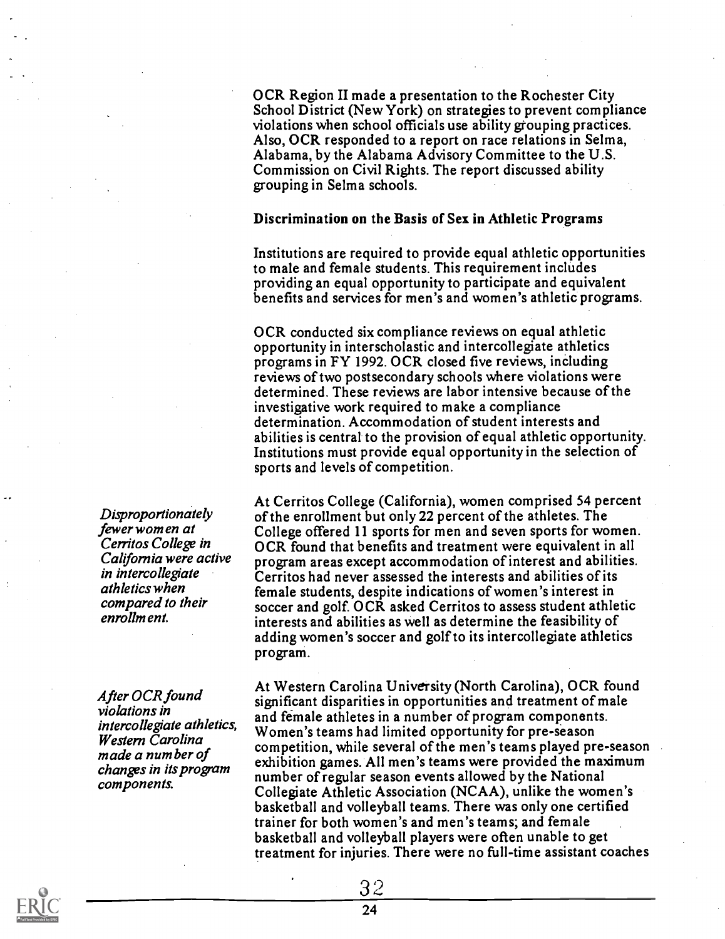OCR Region II made a presentation to the Rochester City School District (New York) on strategies to prevent compliance violations when school officials use ability grouping practices. Also, OCR responded to a report on race relations in Selma, Alabama, by the Alabama Advisory Committee to the U.S. Commission on Civil Rights. The report discussed ability grouping in Selma schools.

#### Discrimination on the Basis of Sex in Athletic Programs

Institutions are required to provide equal athletic opportunities to male and female students. This requirement includes providing an equal opportunity to participate and equivalent benefits and services for men's and women's athletic programs.

OCR conducted six compliance reviews on equal athletic opportunity in interscholastic and intercollegiate athletics programs in FY 1992. OCR closed five reviews, inCluding reviews of two postsecondary schools where violations were determined. These reviews are labor intensive because of the investigative work required to make a compliance determination. Accommodation of student interests and abilities is central to the provision of equal athletic opportunity. Institutions must provide equal opportunity in the selection of sports and levels of competition.

At Cerritos College (California), women comprised 54 percent of the enrollment but only 22 percent of the athletes. The College offered 11 sports for men and seven sports for women. OCR found that benefits and treatment were equivalent in all program areas except accommodation of interest and abilities. Cerritos had never assessed the interests and abilities of its female students, despite indications of women's interest in soccer and golf. OCR asked Cerritos to assess student athletic interests and abilities as well as determine the feasibility of adding women's soccer and golf to its intercollegiate athletics program.

At Western Carolina University (North Carolina), OCR found significant disparities in opportunities and treatment of male and female athletes in a number of program components. Women's teams had limited opportunity for pre-season competition, while several of the men's teams played pre-season exhibition games. All men's teams were provided the maximum number of regular season events allowed by the National Collegiate Athletic Association (NCAA), unlike the women's basketball and volleyball teams. There was only one certified trainer for both women's and men's teams; and female basketball and volleyball players were often unable to get treatment for injuries. There were no full-time assistant coaches

Disproportionately fewer women at Cerritos College in California were active in intercollegiate athletics when compared to their enrollment.

After OCR found violations in intercollegiate athletics, Western Carolina made a number of changes in its program components.

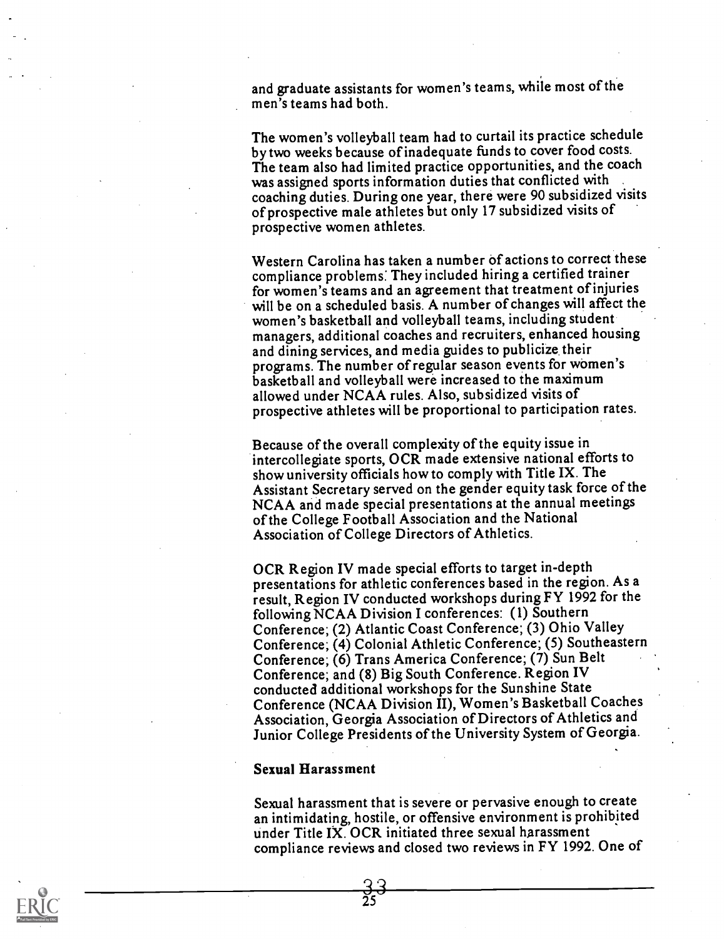and graduate assistants for women's teams, while most of the men's teams had both.

The women's volleyball team had to curtail its practice schedule by two weeks because of inadequate funds to cover food costs. The team also had limited practice opportunities, and the coach was assigned sports information duties that conflicted with coaching duties. During one year, there were 90 subsidized visits of prospective male athletes but only 17 subsidized visits of prospective women athletes.

Western Carolina has taken a number of actions to correct these compliance problems: They included hiring a certified trainer for women's teams and an agreement that treatment of injuries will be on a scheduled basis. A number of changes will affect the women's basketball and volleyball teams, including student managers, additional coaches and recruiters, enhanced housing and dining services, and media guides to publicize, their programs. The number of regular season events for women's basketball and volleyball were increased to the maximum allowed under NCAA rules. Also, subsidized visits of prospective athletes will be proportional to participation rates.

Because of the overall complexity of the equity issue in intercollegiate sports, OCR made extensive national efforts to show university officials how to comply with Title IX. The Assistant Secretary served on the gender equity task force of the NCAA and made special presentations at the annual meetings of the College Football Association and the National Association of College Directors of Athletics.

OCR Region IV made special efforts to target in-depth presentations for athletic conferences based in the region. As a result, Region IV conducted workshops during FY 1992 for the following NCAA Division I conferences: (1) Southern Conference; (2) Atlantic Coast Conference; (3) Ohio Valley Conference; (4) Colonial Athletic Conference; (5) Southeastern Conference; (6) Trans America Conference; (7) Sun Belt Conference; and (8) Big South Conference. Region IV conducted additional workshops for the Sunshine State Conference (NCAA Division II), Women's Basketball Coaches Association, Georgia Association of Directors of Athletics and Junior College Presidents of the University System of Georgia.

#### Sexual Harassment

Sexual harassment that is severe or pervasive enough to create an intimidating, hostile, or offensive environment is prohibited under Title IX. OCR initiated three sexual harassment compliance reviews and closed two reviews in FY 1992. One of

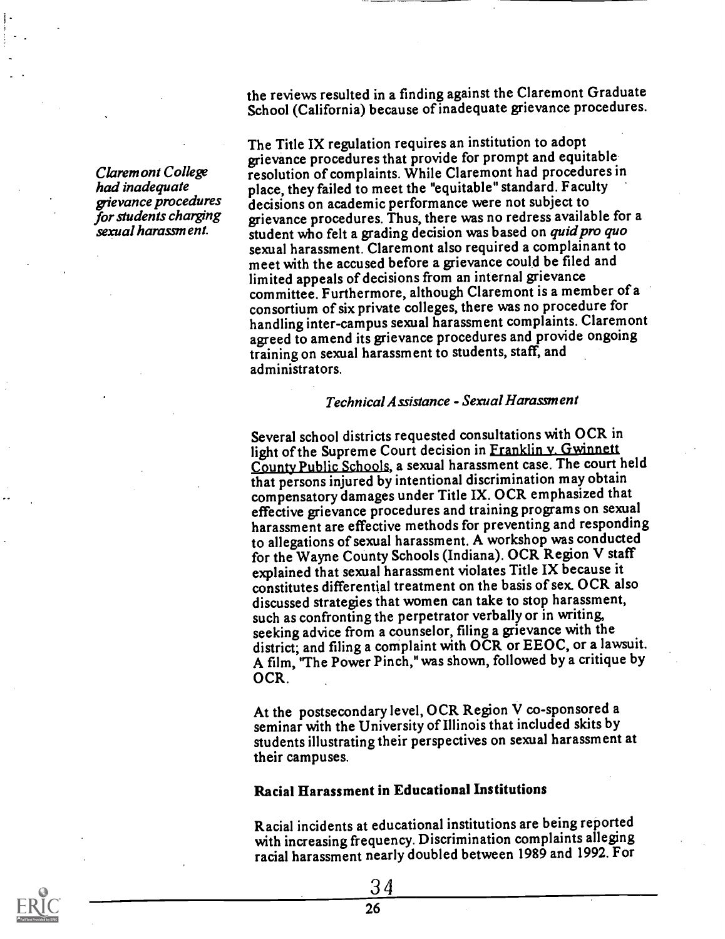Claremont College had inadequate grievance procedures for students charging sexual harassment.

the reviews resulted in a finding against the Claremont Graduate School (California) because of inadequate grievance procedures.

The Title IX regulation requires an institution to adopt grievance procedures that provide for prompt and equitable resolution of complaints. While Claremont had procedures in place, they failed to meet the "equitable" standard. Faculty decisions on academic performance were not subject to grievance procedures. Thus, there was no redress available for a student who felt a grading decision was based on *quid pro quo* sexual harassment. Claremont also required a complainant to meet with the accused before a grievance could be filed and limited appeals of decisions from an internal grievance committee. Furthermore, although Claremont is a member of a consortium of six private colleges, there was no procedure for handling inter-campus sexual harassment complaints. Claremont agreed to amend its grievance procedures and provide ongoing training on sexual harassment to students, staff, and administrators.

#### Technical Assistance - Sexual Harassment

Several school districts requested consultations with OCR in light of the Supreme Court decision in Franklin v. Gwinnett County Public Schools, a sexual harassment case. The court held that persons injured by intentional discrimination may obtain compensatory damages under Title IX. OCR emphasized that effective grievance procedures and training programs on sexual harassment are effective methods for preventing and responding to allegations of sexual harassment. A workshop was conducted for the Wayne County Schools (Indiana). OCR Region V staff explained that sexual harassment violates Title IX because it constitutes differential treatment on the basis of sex. OCR also discussed strategies that women can take to stop harassment, such as confronting the perpetrator verbally or in writing, seeking advice from a counselor, filing a grievance with the district; and filing a complaint with OCR or EEOC, or a lawsuit. A film, 'The Power Pinch," was shown, followed by a critique by OCR.

At the postsecondary level, OCR Region V co-sponsored a seminar with the University of Illinois that included skits by students illustrating their perspectives on sexual harassment at their campuses.

#### Racial Harassment in Educational Institutions

Racial incidents at educational institutions are being reported with increasing frequency. Discrimination complaints alleging racial harassment nearly doubled between 1989 and 1992. For

3 4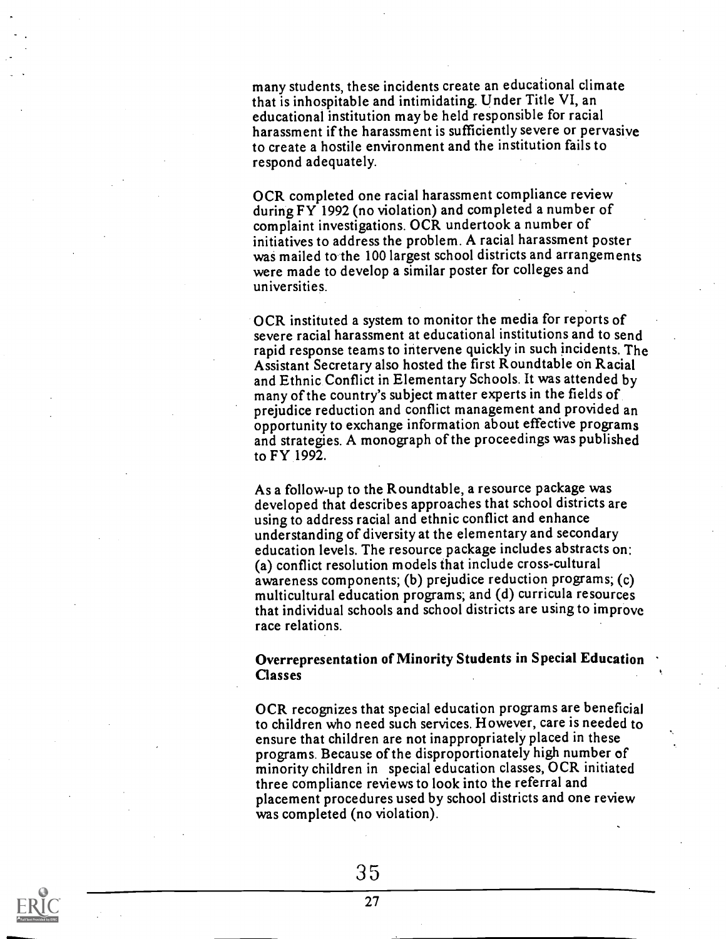many students, these incidents create an educational climate that is inhospitable and intimidating. Under Title VI, an educational institution may be held responsible for racial harassment if the harassment is sufficiently severe or pervasive to create a hostile environment and the institution fails to respond adequately.

OCR completed one racial harassment compliance review during FY 1992 (no violation) and completed a number of complaint investigations. OCR undertook a number of initiatives to address the problem. A racial harassment poster was mailed to the 100 largest school districts and arrangements were made to develop a similar poster for colleges and universities.

OCR instituted a system to monitor the media for reports of severe racial harassment at educational institutions and to send rapid response teams to intervene quickly in such incidents. The Assistant Secretary also hosted the first Roundtable on Racial and Ethnic Conflict in Elementary Schools. It was attended by many of the country's subject matter experts in the fields of prejudice reduction and conflict management and provided an opportunity to exchange information about effective programs and strategies. A monograph of the proceedings was published to FY 1992.

As a follow-up to the Roundtable, a resource package was developed that describes approaches that school districts are using to address racial and ethnic conflict and enhance understanding of diversity at the elementary and secondary education levels. The resource package includes abstracts on: (a) conflict resolution models that include cross-cultural awareness components; (b) prejudice reduction progams; (c) multicultural education programs; and (d) curricula resources that individual schools and school districts are using to improve race relations.

#### Overrepresentation of Minority Students in Special Education Classes

OCR recognizes that special education programs are beneficial to children who need such services. However, care is needed to ensure that children are not inappropriately placed in these programs. Because of the disproportionately high number of minority children in special education classes, OCR initiated three compliance reviews to look into the referral and placement procedures used by school districts and one review was completed (no violation).

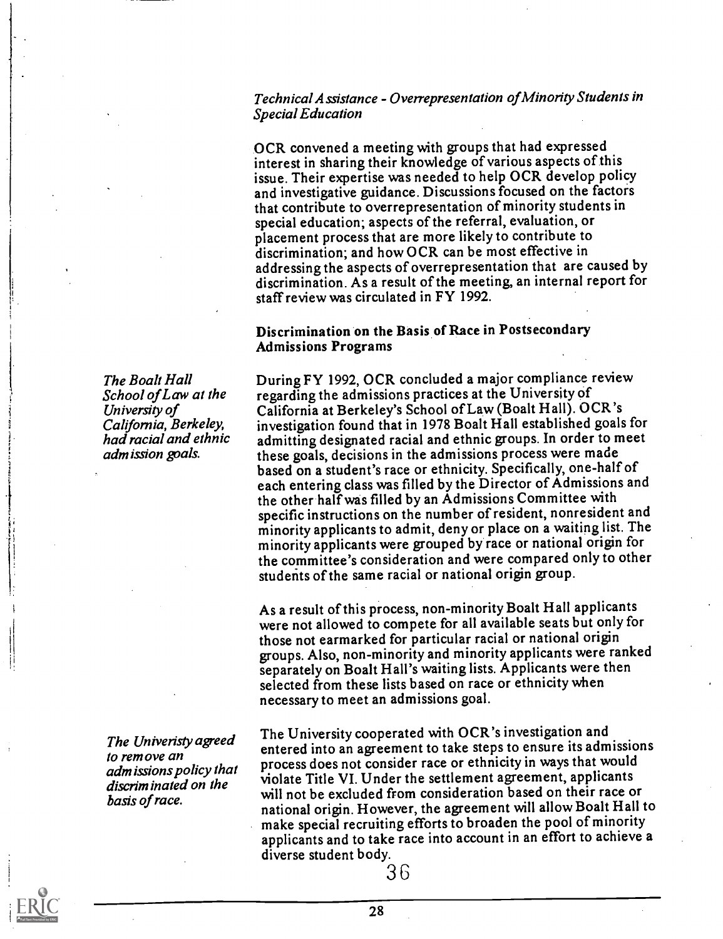Technical Assistance - Overrepresentation of Minority Students in Special Education

OCR convened a meeting with groups that had expressed interest in sharing their knowledge of various aspects of this issue. Their expertise was needed to help OCR develop policy and investigative guidance. Discussions focused on the factors that contribute to overrepresentation of minority students in special education; aspects of the referral, evaluation, or placement process that are more likely to contribute to discrimination; and how OCR can be most effective in addressing the aspects of overrepresentation that are caused by discrimination. As a result of the meeting, an internal report for staff review was circulated in FY 1992.

#### Discrimination on the Basis of Race in Postsecondary Admissions Programs

During FY 1992, OCR concluded a major compliance review regarding the admissions practices at the University of California at Berkeley's School of Law (Boalt Hall). OCR's investigation found that in 1978 Boalt Hall established goals for admitting designated racial and ethnic groups. In order to meet these goals, decisions in the admissions process were made based on a student's race or ethnicity. Specifically, one-halfof each entering class was filled by the Director of Admissions and the other half was filled by an Admissions Committee with specific instructions on the number of resident, nonresident and minority applicants to admit, deny or place on a waiting list. The minority applicants were grouped by race or national origin for the committee's consideration and were compared only to other students of the same racial or national origin group.

As a result of this process, non-minority Boalt Hall applicants were not allowed to compete for all available seats but only for those not earmarked for particular racial or national origin groups. Also, non-minority and minority applicants were ranked separately on Boalt Hall's waiting lists. Applicants were then selected from these lists based on race or ethnicity when necessary to meet an admissions goal.

The University cooperated with OCR's investigation and entered into an agreement to take steps to ensure its admissions process does not consider race or ethnicity in ways that would violate Title VI. Under the settlement agreement, applicants will not be excluded from consideration based on their race or national origin. However, the agreement will allow Boalt Hall to make special recruiting efforts to broaden the pool of minority applicants and to take race into account in an effort to achieve a diverse student body.

The Boalt Hall School of Law at the University of California, Berkeley, had racial and ethnic adm ission goals.

The Univeristy agreed to remove an admissions policy that discriminated on the basis of race.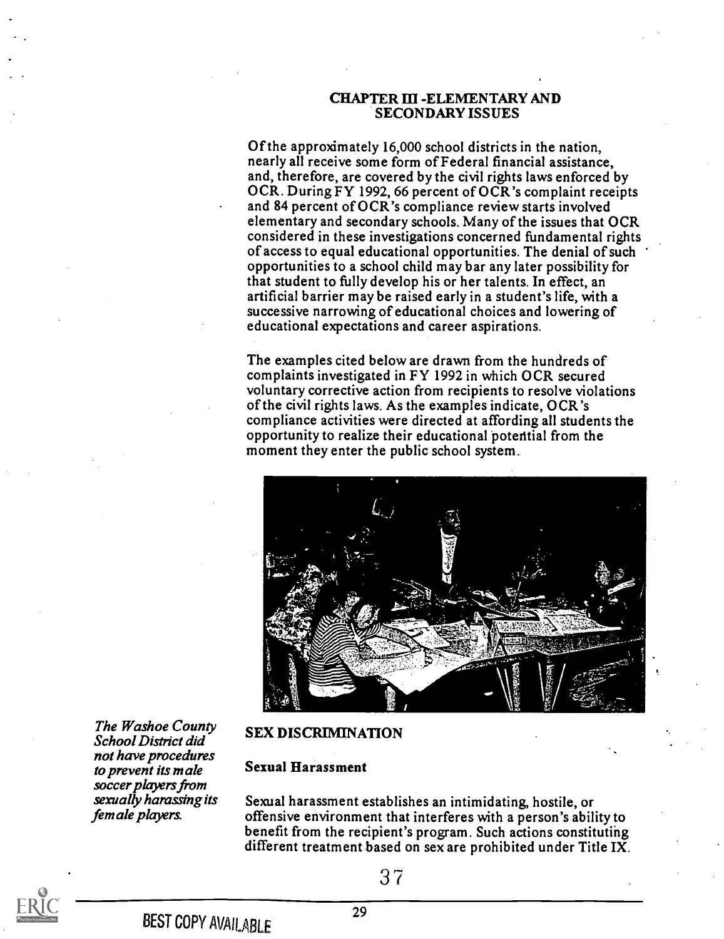#### CHAPTER III -ELEMENTARY AND SECONDARY ISSUES

Of the approximately 16,000 school districts in the nation, nearly all receive some form of Federal financial assistance, and, therefore, are covered by the civil rights laws enforced by OCR. During FY 1992, 66 percent of OCR's complaint receipts and 84 percent of OCR's compliance review starts involved elementary and secondary schools. Many of the issues that OCR considered in these investigations concerned fundamental rights of access to equal educational opportunities. The denial of such opportunities to a school child may bar any later possibility for that student to fully develop his or her talents. In effect, an artificial barrier may be raised early in a student's life, with a successive narrowing of educational choices and lowering of educational expectations and career aspirations.

The examples cited below are drawn from the hundreds of complaints investigated in FY 1992 in which OCR secured voluntary corrective action from recipients to resolve violations of the civil rights laws. As the examples indicate, OCR's compliance activities were directed at affording all students the opportunity to realize their educational potential from the moment they enter the public school system.



The Washoe County School District did not have procedures to prevent its male soccer players from sexually harassing its female players.

#### SEX DISCRIMINATION

#### Sexual Harassment

Sexual harassment establishes an intimidating, hostile, or offensive environment that interferes with a person's ability to benefit from the recipient's program. Such actions constituting different treatment based on sex are prohibited under Title IX.

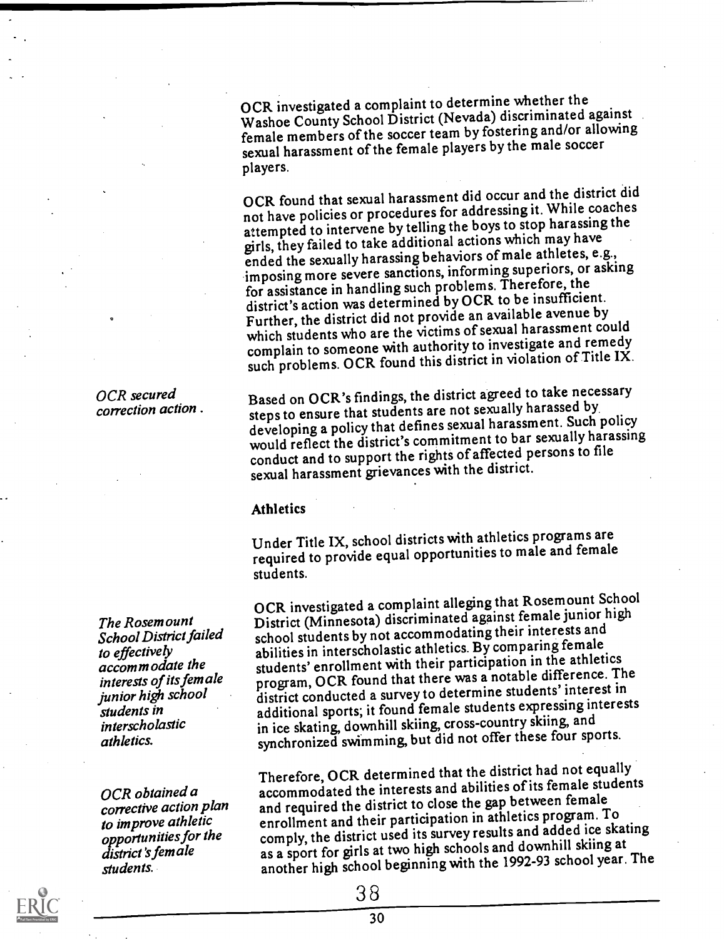OCR investigated a complaint to determine whether the Washoe County School District (Nevada) discriminated against female members of the soccer team by fostering and/or allowing sexual harassment of the female players by the male soccer players.

OCR found that sexual harassment did occur and the district did not have policies or procedures for addressing it. While coaches attempted to intervene by telling the boys to stop harassing the girls, they failed to take additional actions which may have ended the sexually harassing behaviors of male athletes, e.g., imposing more severe sanctions, informing superiors, or asking for assistance in handling such problems. Therefore, the district's action was determined by OCR to be insufficient. Further, the district did not provide an available avenue by which students who are the victims of sexual harassment could complain to someone with authority to investigate and remedy such problems. OCR found this district in violation of Title IX.

Based on OCR's findings, the district agreed to take necessary steps to ensure that students are not sexually harassed by developing a policy that defines sexual harassment. Such policy would reflect the district's commitment to bar sexually harassing conduct and to support the rights of affected persons to file sexual harassment grievances with the district.

#### Athletics

Under Title IX, school districts with athletics programs are required to provide equal opportunities to male and female students.

OCR investigated a complaint allegjng that Rosemount School District (Minnesota) discriminated against female junior high school students by not accommodating their interests and abilities in interscholastic athletics. By comparing female students' enrollment with their participation in the athletics program, OCR found that there was a notable difference. The district conducted a survey to determine students' interest in additional sports; it found female students expressing interests in ice skating, downhill skiing, cross-country skiing, and synchronized swimming, but did not offer these four sports.

Therefore, OCR determined that the district had not equally accommodated the interests and abilities of its female students and required the district to close the gap between female enrollment and their participation in athletics program. To comply, the district used its survey results and added ice skating as a sport for girls at two high schools and downhill skiing at another high school beginning with the 1992-93 school year. The

3 8

correction action .

OCR secured

The Rosemount School District failed to effectively accommodate the interests of its female junior high school students in interscholastic athletics.

OCR obtained a corrective action plan to improve athletic opportunities for the district's fem ale students.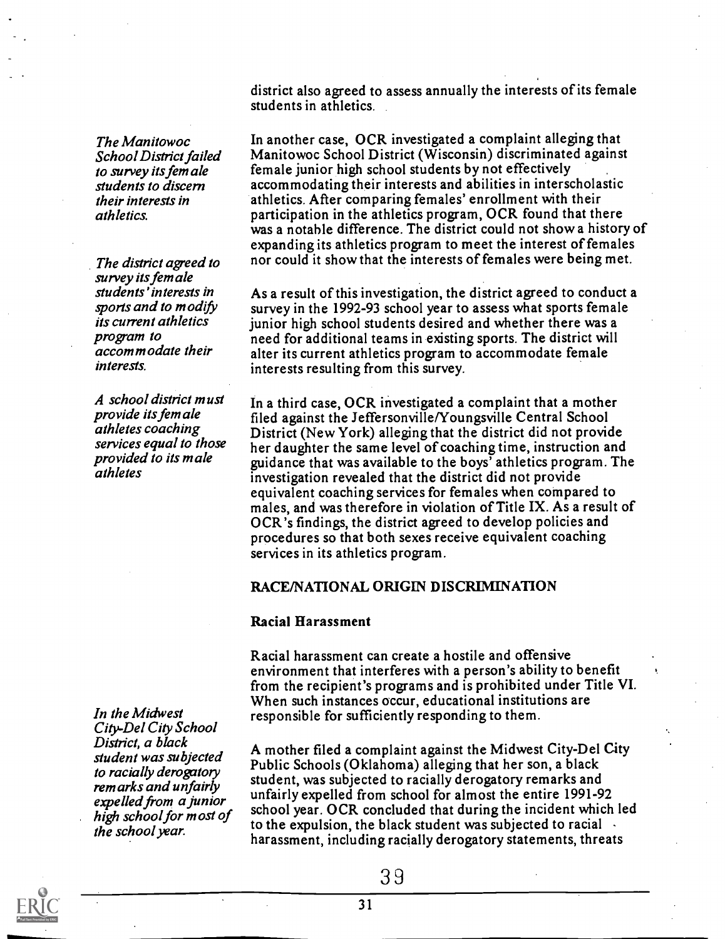The Manitowoc School District failed to survey its fem ale students to discern their interests in athletics.

The district agreed to survey its female students' interests in sports and to modify its current athletics program to accom m odate their interests.

A school district must provide its female athletes coaching services equal to those provided to its male athletes

In the Midwest City-Del City School District, a black student was subjected to racially derogatory remarks and unfairly expelled from a junior the school year.

district also agreed to assess annually the interests of its female students in athletics.

In another case, OCR investigated a complaint alleging that Manitowoc School District (Wisconsin) discriminated against female junior high school students by not effectively accommodating their interests and abilities in interscholastic athletics. After comparing females' enrollment with their participation in the athletics program, OCR found that there was a notable difference. The district could not show a history of expanding its athletics program to meet the interest of females nor could it show that the interests of females were being met.

As a result of this investigation, the district agreed to conduct a survey in the 1992-93 school year to assess what sports female junior high school students desired and whether there was a need for additional teams in existing sports. The district will alter its current athletics program to accommodate female interests resulting from this survey.

In a third case, OCR investigated a complaint that a mother filed against the Jeffersonville/Youngsville Central School District (New York) alleging that the district did not provide her daughter the same level of coaching time, instruction and guidance that was available to the boys' athletics program. The investigation revealed that the district did not provide equivalent coaching services for females when compared to males, and was therefore in violation of Title IX. As a result of OCR's findings, the district agreed to develop policies and procedures so that both sexes receive equivalent coaching services in its athletics program.

#### RACE/NATIONAL ORIGIN DISCRIMINATION

#### Racial Harassment

Racial harassment can create a hostile and offensive environment that interferes with a person's ability to benefit from the recipient's programs and is prohibited under Title VI. When such instances occur, educational institutions are responsible for sufficiently responding to them.

high school for most of soliton year. Our concluded that during the incluent which<br>the school war to the expulsion, the black student was subjected to racial A mother filed a complaint against the Midwest City-Del City Public Schools (Oklahoma) alleging that her son, a black student, was subjected to racially derogatory remarks and unfairly expelled from school for almost the entire 1991-92 school year. OCR concluded that during the incident which led harassment, including racially derogatory statements, threats

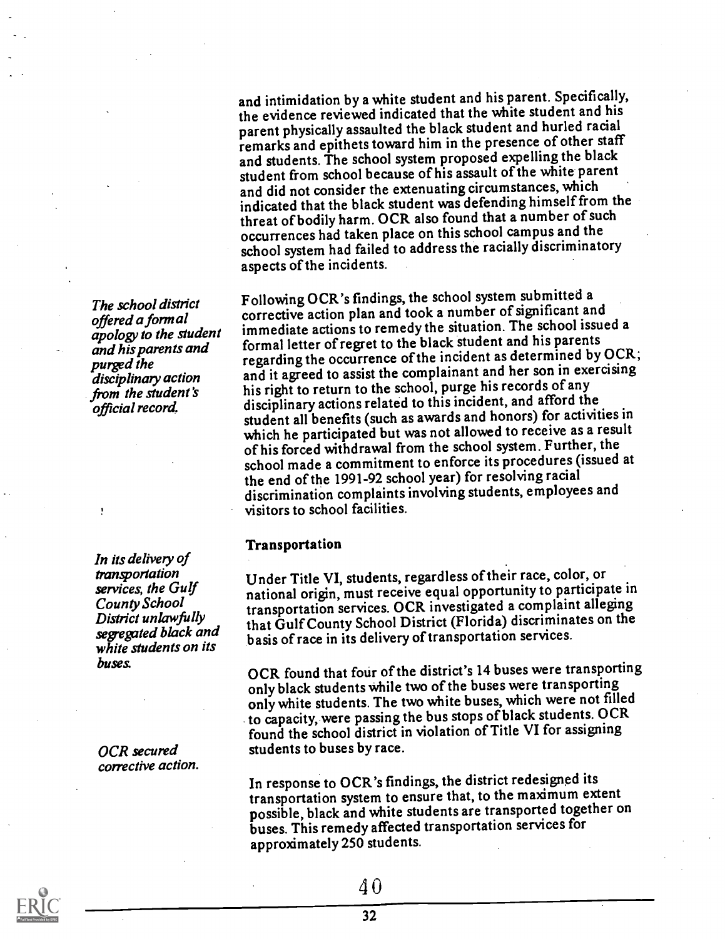and intimidation by a white student and his parent. Specifically, the evidence reviewed indicated that the white student and his parent physically assaulted the black student and hurled racial remarks and epithets toward him in the presence of other staff and students. The school system proposed expelling the black student from school because of his assault of the white parent and did not consider the extenuating circumstances, which indicated that the black student was defending himself from the threat of bodily harm. OCR also found that a number of such occurrences had taken place on this school campus and the school system had failed to address the racially discriminatory aspects of the incidents.

Following OCR's findings, the school system submitted a corrective action plan and took a number of significant and immediate actions to remedy the situation. The school issued a formal letter of regret to the black student and his parents regarding the occurrence of the incident as determined by OCR; and it agreed to assist the complainant and her son in exercising his right to return to the school, purge his records of any disciplinary actions related to this incident, and afford the student all benefits (such as awards and honors) for activities in which he participated but was not allowed to receive as a result of his forced withdrawal from the school system. Further, the school made a commitment to enforce its procedures (issued at the end of the 1991-92 school year) for resolving racial discrimination complaints involving students, employees and visitors to school facilities.

#### Transportation

Under Title VI, students, regardless of their race, color, or national origin, must receive equal opportunity to participate in transportation services. OCR investigated a complaint alleging that Gulf County School District (Florida) discriminates on the basis of race in its delivery of transportation services.

OCR found that four of the district's 14 buses were transporting only black students while two of the buses were transporting only white students. The two white buses, which were not filled to capacity, were passing the bus stops of black students. OCR found the school district in violation of Title VI for assigning students to buses by race.

In response to OCR's findings, the district redesigned its transportation system to ensure that, to the maximum extent possible, black and white students are transported together on buses. This remedy affected transportation services for approximately 250 students.

The school district offered a formal apology to the student and his parents and purged the disciplinary action from the student 's official record.

In its delivery of transportation services, the Gulf County School District unlawfully segegated black and white students on its buses.

OCR secured corrective action.

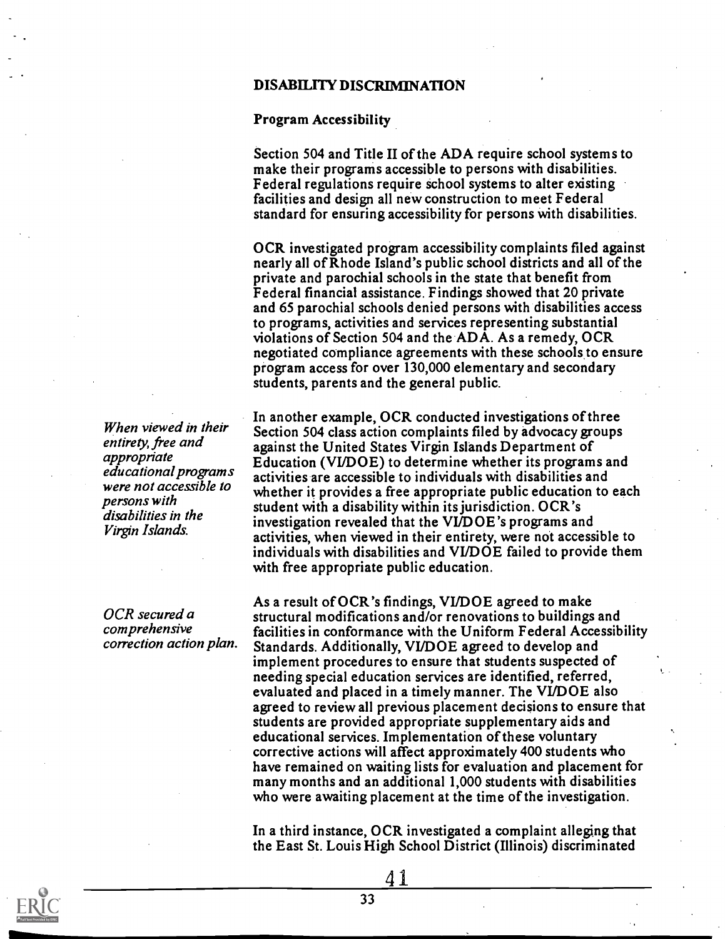#### DISABILITY DISCRIMINATION

Program Accessibility

Section 504 and Title II of the ADA require school systems to make their programs accessible to persons with disabilities. Federal regulations require school systems to alter existing facilities and design all new construction to meet Federal standard for ensuring accessibility for persons with disabilities.

OCR investigated program accessibility complaints filed against nearly all of Rhode Island's public school districts and all of the private and parochial schools in the state that benefit from Federal financial assistance. Findings showed that 20 private and 65 parochial schools denied persons with disabilities access to programs, activities and services representing substantial violations of Section 504 and the ADA. As a remedy, OCR negotiated compliance agreements with these schools to ensure. program access for over 130,000 elementary and secondary students, parents and the general public.

In another example, OCR conducted investigations of three Section 504 class action complaints filed by advocacy groups against the United States Virgin Islands Department of Education (VI/DOE) to determine whether its programs and activities are accessible to individuals with disabilities and whether it provides a free appropriate public education to each student with a disability within its jurisdiction. OCR's investigation revealed that the VI/DOE's programs and activities, when viewed in their entirety, were not accessible to individuals with disabilities and VI/DOE failed to provide them with free appropriate public education.

As a result of OCR's findings, VI/DOE agreed to make structural modifications and/or renovations to buildings and facilities in conformance with the Uniform Federal Accessibility Standards. Additionally, VI/DOE agreed to develop and implement procedures to ensure that students suspected of needing special education services are identified, referred, evaluated and placed in a timely manner. The VI/DOE also agreed to review all previous placement decisions to ensure that students are provided appropriate supplementary aids and educational services. Implementation of these voluntary corrective actions will affect approximately 400 students who have remained on waiting lists for evaluation and placement for many months and an additional 1,000 students with disabilities who were awaiting placement at the time of the investigation.

In a third instance, OCR investigated a complaint alleging that the East St. Louis High School District (Illinois) discriminated

4 1

When viewed in their entirety, free and appropriate educational program s were not accessible to persons with disabilities in the Virgin Islands.

OCR secured a comprehensive correction action plan.

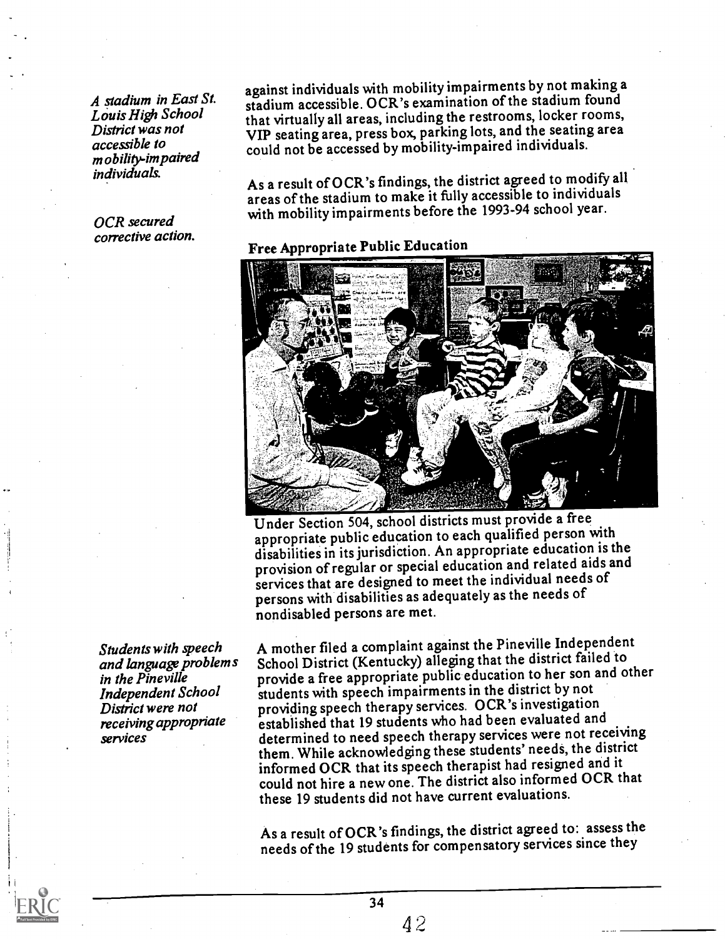A stadium in East St. Louis High School District was not accessible to mobility-impaired individuals.

OCR secured corrective action. against individuals with mobility impairments by not making a stadium accessible. OCR's examination of the stadium found that virtually all areas, including the restrooms, locker rooms, VIP seating area, press box, parking lots, and the seating area could not be accessed bymobility-impaired individuals.

As a result of OCR's findings, the district agreed to modify all areas of the stadium to make it fully accessible to individuals with mobility impairments before the 1993-94 school year.

# Free Appropriate Public Education



Under Section 504, school districts must provide a free appropriate public education to each qualified person with disabilities in its jurisdiction. An appropriate education is the provision of regular or special education and related aids and services that are designed to meet the individual needs of persons with disabilities as adequately as the needs of nondisabled persons are met.

A mother filed a complaint against the Pineville Independent School District (Kentucky) alleging that the district failed to provide a free appropriate public education to her son and other students with speech impairments in the district by not providing speech therapy services. OCR's investigation established that 19 students who had been evaluated and determined to need speech therapy services were not receiving them. While acknowledging these students' needs, the district informed OCR that its speech therapist had resigned and it could not hire a new one. The district also informed OCR that these 19 students did not have current evaluations.

As a result of OCR's findings, the district agreed to: assess the needs of the 19 students for compensatory services since they

Students with speech and language problems in the Pineville Independent School District were not receiving appropriate services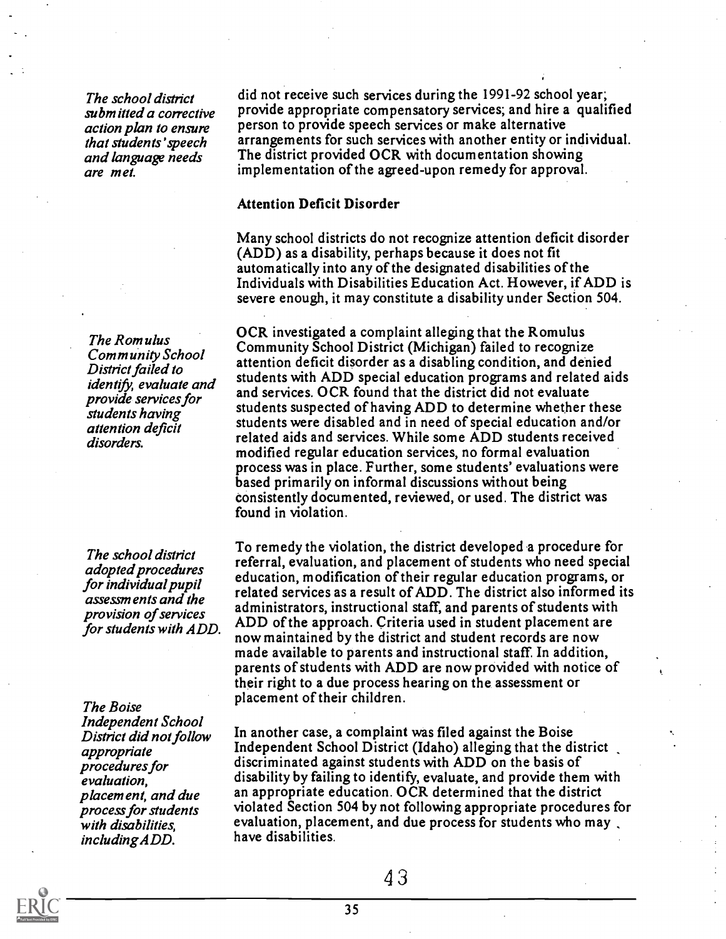The school district submitted a corrective action plan to ensure that students' speech and language needs are m et.

The Romulus Community School District failed to identify, evaluate and provide services for students having attention deficit disorders.

The school district adopted procedures for individual pupil assessments and the provision of services for students with ADD.

The Boise Independent School District did not follow appropriate procedures for evaluation, placement, and due process for students with disabilities, including ADD.

did not receive such services during the 1991-92 school year; provide appropriate compensatory services; and hire a qualified person to provide speech services or make alternative arrangements for such services with another entity or individual. The district provided OCR with documentation showing implementation of the agreed-upon remedy for approval.

#### Attention Deficit Disorder

Many school districts do not recognize attention deficit disorder (ADD) as a disability, perhaps because it does not fit automatically into any of the designated disabilities of the Individuals with Disabilities Education Act. However, if ADD is severe enough, it may constitute a disability under Section 504.

OCR investigated a complaint alleging that the Romulus Community School District (Michigan) failed to recognize attention deficit disorder as a disabling condition, and denied students with ADD special education programs and related aids and services. OCR found that the district did not evaluate students suspected of having ADD to determine whether these students were disabled and in need of special education and/or related aids and services. While some ADD students received modified regular education services, no formal evaluation process was in place. Further, some students' evaluations were based primarily on informal discussions without being consistently documented, reviewed, or used. The district was found in violation.

To remedy the violation, the district developed a procedure for referral, evaluation, and placement of students who need special education, modification of their regular education programs, or related services as a result of ADD. The district also informed its administrators, instructional staff, and parents of students with ADD of the approach. Criteria used in student placement are now maintained by the district and student records are now made available to parents and instructional staff. In addition, parents of students with ADD are now provided with notice of their right to a due process hearing on the assessment or placement of their children.

In another case, a complaint was filed against the Boise Independent School District (Idaho) alleging that the district discriminated against students with ADD on the basis of disability by failing to identify, evaluate, and provide them with an appropriate education. OCR determined that the district violated Section 504 by not following appropriate procedures for evaluation, placement, and due process for students who may. have disabilities.

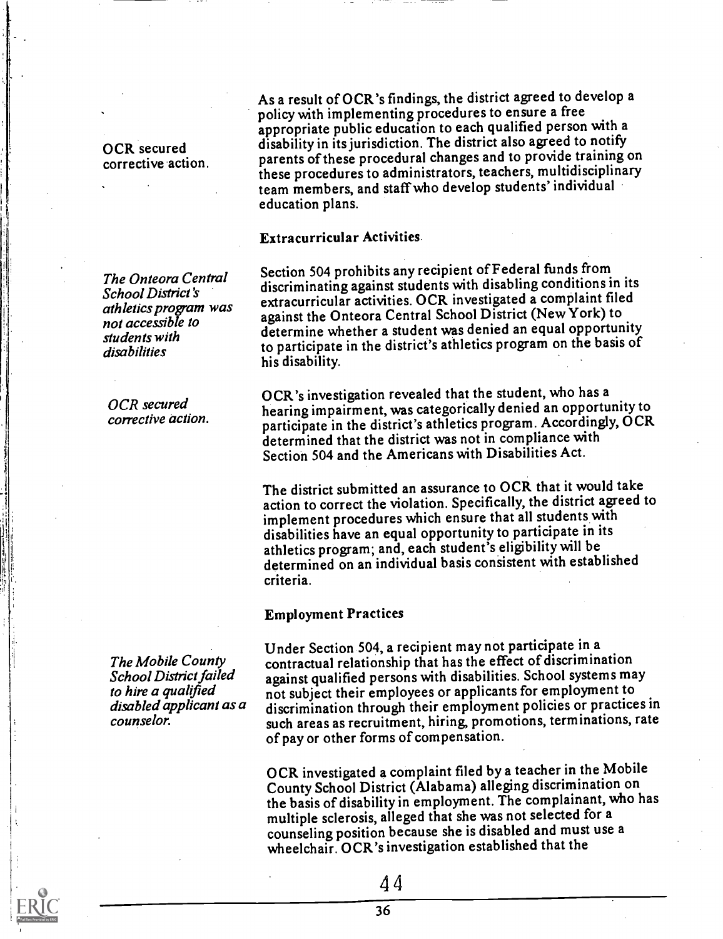OCR secured corrective action.

The Onteora Central School District 's athletics program was not accessible to students with disabilities

OCR secured corrective action.

The Mobile County School District failed to hire a qualified disabled applicant as a counselor.

As a result of OCR's findings, the district agreed to develop a policy with implementing procedures to ensure a free appropriate public education to each qualified person with a disability in its jurisdiction. The district also agreed to notify parents of these procedural changes and to provide training on these procedures to administrators, teachers, multidisciplinary team members, and staff who develop students' individual education plans.

#### Extracurricular Activities

Section 504 prohibits any recipient of Federal funds from discriminating against students with disabling conditions in its extracurricular activities. OCR investigated a complaint filed against the Onteora Central School District (New York) to determine whether a student was denied an equal opportunity to participate in the district's athletics program on the basis of his disability.

OCR's investigation revealed that the student, who has a hearing impairment, was categorically denied an opportunity to participate in the district's athletics program. Accordingly, OCR determined that the district was not in compliance with Section 504 and the Americans with Disabilities Act.

The district submitted an assurance to OCR that it would take action to correct the violation. Specifically, the district agreed to implement procedures which ensure that all students with disabilities have an equal opportunity to participate in its athletics program; and, each student's eligibility will be determined on an individual basis consistent with established criteria.

#### Employment Practices

Under Section 504, a recipient may not participate in a contractual relationship that has the effect of discrimination against qualified persons with disabilities. School systems may not subject their employees or applicants for employment to discrimination through their employment policies or practices in such areas as recruitment, hiring, promotions, terminations, rate of pay or other forms of compensation.

OCR investigated a complaint filed by a teacher in the Mobile County School District (Alabama) alleging discrimination on the basis of disability in employment. The complainant, who has multiple sclerosis, alleged that she was not selected for a counseling position because she is disabled and must use a wheelchair. OCR's investigation established that the

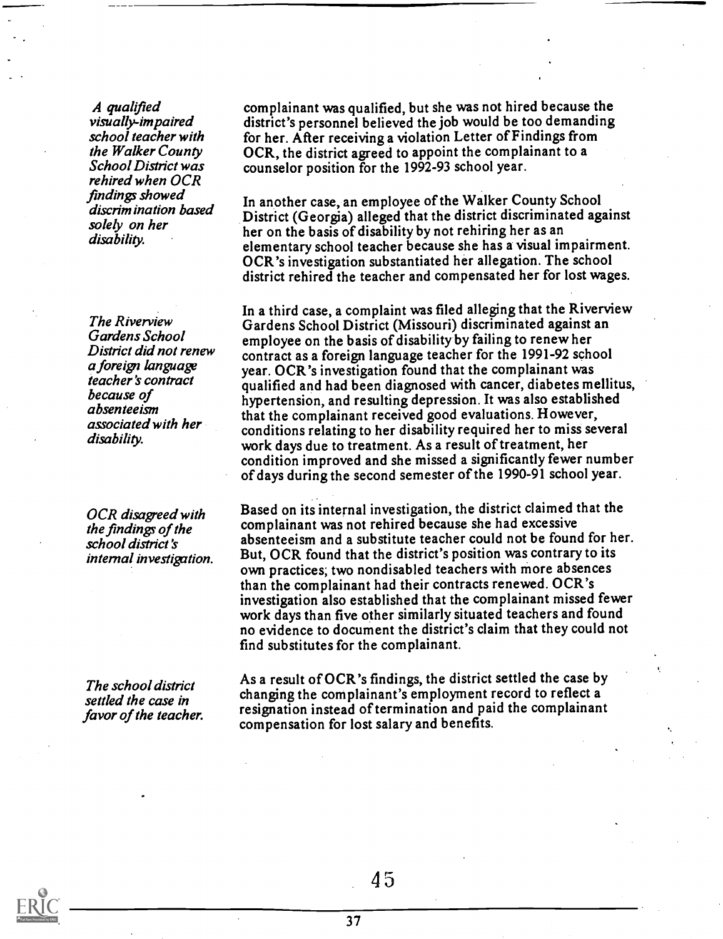A qualified visually-impaired school teacher with the Walker County School District was rehired when OCR findings showed discrimination based solely on her disability.

**The Riverview** Gardens School District did not renew a foreign language teacher's contract because of absenteeism associated with her disability.

OCR disagreed with the findings of the school district's internal investigation.

The school district settled the case in favor of the teacher. complainant was qualified, but she was not hired because the district's personnel believed the job would be too demanding for her. After receiving a violation Letter of Findings from OCR, the district agreed to appoint the complainant to a counselor position for the 1992-93 school year.

In another case, an employee of the Walker County School District (Georgia) alleged that the district discriminated against her on the basis of disability by not rehiring her as an elementary school teacher because she has a visual impairment. OCR's investigation substantiated her allegation. The school district rehired the teacher and compensated her for lost wages.

In a third case, a complaint was filed alleging that the Riverview Gardens School District (Missouri) discriminated against an employee on the basis of disability by failing to renew her contract as a foreign language teacher for the 1991-92 school year. OCR's investigation found that the complainant was qualified and had been diagnosed with cancer, diabetes mellitus, hypertension, and resulting depression. It was also established that the complainant received good evaluations. However, conditions relating to her disability required her to miss several work days due to treatment. As a result of treatment, her condition improved and she missed a significantly fewer number of days during the second semester of the 1990-91 school year.

Based on its internal investigation, the district claimed that the complainant was not rehired because she had excessive absenteeism and a substitute teacher could not be found for her. But, OCR found that the district's position was contrary to its own practices; two nondisabled teachers with more absences than the complainant had their contracts renewed. OCR's investigation also established that the complainant missed fewer work days than five other similarly situated teachers and found no evidence to document the district's claim that they could not find substitutes for the complainant.

As a result of OCR's findings, the district settled the case by changing the complainant's employment record to reflect a resignation instead of termination and paid the complainant compensation for lost salary and benefits.

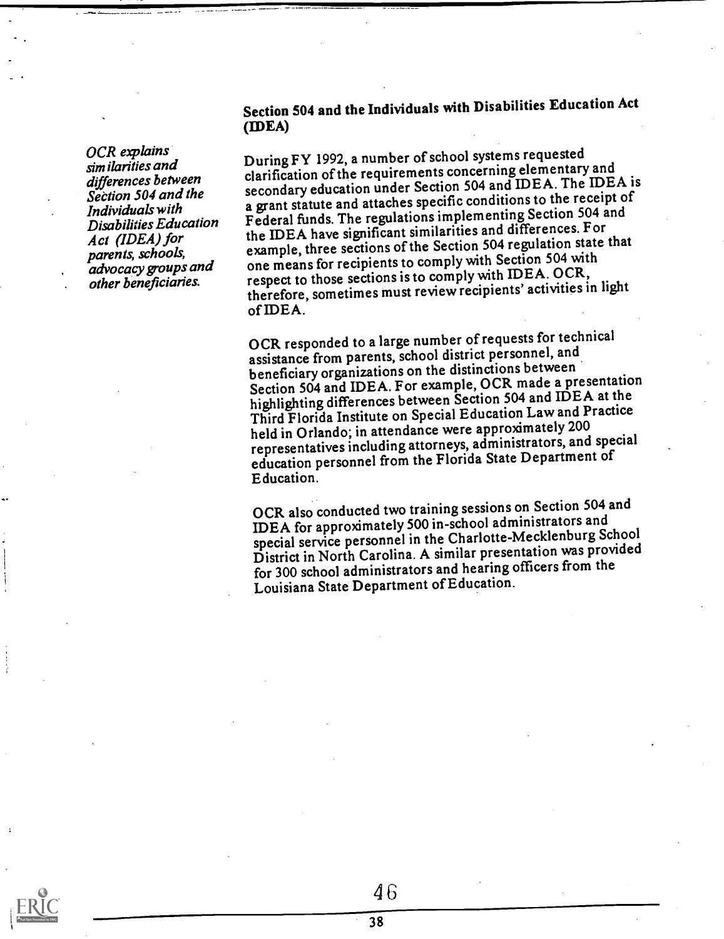OCR explains similarities and differences between Section 504 and the Individuals with Disabilities Education Act (IDEA) for parents, schools, advocacy groups and other beneficiaries.

## Section 504 and the Individuals with Disabilities Education Act (IDEA)

During FY 1992, a number of school systems requested clarification of the requirements concerning elementary and secondary education under Section 504 and IDEA. The IDEA is a grant statute and attaches specific conditions to the receipt of Federal funds. The regulations implementing Section 504 and the IDEA have significant similarities and differences. For example, three sections of the Section 504 regulation state that one means for recipients to comply with Section 504 with respect to those sections is to comply with IDEA. OCR, therefore, sometimes must review recipients' activities in light of IDEA.

OCR responded to a large number of requests for technical assistance from parents, school district personnel, and beneficiary organizations on the distinctions between Section 504 and IDEA. For example, OCR made a presentation highlighting differences between Section 504 and IDEA at the Third Florida Institute on Special Education Law and Practice held in Orlando; in attendance were approximately 200 representatives including attorneys, administrators, and special education personnel from the Florida State Department of Education.

OCR also conducted two training sessions on Section 504 and IDEA for approximately 500 in-school administrators and special service personnel in the Charlotte-Mecklenburg School District in North Carolina. A similar presentation was provided for 300 school administrators and hearing officers from the Louisiana State Department of Education.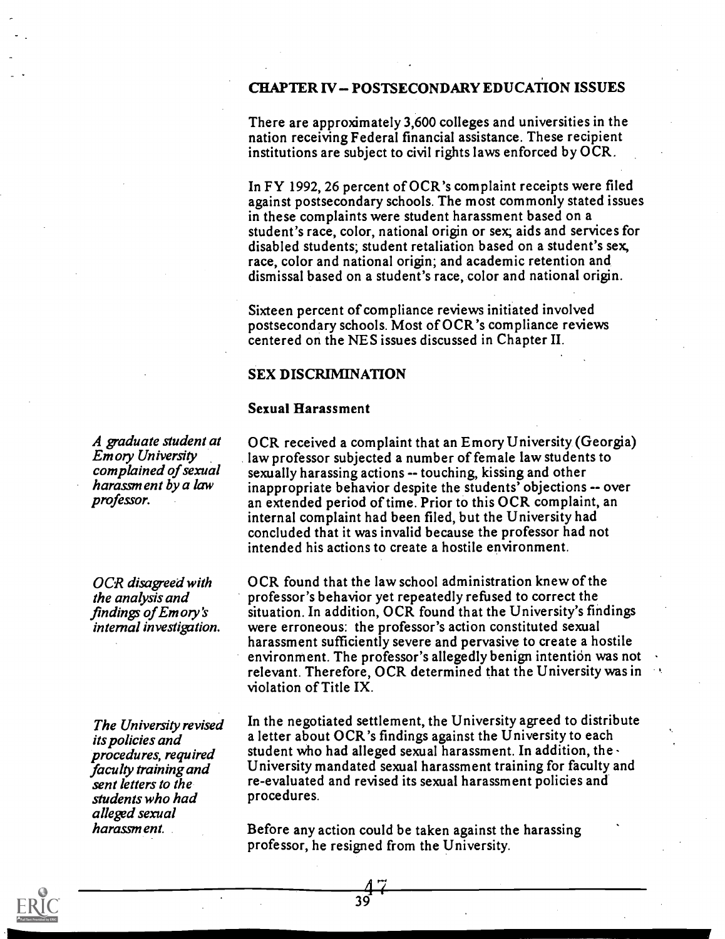#### CHAPTER IV - POSTSECONDARY EDUCATION ISSUES

There are approximately 3,600 colleges and universities in the nation receiving Federal financial assistance. These recipient institutions are subject to civil rights laws enforced by OCR.

In FY 1992, 26 percent of OCR's complaint receipts were filed against postsecondary schools. The most commonly stated issues in these complaints were student harassment based on a student's race, color, national origin or sex; aids and services for disabled students; student retaliation based on a student's sex, race, color and national origin; and academic retention and dismissal based on a student's race, color and national origin.

Sixteen percent of compliance reviews initiated involved postsecondary schools. Most of OCR's compliance reviews centered on the NES issues discussed in Chapter II.

#### SEX DISCRIMINATION

#### Sexual Harassment

OCR received a complaint that an Emory University (Georgia) law professor subjected a number of female law students to sexually harassing actions -- touching, kissing and other inappropriate behavior despite the students' objections -- over an extended period of time. Prior to this OCR complaint, an internal complaint had been filed, but the University had concluded that it was invalid because the professor had not intended his actions to create a hostile environment.

OCR found that the law school administration knew of the professor's behavior yet repeatedly refused to correct the situation. In addition, OCR found that the University's findings were erroneous: the professor's action constituted sexual harassment sufficiently severe and pervasive to create a hostile environment. The professor's allegedly benign intention was not relevant. Therefore, OCR determined that the University was in violation of Title IX.

In the negotiated settlement, the University agreed to distribute a letter about OCR's findings against the University to each student who had alleged sexual harassment. In addition, the  $\cdot$ University mandated sexual harassment training for faculty and re-evaluated and revised its sexual harassment policies and procedures.

Before any action could be taken against the harassing professor, he resigned from the University.

A graduate student at Emory University complained of sexual harassment by a law professor.

OCR disagreed with the analysis and findings of Emory's internal investigation.

The University revised its policies and procedures, required faculty training and sent letters to the students who had alleged sexual harassment.

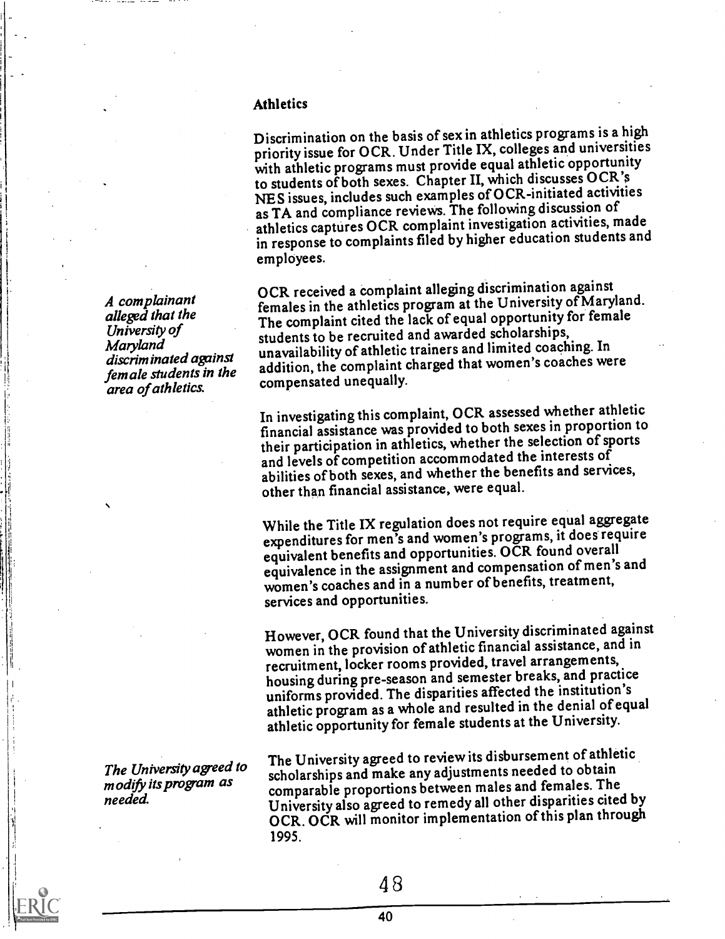#### Athletics

Discrimination on the basis of sex in athletics programs is a high priority issue for OCR. Under Title IX, colleges and universities with athletic programs must provide equal athletic opportunity to students of both sexes. Chapter II, which discusses OCR's NES issues, includes such examples of OCR-initiated activities as TA and compliance reviews. The following discussion of athletics captures OCR complaint investigation activities, made in response to complaints filed by higher education students and employees.

OCR received a complaint alleging discrimination against females in the athletics program at the University of Maryland. The complaint cited the lack of equal opportunity for female students to be recruited and awarded scholarships, unavailability of athletic trainers and limited coaching. In addition, the complaint charged that women's coaches were compensated unequally.

In investigating this complaint, OCR assessed whether athletic financial assistance was provided to both sexes in proportion to their participation in athletics, whether the selection of sports and levels of competition accommodated the interests of abilities of both sexes, and whether the benefits and services, other than financial assistance, were equal.

While the Title IX regulation does not require equal aggregate expenditures for men's and women's programs, it does require equivalent benefits and opportunities. OCR found overall equivalence in the assignment and compensation of men's and women's coaches and in a number of benefits, treatment, services and opportunities.

However, OCR found that the University discriminated against women in the provision of athletic financial assistance, and in recruitment, locker rooms provided, travel arrangements, housing during pre-season and semester breaks, and practice uniforms provided. The disparities affected the institution's athletic program as a whole and resulted in the denial of equal athletic opportunity for female students at the University.

The University agreed to reviewits disbursement of athletic scholarships and make any adjustments needed to obtain comparable proportions between males and females. The University also agreed to remedy all other disparities cited by OCR. OCR will monitor implementation of this plan through 1995.

A complainant alleged that the University of Maryland discriminated against female students in the area of athletics.

The University agreed to modify its program as needed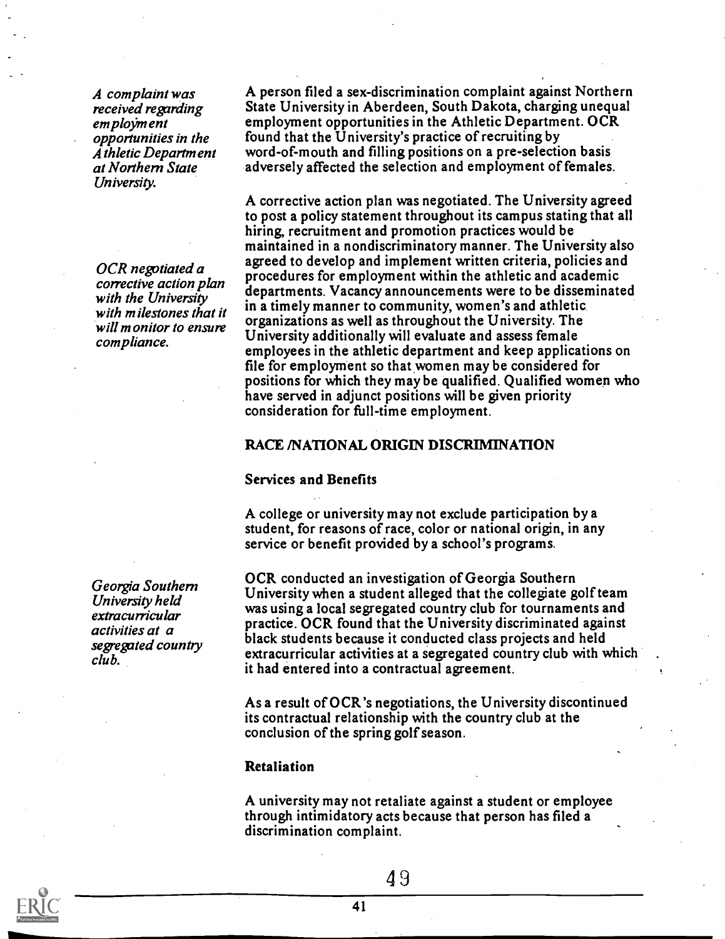A complaint was received regarding em ployment opportunities in the Athletic Department at Northern State University.

OCR negotiated a corrective action plan with the University with milestones that it will monitor to ensure compliance.

Georgia Southern University held extracurricular activities at a segregated country club.

A person filed a sex-discrimination complaint against Northern State University in Aberdeen, South Dakota, charging unequal employment opportunities in the Athletic Department. OCR found that the University's practice of recruiting by word-of-mouth and filling positions on a pre-selection basis adversely affected the selection and employment of females.

A corrective action plan was negotiated. The University agreed to post a policy statement throughout its campus stating that all hiring, recruitment and promotion practices would be maintained in a nondiscriminatory manner. The University also agreed to develop and implement written criteria, policies and procedures for employment within the athletic and academic departments. Vacancy announcements were to be disseminated in a timely manner to community, women's and athletic organizations as well as throughout the University. The University additionally will evaluate and assess female employees in the athletic department and keep applications on file for employment so that women may be considered for positions for which they may be qualified. Qualified women who have served in adjunct positions will be given priority consideration for full-time employment.

#### RACE /NATIONAL ORIGIN DISCRIMINATION

#### Services and Benefits

A college or university may not exclude participation by a student, for reasons of race, color or national origin, in any service or benefit provided by a school's programs.

OCR conducted an investigation of Georgia Southern University when a student alleged that the collegiate golf team was using a local segregated country club for tournaments and practice. OCR found that the University discriminated against black students because it conducted class projects and held extracurricular activities at a segregated country club with which it had entered into a contractual agreement.

As a result of OCR's negotiations, the University discontinued its contractual relationship with the country club at the conclusion of the spring golf season.

#### Retaliation

A university may not retaliate against a student or employee through intimidatory acts because that person has filed a discrimination complaint.

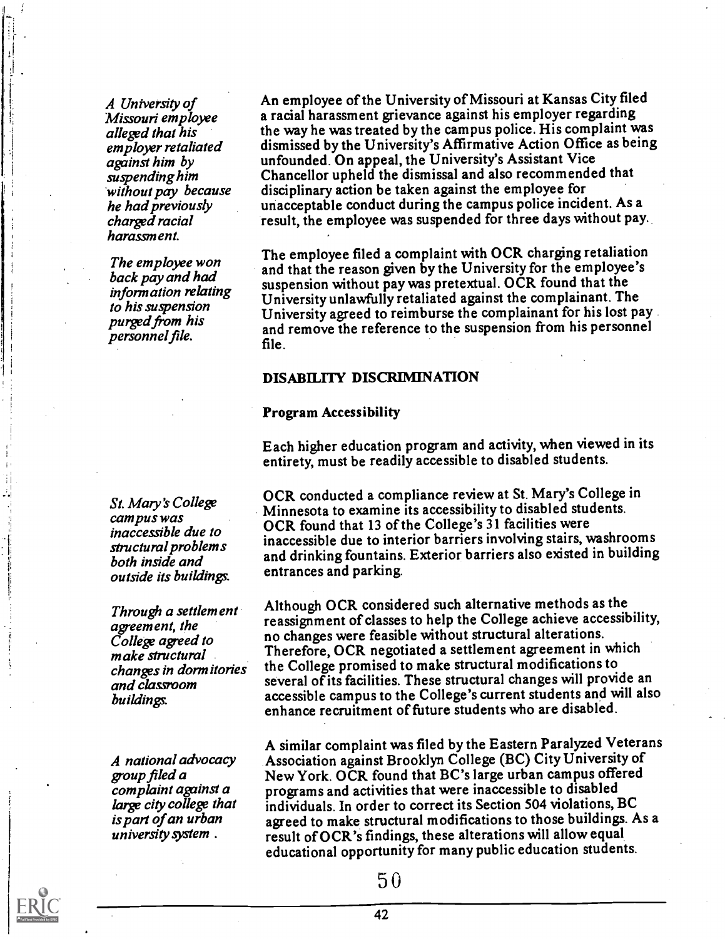A University of Missouri employee alleged that his employer retaliated against him by suspending him 'without pay because he had previousty charged racial harassment.

The employee won back pay and had information relating to his suspension purged from his personnel file.

St. Mary's College campus was inaccessible due to structural problems both inside and outside its buildings.

Through a settlement agreement, the College agreed to make structural changes in dormitories and classroom buildings.

A national advocacy group filed a complaint against a large city college that is part of an urban university system .

An employee of the University of Missouri at Kansas City filed a racial harassment grievance against his employer regarding the way he was treated by the campus police. His complaint was dismissed by the University's Affirmative Action Office as being unfounded. On appeal, the University's Assistant Vice Chancellor upheld the dismissal and also recommended that disciplinary action be taken against the employee for unacceptable conduct during the campus police incident. As a result, the employee was suspended for three days without pay.

The employee filed a complaint with OCR charging retaliation and that the reason given by the University for the employee's suspension without pay was pretextual. OCR found that the University unlawfully retaliated against the complainant. The University agreed to reimburse the complainant for his lost pay and remove the reference to the suspension from his personnel file.

#### DISABILITY DISCRIMINATION

#### Program Accessibility

Each higher education program and activity, when viewed in its entirety, must be readily accessible to disabled students.

OCR conducted a compliance review at St. Mary's College in Minnesota to examine its accessibility to disabled students. OCR found that 13 of the College's 31 facilities were inaccessible due to interior barriers involving stairs, washrooms and drinking fountains. Exterior barriers also existed in building entrances and parking.

Although OCR considered such alternative methods as the reassignment of classes to help the College achieve accessibility, no changes were feasible without structural alterations. Therefore, OCR negotiated a settlement agreement in which the College promised to make structural modifications to several of its facilities. These structural changes will provide an accessible campus to the College's current students and will also enhance recruitment of future students who are disabled.

A similar complaint was filed by the Eastern Paralyzed Veterans Association against Brooklyn College (BC) City University of New York. OCR found that BC's large urban campus offered programs and activities that were inaccessible to disabled individuals. In order to correct its Section 504 violations, BC agreed to make structural modifications to those buildings. As a result of OCR's findings, these alterations will allow equal educational opportunity for many public education students.

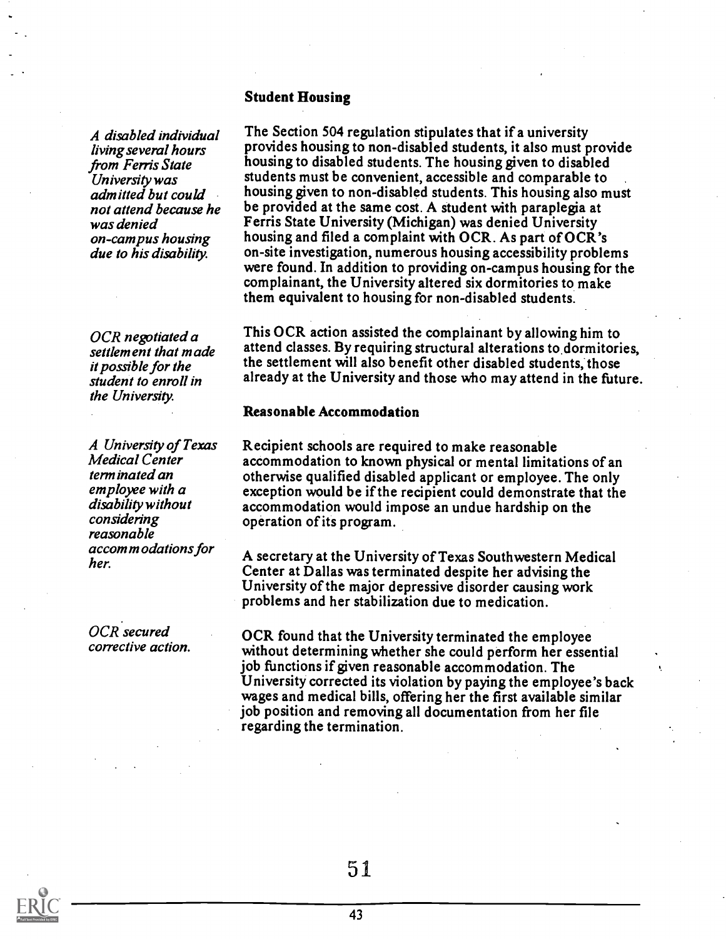#### Student Housing

A disabled individual living several hours Universiv was admitted but could not attend because he was denied on-campus housing due to his disability.

OCR negotiated a settlement that made it possible for the student to enroll in the University.

A University of Texas Medical Center terminated an employee with a disability without considering reasonable  $accom$  m odations for her.

OCR secured corrective action.

*from Ferris State* housing to disabled students. The housing given to disabled<br>*Iniversity was* students must be convenient, accessible and comparable to The Section 504 regulation stipulates that if a university provides housing to non-disabled students, it also must provide housing to disabled students. The housing given to disabled housing given to non-disabled students. This housing also must be provided at the same cost. A student with paraplegia at Ferris State University (Michigan) was denied University housing and filed a complaint with OCR. As part of OCR's on-site investigation, numerous housing accessibility problems were found. In addition to providing on-campus housing for the complainant, the University altered six dormitories to make them equivalent to housing for non-disabled students.

> This OCR action assisted the complainant by allowing him to attend classes. By requiring structural alterations to.dormitories, the settlement will also benefit other disabled students, those already at the University and those who may attend in the future.

#### Reasonable Accommodation

Recipient schools are required to make reasonable accommodation to known physical or mental limitations of an otherwise qualified disabled applicant or employee. The only exception would be if the recipient could demonstrate that the accommodation would impose an undue hardship on the operation of its program.

A secretary at the University of Texas Southwestern Medical Center at Dallas was terminated despite her advising the University of the major depressive disorder causing work problems and her stabilization due to medication.

OCR found that the University terminated the employee without determining whether she could perform her essential job functions if given reasonable accommodation. The University corrected its violation by paying the employee's back wages and medical bills, offering her the first available similar job position and removing all documentation from her file regarding the termination.

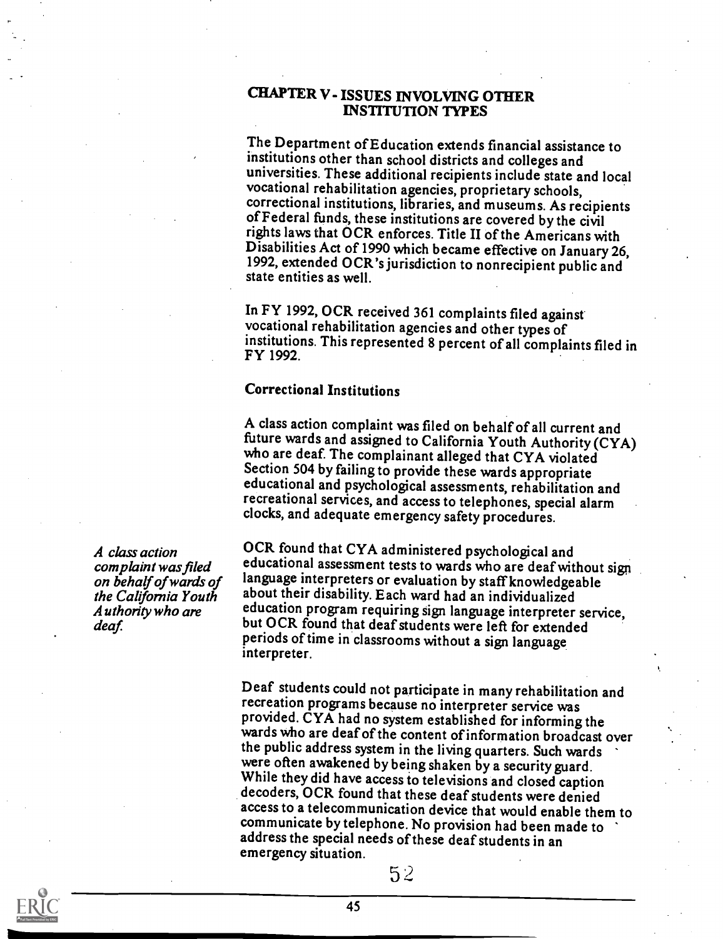#### CHAPTER V- ISSUES INVOLVING OTHER INSTITUTION TYPES

The Department of Education extends financial assistance to institutions other than school districts and colleges and universities. These additional recipients include state and local vocational rehabilitation agencies, proprietary schools, of Federal funds, these institutions are covered by the civil<br>rights laws that OCR enforces. Title II of the Americans with<br>Disabilities Act of 1990 which became effective on January 26, 1992, extended OCR's jurisdiction to nonrecipient public and state entities as well.

In FY 1992, OCR received 361 complaints filed against vocational rehabilitation agencies and other types of institutions. This represented 8 percent of all complaints filed in FY 1992.

#### Correctional Institutions

A class action complaint was filed on behalf of all current and<br>future wards and assigned to California Youth Authority (CYA) who are deaf. The complainant alleged that CYA violated Section 504 by failing to provide these wards appropriate educational and psychological assessments, rehabilitation and recreational services, and access to telephones, special alarm clocks, and adequate emergency safety procedures.

complaint was filed equivational assessment tests to wards who are deaf without<br>on hehalf of wards of language interpreters or evaluation by staff knowledgeable Authority who are division program requiring sign language interpreter se<br>deaf. but OCR found that deaf students were left for extended OCR found that CYA administered psychological and educational assessment tests to wards who are deaf without sign about their disability. Each ward had an individualized education program requiring sign language interpreter service, periods of time in classrooms without a sign language interpreter.

> Deaf students could not participate in many rehabilitation and recreation programs because no interpreter service was provided. CYA had no system established for informing the wards who are deaf of the content of information broadcast over the public address system in the living quarters. Such wards were often awakened by being shaken by a security guard.<br>While they did have access to televisions and closed caption<br>decoders, OCR found that these deaf students were denied access to a telecommunication device that would enable them to communicate by telephone. No provision had been made to address the special needs of these deaf students in an emergency situation.

A class action on behalf of wards of the California Youth



5 2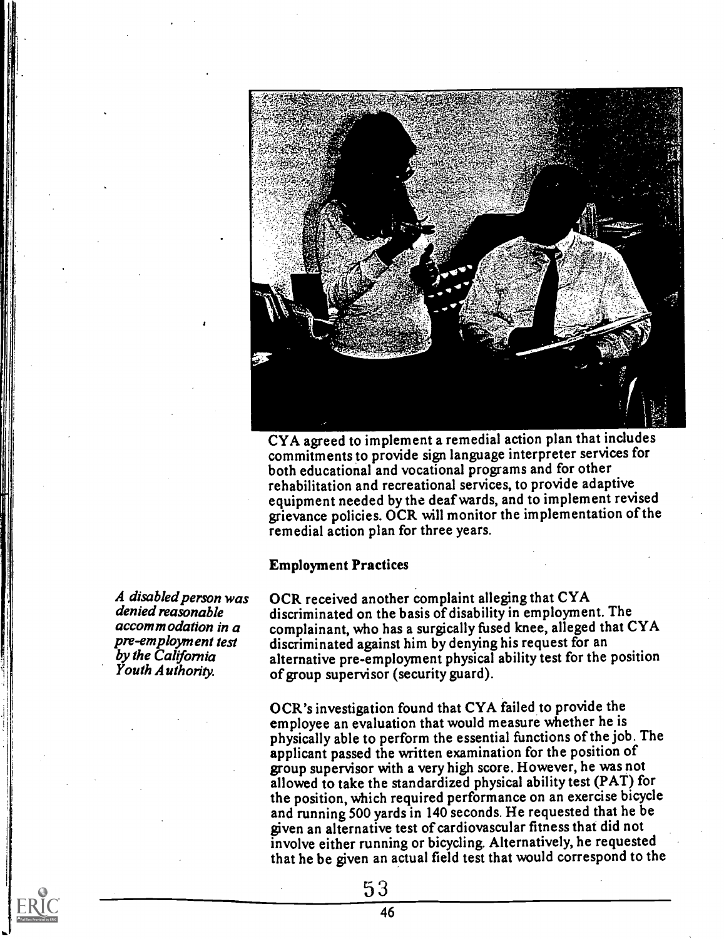

CYA agreed to implement a remedial action plan that includes commitments to provide sign language interpreter services for both educational and vocational programs and for other rehabilitation and recreational services, to provide adaptive equipment needed by the deaf wards, and to implement revised grievance policies. OCR will monitor the implementation of the remedial action plan for three years.

#### Employment Practices

OCR received another complaint alleging that CYA discriminated on the basis of disability in employment. The complainant, who has a surgically fused knee, alleged that CYA discriminated against him by denying his request for an alternative pre-employment physical ability test for the position of group supervisor (security guard).

OCR's investigation found that CYA failed to provide the employee an evaluation that would measure whether he is physically able to perform the essential functions of the job. The applicant passed the written examination for the position of group supervisor with a very high score. However, he was not allowed to take the standardized physical ability test (PAT) for the position, which required performance on an exercise bicycle and running 500 yards in 140 seconds. He requested that he be given an alternative test of cardiovascular fitness that did not involve either running or bicycling. Alternatively, he requested that he be given an actual field test that would correspond to the

A disabled person was denied reasonable accommodation in a pre-employment test by the California Youth Authoriv.

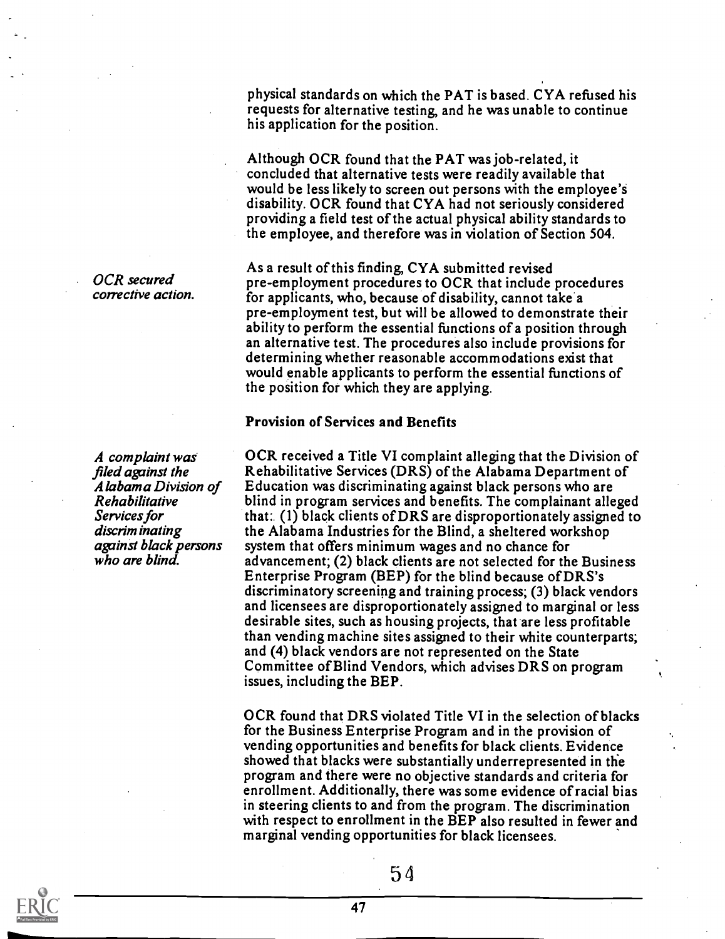OCR secured corrective action.

A complaint was filed against the A labam a Division of Rehabilitative Services for discrim inating againSt black persons who are blind.

physical standards on which the PAT is based. CYA refused his requests for alternative testing, and he was unable to continue his application for the position.

Although OCR found that the PAT was job-related, it concluded that alternative tests were readily available that would be less likely to screen out persons with the employee's disability. OCR found that CYA had not seriously considered providing a field test of the actual physical ability standards to the employee, and therefore was in violation of Section 504.

As a result of this finding CYA submitted revised pre-employment procedures to OCR that include procedures for applicants, who, because of disability, cannot take a pre-employment test, but will be allowed to demonstrate their ability to perform the essential functions of a position through an alternative test. The procedures also include provisions for determining whether reasonable accommodations exist that would enable applicants to perform the essential functions of the position for which they are applying.

#### Provision of Services and Benefits

OCR received a Title VI complaint alleging that the Division of Rehabilitative Services (DRS) of the Alabama Department of Education was discriminating against black persons who are blind in program services and benefits. The complainant alleged that:. (1) black clients of DRS are disproportionately assigned to the Alabama Industries for the Blind, a sheltered workshop system that offers minimum wages and no chance for advancement; (2) black clients are not selected for the Business Enterprise Program (BEP) for the blind because of DRS's discriminatory screening and training process; (3) black vendors and licensees are disproportionately assigned to marginal or less desirable sites, such as housing projects, that are less profitable than vending machine sites assigned to their white counterparts; and (4) black vendors are not represented on the State Committee of Blind Vendors, which advises DRS on program issues, including the BEP.

OCR found that DRS violated Title VI in the selection of blacks for the Business Enterprise Program and in the provision of vending opportunities and benefits for black clients. Evidence showed that blacks were substantially underrepresented in the program and there were no objective standards and criteria for enrollment. Additionally, there was some evidence of racial bias in steering clients to and from the program. The discrimination with respect to enrollment in the BEP also resulted in fewer and marginal vending opportunities for black licensees.

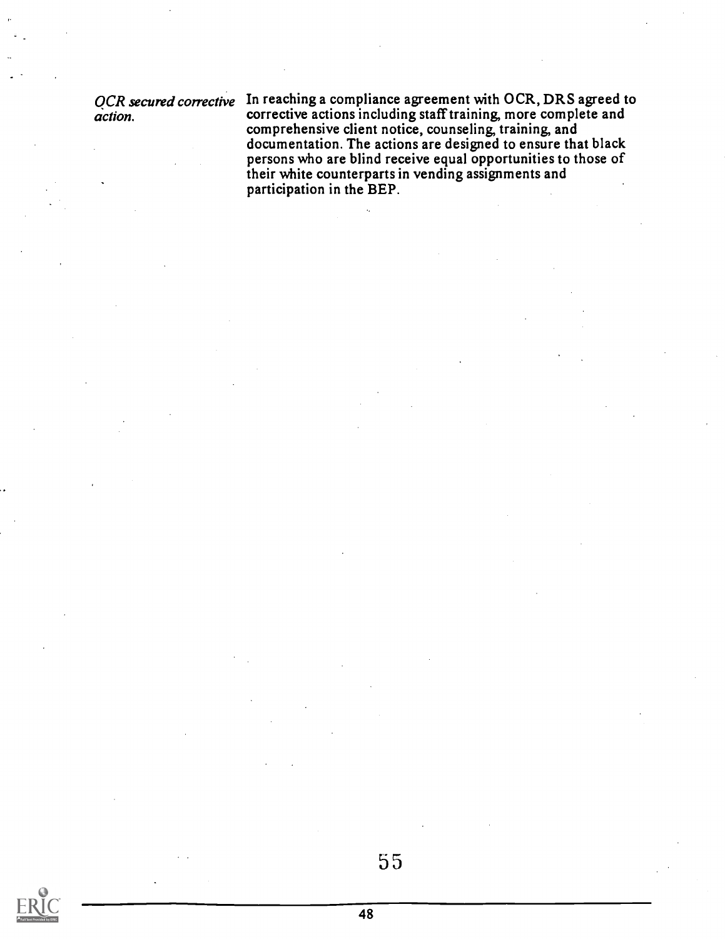QCR secured corrective In reach action.

In reaching a compliance ageement with OCR, DRS agreed to corrective actions including staff training, more complete and comprehensive client notice, counseling, training, and documentation. The actions are designed to ensure that black persons who are blind receive equal opportunities to those of their white counterparts in vending assignments and participation in the BEP.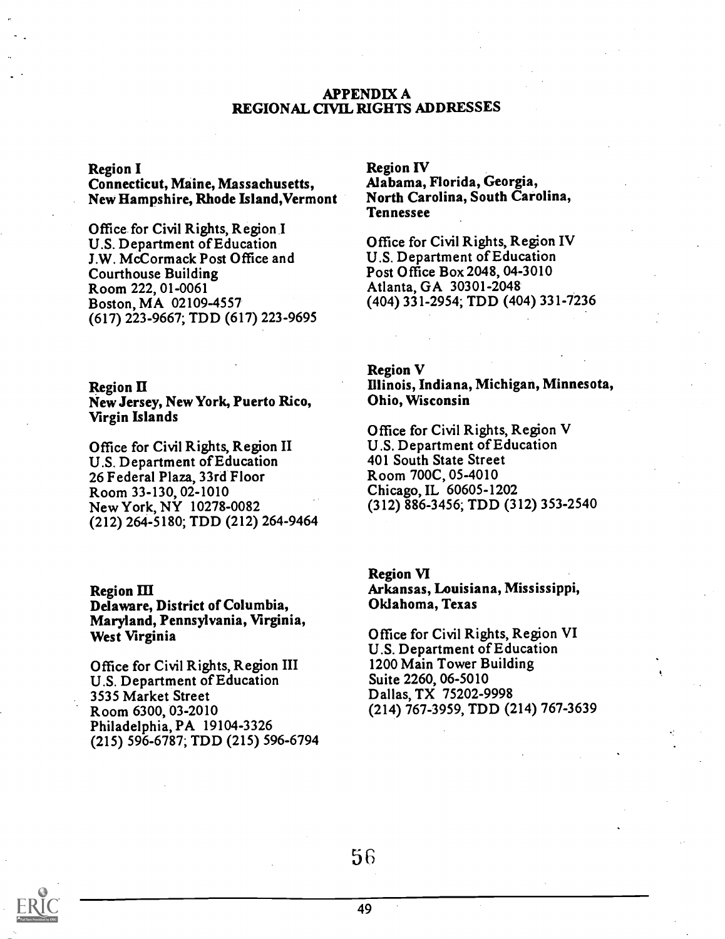#### APPENDIX A REGIONAL CIVIL RIGHTS ADDRESSES

#### Region I

Connecticut, Maine, Massachusetts, New Hampshire, Rhode Island,Vermont

Office for Civil Rights, Region I U.S. Department of Education J.W. McCormack Post Office and Courthouse Building Room 222, 01-0061 Boston, MA 02109-4557 (617) 223-9667; TDD (617) 223-9695

Region II New Jersey, New York, Puerto Rico, Virgin Islands

Office for Civil Rights, Region II U.S. Department of Education 26 Federal Plaza, 33rd Floor Room 33-130, 02-1010 New York, NY 10278-0082 (212) 264-5180; TDD (212) 264-9464

#### Region III

Delaware, District of Columbia, Maryland, Pennsylvania, Virginia, West Virginia

Office for Civil Rights, Region III U.S. Department of Education 3535 Market Street Room 6300, 03-2010 Philadelphia, PA 19104-3326 (215) 596-6787; TDD (215) 596-6794 Region IV

Alabama, Florida, Georgia, North Carolina, South Carolina, Tennessee

Office for Civil Rights, Region IV U.S. Department of Education Post Office Box 2048, 04-3010 Atlanta, GA 30301-2048 (404) 331-2954; TDD (404) 331-7236

# Region V

Illinois, Indiana, Michigan, Minnesota, Ohio, Wisconsin

Office for Civil Rights, Region V U.S. Department of Education 401 South State Street Room 700C, 05-4010 Chicago, IL 60605-1202 (312) 886-3456; TDD (312) 353-2540

Region VI Arkansas, Louisiana, Mississippi, Oklahoma, Texas

Office for Civil Rights, Region VI U.S. Department of Education 1200 Main Tower Building Suite 2260, 06-5010 Dallas, TX 75202-9998 (214) 767-3959, TDD (214) 767-3639

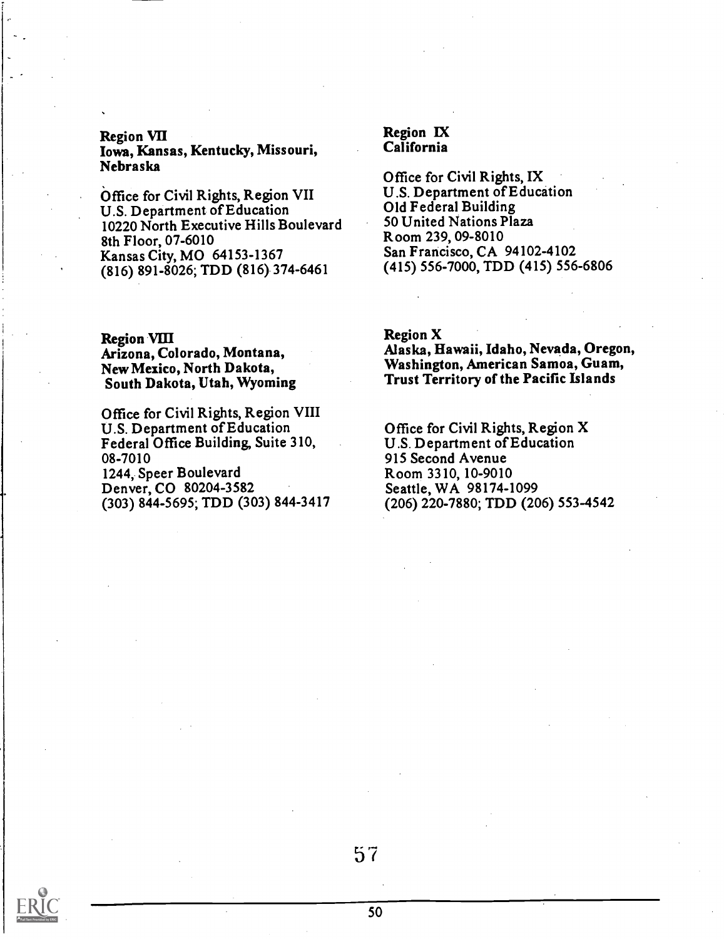#### Region VII Iowa, Kansas, Kentucky, Missouri, Nebraska

Office for Civil Rights, Region VII U.S. Department of Education 10220 North Executive Hills Boulevard 8th Floor, 07-6010 Kansas City, MO 64153-1367 (816) 891-8026; TDD (816) 374-6461

Region VIII Arizona, Colorado, Montana, New Mexico, North Dakota, South Dakota, Utah, Wyoming

Office for Civil Rights, Region VIII U.S. Department of Education Federal Office Building, Suite 310, 08-7010 1244, Speer Boulevard Denver, CO 80204-3582

(303) 844-5695; TDD (303) 844-3417

#### Region IX California

Office for Civil Rights, IX U.S. Department of Education Old Federal Building 50 United Nations Plaza Room 239, 09-8010 San Francisco, CA 94102-4102 (415) 556-7000, TDD (415) 556-6806

Region X

Alaska, Hawaii, Idaho, Nevada, Oregon, Washington, American Samoa, Guam, Trust Territory of the Pacific Islands

Office for Civil Rights, Region X U.S. Department of Education 915 Second Avenue Room 3310, 10-9010 Seattle, WA 98174-1099 (206) 220-7880; TDD (206) 553-4542

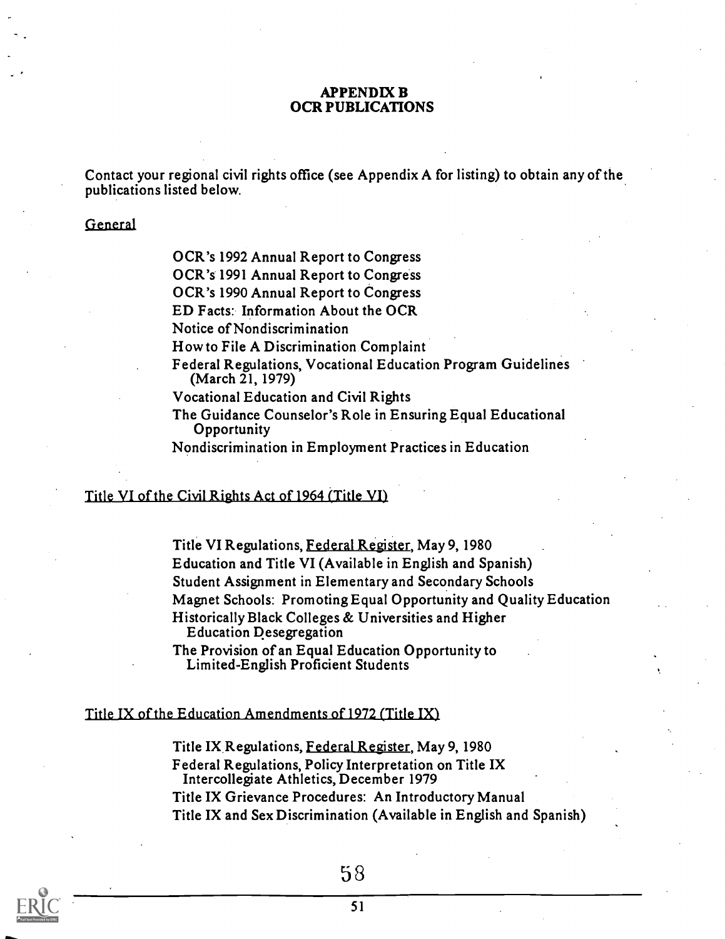#### APPENDIX B OCR PUBLICATIONS

Contact your regional civil rights office (see Appendix A for listing) to obtain any of the publications listed below.

#### General

OCR's 1992 Annual Report to Congress

OCR's 1991 Annual Report to Congress

OCR's 1990 Annual Report to Congress

ED Facts: Information About the OCR

Notice of Nondiscrimination

How to File A Discrimination Complaint

Federal Regulations, Vocational Education Program Guidelines (March 21, 1979)

Vocational Education and Civil Rights

The Guidance Counselor's Role in Ensuring Equal Educational **Opportunity** 

Nondiscrimination in Employment Practices in Education

#### Title VI of the Civil Rights Act of 1964 (Title VII

Title VI Regulations, Federal Register, May 9, 1980 Education and Title VI (Available in English and Spanish) Student Assignment in Elementary and Secondary Schools Magnet Schools: Promoting Equal Opportunity and Quality Education Historically Black Colleges & Universities and Higher Education Desegregation

The Provision of an Equal Education Opportunity to Limited-English Proficient Students

#### Title IX of the Education Amendments of 1972 (Title IX)

Title IX Regulations, Federal Register, May 9, 1980 Federal Regulations, Policy Interpretation on Title IX Intercollegiate Athletics, December 1979 Title IX Grievance Procedures: An Introductory Manual Title IX and Sex Discrimination (Available in English and Spanish)

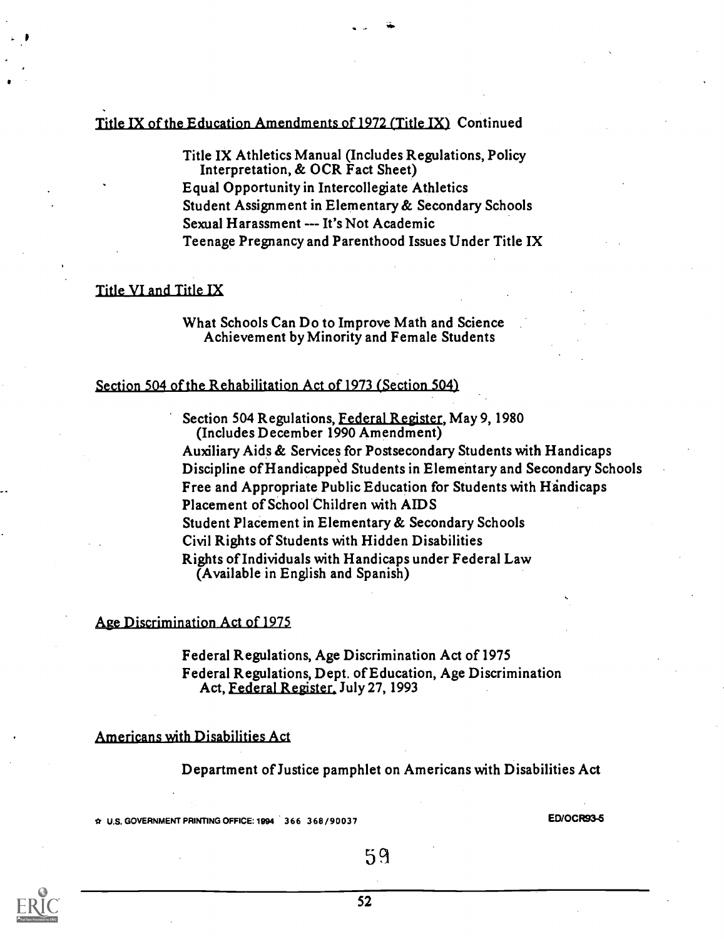#### Title IX of the Education Amendments of 1972 (Title IX) Continued

Title IX Athletics Manual (Includes Regulations, Policy Interpretation, & OCR Fact Sheet) Equal Opportunity in Intercollegiate Athletics Student Assignment in Elementary & Secondary Schools Sexual Harassment --- It's Not Academic Teenage Pregnancy and Parenthood Issues Under Title IX

#### Title VI and Title IX

What Schools Can Do to Improve Math and Science Achievement by Minority and Female Students

#### Section 504 of the Rehabilitation Act of 1973 (Section 504)

Section 504 Regulations, Federal Register, May 9, 1980 (Includes December 1990 Amendment)

Auxiliary Aids & Services for Postsecondary Students with Handicaps Discipline of Handicapped Students in Elementary and Secondary Schools Free and Appropriate Public Education for Students with Handicaps Placement of School Children with AIDS Student Placement in Elementary & Secondary Schools Civil Rights of Students with Hidden Disabilities Rights of Individuals with Handicaps under Federal Law (Available in English and Spanish)

#### Age Discrimination Act of 1975

Federal Regulations, Age Discrimination Act of 1975 Federal Regulations, Dept. of Education, Age Discrimination Act, Federal Register. July 27, 1993

#### Americans with Disabilities Act

Department ofJustice pamphlet on Americans with Disabilities Act

\* U.S. GOVERNMENT PRINTING OFFICE: 1994 366 3 6 8 / 9 0 0 3 7 ED/0CR93-5